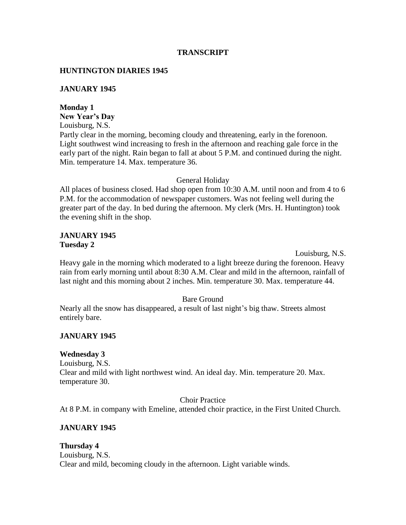# **TRANSCRIPT**

# **HUNTINGTON DIARIES 1945**

# **JANUARY 1945**

# **Monday 1**

**New Year's Day**

Louisburg, N.S.

Partly clear in the morning, becoming cloudy and threatening, early in the forenoon. Light southwest wind increasing to fresh in the afternoon and reaching gale force in the early part of the night. Rain began to fall at about 5 P.M. and continued during the night. Min. temperature 14. Max. temperature 36.

# General Holiday

All places of business closed. Had shop open from 10:30 A.M. until noon and from 4 to 6 P.M. for the accommodation of newspaper customers. Was not feeling well during the greater part of the day. In bed during the afternoon. My clerk (Mrs. H. Huntington) took the evening shift in the shop.

# **JANUARY 1945 Tuesday 2**

Louisburg, N.S.

Heavy gale in the morning which moderated to a light breeze during the forenoon. Heavy rain from early morning until about 8:30 A.M. Clear and mild in the afternoon, rainfall of last night and this morning about 2 inches. Min. temperature 30. Max. temperature 44.

# Bare Ground

Nearly all the snow has disappeared, a result of last night's big thaw. Streets almost entirely bare.

# **JANUARY 1945**

# **Wednesday 3**

Louisburg, N.S. Clear and mild with light northwest wind. An ideal day. Min. temperature 20. Max. temperature 30.

Choir Practice

At 8 P.M. in company with Emeline, attended choir practice, in the First United Church.

# **JANUARY 1945**

# **Thursday 4**

Louisburg, N.S. Clear and mild, becoming cloudy in the afternoon. Light variable winds.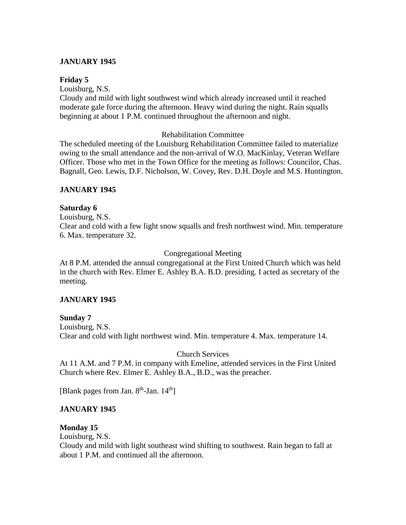# **JANUARY 1945**

#### **Friday 5**

Louisburg, N.S.

Cloudy and mild with light southwest wind which already increased until it reached moderate gale force during the afternoon. Heavy wind during the night. Rain squalls beginning at about 1 P.M. continued throughout the afternoon and night.

#### Rehabilitation Committee

The scheduled meeting of the Louisburg Rehabilitation Committee failed to materialize owing to the small attendance and the non-arrival of W.O. MacKinlay, Veteran Welfare Officer. Those who met in the Town Office for the meeting as follows: Councilor, Chas. Bagnall, Geo. Lewis, D.F. Nicholson, W. Covey, Rev. D.H. Doyle and M.S. Huntington.

# **JANUARY 1945**

# **Saturday 6**

Louisburg, N.S. Clear and cold with a few light snow squalls and fresh northwest wind. Min. temperature 6. Max. temperature 32.

# Congregational Meeting

At 8 P.M. attended the annual congregational at the First United Church which was held in the church with Rev. Elmer E. Ashley B.A. B.D. presiding. I acted as secretary of the meeting.

# **JANUARY 1945**

**Sunday 7** Louisburg, N.S. Clear and cold with light northwest wind. Min. temperature 4. Max. temperature 14.

# Church Services

At 11 A.M. and 7 P.M. in company with Emeline, attended services in the First United Church where Rev. Elmer E. Ashley B.A., B.D., was the preacher.

[Blank pages from Jan. 8<sup>th</sup>-Jan. 14<sup>th</sup>]

# **JANUARY 1945**

# **Monday 15**

Louisburg, N.S.

Cloudy and mild with light southeast wind shifting to southwest. Rain began to fall at about 1 P.M. and continued all the afternoon.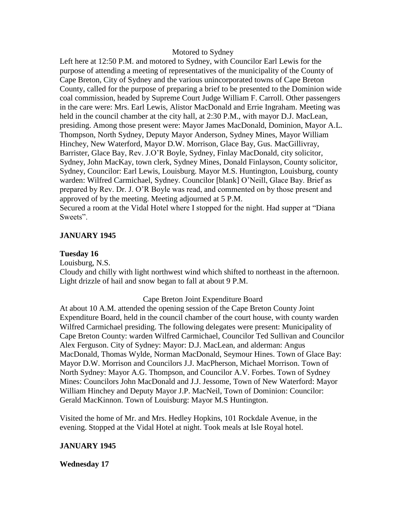#### Motored to Sydney

Left here at 12:50 P.M. and motored to Sydney, with Councilor Earl Lewis for the purpose of attending a meeting of representatives of the municipality of the County of Cape Breton, City of Sydney and the various unincorporated towns of Cape Breton County, called for the purpose of preparing a brief to be presented to the Dominion wide coal commission, headed by Supreme Court Judge William F. Carroll. Other passengers in the care were: Mrs. Earl Lewis, Alistor MacDonald and Errie Ingraham. Meeting was held in the council chamber at the city hall, at 2:30 P.M., with mayor D.J. MacLean, presiding. Among those present were: Mayor James MacDonald, Dominion, Mayor A.L. Thompson, North Sydney, Deputy Mayor Anderson, Sydney Mines, Mayor William Hinchey, New Waterford, Mayor D.W. Morrison, Glace Bay, Gus. MacGillivray, Barrister, Glace Bay, Rev. J.O'R Boyle, Sydney, Finlay MacDonald, city solicitor, Sydney, John MacKay, town clerk, Sydney Mines, Donald Finlayson, County solicitor, Sydney, Councilor: Earl Lewis, Louisburg. Mayor M.S. Huntington, Louisburg, county warden: Wilfred Carmichael, Sydney. Councilor [blank] O'Neill, Glace Bay. Brief as prepared by Rev. Dr. J. O'R Boyle was read, and commented on by those present and approved of by the meeting. Meeting adjourned at 5 P.M. Secured a room at the Vidal Hotel where I stopped for the night. Had supper at "Diana

Sweets".

#### **JANUARY 1945**

#### **Tuesday 16**

Louisburg, N.S.

Cloudy and chilly with light northwest wind which shifted to northeast in the afternoon. Light drizzle of hail and snow began to fall at about 9 P.M.

#### Cape Breton Joint Expenditure Board

At about 10 A.M. attended the opening session of the Cape Breton County Joint Expenditure Board, held in the council chamber of the court house, with county warden Wilfred Carmichael presiding. The following delegates were present: Municipality of Cape Breton County: warden Wilfred Carmichael, Councilor Ted Sullivan and Councilor Alex Ferguson. City of Sydney: Mayor: D.J. MacLean, and alderman: Angus MacDonald, Thomas Wylde, Norman MacDonald, Seymour Hines. Town of Glace Bay: Mayor D.W. Morrison and Councilors J.J. MacPherson, Michael Morrison. Town of North Sydney: Mayor A.G. Thompson, and Councilor A.V. Forbes. Town of Sydney Mines: Councilors John MacDonald and J.J. Jessome, Town of New Waterford: Mayor William Hinchey and Deputy Mayor J.P. MacNeil, Town of Dominion: Councilor: Gerald MacKinnon. Town of Louisburg: Mayor M.S Huntington.

Visited the home of Mr. and Mrs. Hedley Hopkins, 101 Rockdale Avenue, in the evening. Stopped at the Vidal Hotel at night. Took meals at Isle Royal hotel.

#### **JANUARY 1945**

#### **Wednesday 17**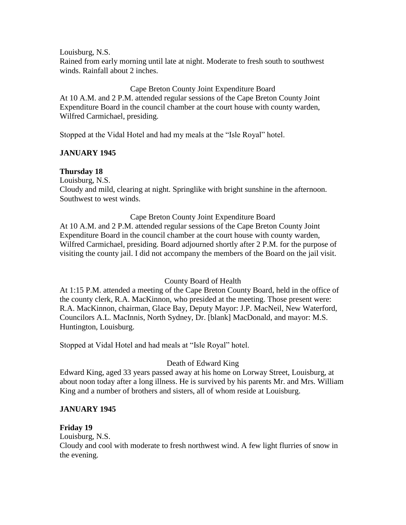Louisburg, N.S. Rained from early morning until late at night. Moderate to fresh south to southwest winds. Rainfall about 2 inches.

Cape Breton County Joint Expenditure Board At 10 A.M. and 2 P.M. attended regular sessions of the Cape Breton County Joint Expenditure Board in the council chamber at the court house with county warden, Wilfred Carmichael, presiding.

Stopped at the Vidal Hotel and had my meals at the "Isle Royal" hotel.

# **JANUARY 1945**

# **Thursday 18**

Louisburg, N.S.

Cloudy and mild, clearing at night. Springlike with bright sunshine in the afternoon. Southwest to west winds.

#### Cape Breton County Joint Expenditure Board

At 10 A.M. and 2 P.M. attended regular sessions of the Cape Breton County Joint Expenditure Board in the council chamber at the court house with county warden, Wilfred Carmichael, presiding. Board adjourned shortly after 2 P.M. for the purpose of visiting the county jail. I did not accompany the members of the Board on the jail visit.

# County Board of Health

At 1:15 P.M. attended a meeting of the Cape Breton County Board, held in the office of the county clerk, R.A. MacKinnon, who presided at the meeting. Those present were: R.A. MacKinnon, chairman, Glace Bay, Deputy Mayor: J.P. MacNeil, New Waterford, Councilors A.L. MacInnis, North Sydney, Dr. [blank] MacDonald, and mayor: M.S. Huntington, Louisburg.

Stopped at Vidal Hotel and had meals at "Isle Royal" hotel.

# Death of Edward King

Edward King, aged 33 years passed away at his home on Lorway Street, Louisburg, at about noon today after a long illness. He is survived by his parents Mr. and Mrs. William King and a number of brothers and sisters, all of whom reside at Louisburg.

# **JANUARY 1945**

# **Friday 19**

Louisburg, N.S.

Cloudy and cool with moderate to fresh northwest wind. A few light flurries of snow in the evening.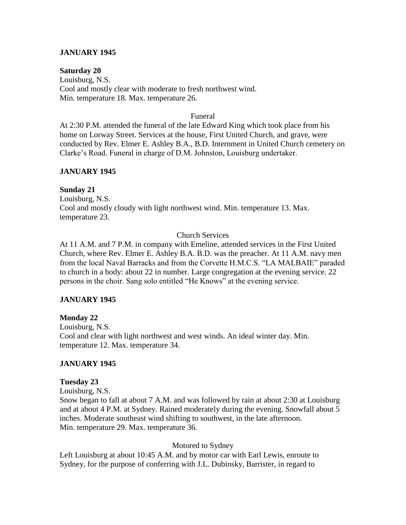# **JANUARY 1945**

#### **Saturday 20**

Louisburg, N.S. Cool and mostly clear with moderate to fresh northwest wind. Min. temperature 18. Max. temperature 26.

#### Funeral

At 2:30 P.M. attended the funeral of the late Edward King which took place from his home on Lorway Street. Services at the house, First United Church, and grave, were conducted by Rev. Elmer E. Ashley B.A., B.D. Internment in United Church cemetery on Clarke's Road. Funeral in charge of D.M. Johnston, Louisburg undertaker.

#### **JANUARY 1945**

#### **Sunday 21**

Louisburg, N.S. Cool and mostly cloudy with light northwest wind. Min. temperature 13. Max. temperature 23.

#### Church Services

At 11 A.M. and 7 P.M. in company with Emeline, attended services in the First United Church, where Rev. Elmer E. Ashley B.A. B.D. was the preacher. At 11 A.M. navy men from the local Naval Barracks and from the Corvette H.M.C.S. "LA MALBAIE" paraded to church in a body: about 22 in number. Large congregation at the evening service. 22 persons in the choir. Sang solo entitled "He Knows" at the evening service.

#### **JANUARY 1945**

#### **Monday 22**

Louisburg, N.S. Cool and clear with light northwest and west winds. An ideal winter day. Min. temperature 12. Max. temperature 34.

#### **JANUARY 1945**

#### **Tuesday 23**

Louisburg, N.S.

Snow began to fall at about 7 A.M. and was followed by rain at about 2:30 at Louisburg and at about 4 P.M. at Sydney. Rained moderately during the evening. Snowfall about 5 inches. Moderate southeast wind shifting to southwest, in the late afternoon. Min. temperature 29. Max. temperature 36.

#### Motored to Sydney

Left Louisburg at about 10:45 A.M. and by motor car with Earl Lewis, enroute to Sydney, for the purpose of conferring with J.L. Dubinsky, Barrister, in regard to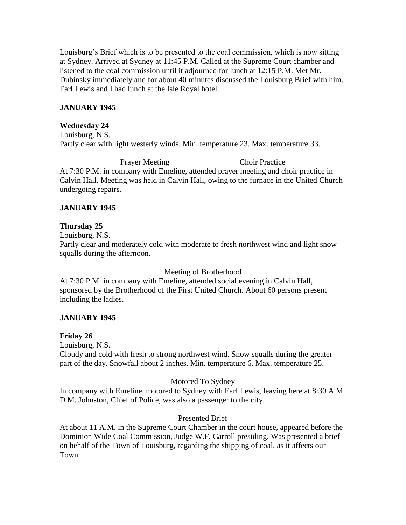Louisburg's Brief which is to be presented to the coal commission, which is now sitting at Sydney. Arrived at Sydney at 11:45 P.M. Called at the Supreme Court chamber and listened to the coal commission until it adjourned for lunch at 12:15 P.M. Met Mr. Dubinsky immediately and for about 40 minutes discussed the Louisburg Brief with him. Earl Lewis and I had lunch at the Isle Royal hotel.

# **JANUARY 1945**

#### **Wednesday 24**

Louisburg, N.S. Partly clear with light westerly winds. Min. temperature 23. Max. temperature 33.

Prayer Meeting Choir Practice At 7:30 P.M. in company with Emeline, attended prayer meeting and choir practice in Calvin Hall. Meeting was held in Calvin Hall, owing to the furnace in the United Church undergoing repairs.

# **JANUARY 1945**

# **Thursday 25**

Louisburg, N.S.

Partly clear and moderately cold with moderate to fresh northwest wind and light snow squalls during the afternoon.

Meeting of Brotherhood

At 7:30 P.M. in company with Emeline, attended social evening in Calvin Hall, sponsored by the Brotherhood of the First United Church. About 60 persons present including the ladies.

# **JANUARY 1945**

# **Friday 26**

Louisburg, N.S.

Cloudy and cold with fresh to strong northwest wind. Snow squalls during the greater part of the day. Snowfall about 2 inches. Min. temperature 6. Max. temperature 25.

# Motored To Sydney

In company with Emeline, motored to Sydney with Earl Lewis, leaving here at 8:30 A.M. D.M. Johnston, Chief of Police, was also a passenger to the city.

# Presented Brief

At about 11 A.M. in the Supreme Court Chamber in the court house, appeared before the Dominion Wide Coal Commission, Judge W.F. Carroll presiding. Was presented a brief on behalf of the Town of Louisburg, regarding the shipping of coal, as it affects our Town.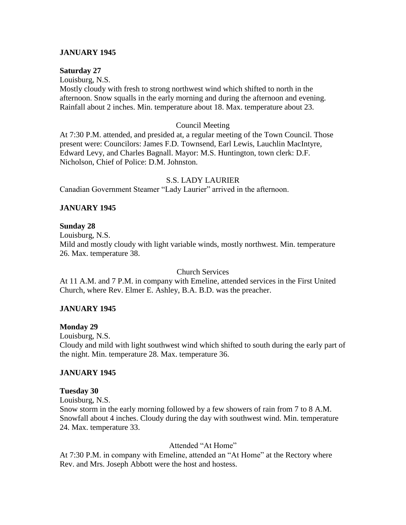# **JANUARY 1945**

# **Saturday 27**

Louisburg, N.S. Mostly cloudy with fresh to strong northwest wind which shifted to north in the afternoon. Snow squalls in the early morning and during the afternoon and evening. Rainfall about 2 inches. Min. temperature about 18. Max. temperature about 23.

#### Council Meeting

At 7:30 P.M. attended, and presided at, a regular meeting of the Town Council. Those present were: Councilors: James F.D. Townsend, Earl Lewis, Lauchlin MacIntyre, Edward Levy, and Charles Bagnall. Mayor: M.S. Huntington, town clerk: D.F. Nicholson, Chief of Police: D.M. Johnston.

#### S.S. LADY LAURIER

Canadian Government Steamer "Lady Laurier" arrived in the afternoon.

# **JANUARY 1945**

# **Sunday 28**

Louisburg, N.S.

Mild and mostly cloudy with light variable winds, mostly northwest. Min. temperature 26. Max. temperature 38.

Church Services

At 11 A.M. and 7 P.M. in company with Emeline, attended services in the First United Church, where Rev. Elmer E. Ashley, B.A. B.D. was the preacher.

# **JANUARY 1945**

# **Monday 29**

Louisburg, N.S.

Cloudy and mild with light southwest wind which shifted to south during the early part of the night. Min. temperature 28. Max. temperature 36.

# **JANUARY 1945**

#### **Tuesday 30**

Louisburg, N.S.

Snow storm in the early morning followed by a few showers of rain from 7 to 8 A.M. Snowfall about 4 inches. Cloudy during the day with southwest wind. Min. temperature 24. Max. temperature 33.

# Attended "At Home"

At 7:30 P.M. in company with Emeline, attended an "At Home" at the Rectory where Rev. and Mrs. Joseph Abbott were the host and hostess.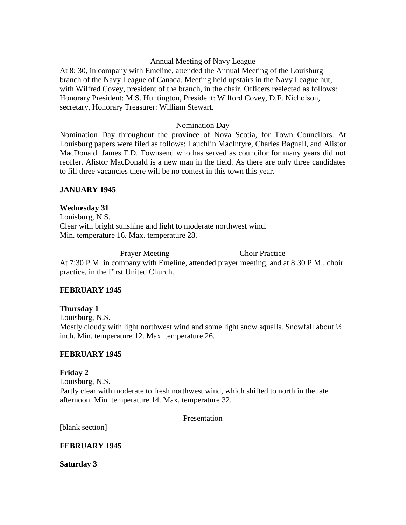# Annual Meeting of Navy League

At 8: 30, in company with Emeline, attended the Annual Meeting of the Louisburg branch of the Navy League of Canada. Meeting held upstairs in the Navy League hut, with Wilfred Covey, president of the branch, in the chair. Officers reelected as follows: Honorary President: M.S. Huntington, President: Wilford Covey, D.F. Nicholson, secretary, Honorary Treasurer: William Stewart.

# Nomination Day

Nomination Day throughout the province of Nova Scotia, for Town Councilors. At Louisburg papers were filed as follows: Lauchlin MacIntyre, Charles Bagnall, and Alistor MacDonald. James F.D. Townsend who has served as councilor for many years did not reoffer. Alistor MacDonald is a new man in the field. As there are only three candidates to fill three vacancies there will be no contest in this town this year.

# **JANUARY 1945**

# **Wednesday 31**

Louisburg, N.S. Clear with bright sunshine and light to moderate northwest wind. Min. temperature 16. Max. temperature 28.

Prayer Meeting Choir Practice At 7:30 P.M. in company with Emeline, attended prayer meeting, and at 8:30 P.M., choir practice, in the First United Church.

# **FEBRUARY 1945**

# **Thursday 1**

Louisburg, N.S. Mostly cloudy with light northwest wind and some light snow squalls. Snowfall about  $\frac{1}{2}$ inch. Min. temperature 12. Max. temperature 26.

# **FEBRUARY 1945**

# **Friday 2** Louisburg, N.S. Partly clear with moderate to fresh northwest wind, which shifted to north in the late afternoon. Min. temperature 14. Max. temperature 32.

Presentation

[blank section]

# **FEBRUARY 1945**

**Saturday 3**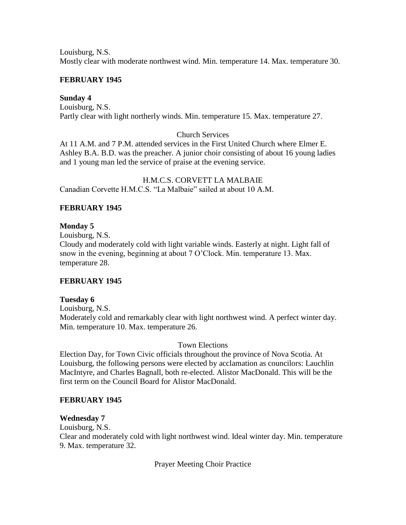Louisburg, N.S. Mostly clear with moderate northwest wind. Min. temperature 14. Max. temperature 30.

# **FEBRUARY 1945**

# **Sunday 4**

Louisburg, N.S. Partly clear with light northerly winds. Min. temperature 15. Max. temperature 27.

# Church Services

At 11 A.M. and 7 P.M. attended services in the First United Church where Elmer E. Ashley B.A. B.D. was the preacher. A junior choir consisting of about 16 young ladies and 1 young man led the service of praise at the evening service.

H.M.C.S. CORVETT LA MALBAIE Canadian Corvette H.M.C.S. "La Malbaie" sailed at about 10 A.M.

# **FEBRUARY 1945**

# **Monday 5**

Louisburg, N.S.

Cloudy and moderately cold with light variable winds. Easterly at night. Light fall of snow in the evening, beginning at about 7 O'Clock. Min. temperature 13. Max. temperature 28.

# **FEBRUARY 1945**

# **Tuesday 6**

Louisburg, N.S. Moderately cold and remarkably clear with light northwest wind. A perfect winter day. Min. temperature 10. Max. temperature 26.

# Town Elections

Election Day, for Town Civic officials throughout the province of Nova Scotia. At Louisburg, the following persons were elected by acclamation as councilors: Lauchlin MacIntyre, and Charles Bagnall, both re-elected. Alistor MacDonald. This will be the first term on the Council Board for Alistor MacDonald.

# **FEBRUARY 1945**

# **Wednesday 7**

Louisburg, N.S.

Clear and moderately cold with light northwest wind. Ideal winter day. Min. temperature 9. Max. temperature 32.

Prayer Meeting Choir Practice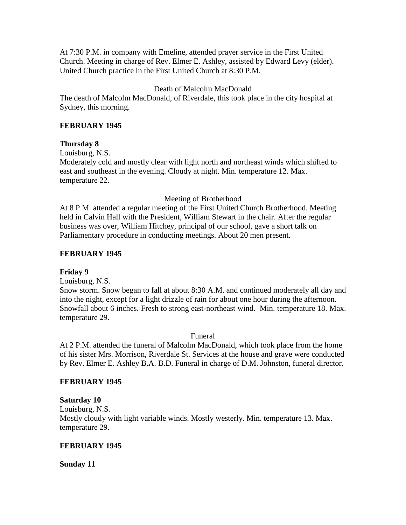At 7:30 P.M. in company with Emeline, attended prayer service in the First United Church. Meeting in charge of Rev. Elmer E. Ashley, assisted by Edward Levy (elder). United Church practice in the First United Church at 8:30 P.M.

# Death of Malcolm MacDonald

The death of Malcolm MacDonald, of Riverdale, this took place in the city hospital at Sydney, this morning.

# **FEBRUARY 1945**

# **Thursday 8**

Louisburg, N.S.

Moderately cold and mostly clear with light north and northeast winds which shifted to east and southeast in the evening. Cloudy at night. Min. temperature 12. Max. temperature 22.

# Meeting of Brotherhood

At 8 P.M. attended a regular meeting of the First United Church Brotherhood. Meeting held in Calvin Hall with the President, William Stewart in the chair. After the regular business was over, William Hitchey, principal of our school, gave a short talk on Parliamentary procedure in conducting meetings. About 20 men present.

# **FEBRUARY 1945**

# **Friday 9**

Louisburg, N.S.

Snow storm. Snow began to fall at about 8:30 A.M. and continued moderately all day and into the night, except for a light drizzle of rain for about one hour during the afternoon. Snowfall about 6 inches. Fresh to strong east-northeast wind. Min. temperature 18. Max. temperature 29.

# Funeral

At 2 P.M. attended the funeral of Malcolm MacDonald, which took place from the home of his sister Mrs. Morrison, Riverdale St. Services at the house and grave were conducted by Rev. Elmer E. Ashley B.A. B.D. Funeral in charge of D.M. Johnston, funeral director.

# **FEBRUARY 1945**

# **Saturday 10**

Louisburg, N.S. Mostly cloudy with light variable winds. Mostly westerly. Min. temperature 13. Max. temperature 29.

# **FEBRUARY 1945**

**Sunday 11**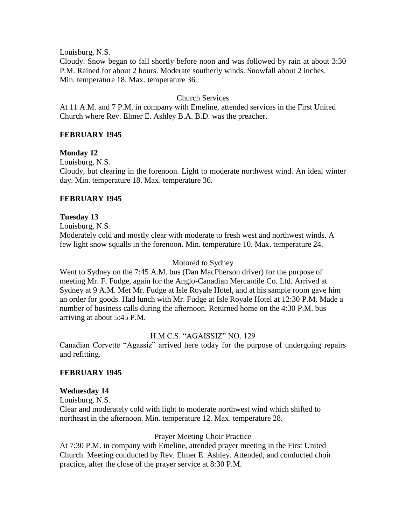Louisburg, N.S.

Cloudy. Snow began to fall shortly before noon and was followed by rain at about 3:30 P.M. Rained for about 2 hours. Moderate southerly winds. Snowfall about 2 inches. Min. temperature 18. Max. temperature 36.

# Church Services

At 11 A.M. and 7 P.M. in company with Emeline, attended services in the First United Church where Rev. Elmer E. Ashley B.A. B.D. was the preacher.

# **FEBRUARY 1945**

# **Monday 12**

Louisburg, N.S.

Cloudy, but clearing in the forenoon. Light to moderate northwest wind. An ideal winter day. Min. temperature 18. Max. temperature 36.

# **FEBRUARY 1945**

# **Tuesday 13**

Louisburg, N.S.

Moderately cold and mostly clear with moderate to fresh west and northwest winds. A few light snow squalls in the forenoon. Min. temperature 10. Max. temperature 24.

#### Motored to Sydney

Went to Sydney on the 7:45 A.M. bus (Dan MacPherson driver) for the purpose of meeting Mr. F. Fudge, again for the Anglo-Canadian Mercantile Co. Ltd. Arrived at Sydney at 9 A.M. Met Mr. Fudge at Isle Royale Hotel, and at his sample room gave him an order for goods. Had lunch with Mr. Fudge at Isle Royale Hotel at 12:30 P.M. Made a number of business calls during the afternoon. Returned home on the 4:30 P.M. bus arriving at about 5:45 P.M.

# H.M.C.S. "AGAISSIZ" NO. 129

Canadian Corvette "Agassiz" arrived here today for the purpose of undergoing repairs and refitting.

# **FEBRUARY 1945**

#### **Wednesday 14**

Louisburg, N.S. Clear and moderately cold with light to moderate northwest wind which shifted to northeast in the afternoon. Min. temperature 12. Max. temperature 28.

#### Prayer Meeting Choir Practice

At 7:30 P.M. in company with Emeline, attended prayer meeting in the First United Church. Meeting conducted by Rev. Elmer E. Ashley. Attended, and conducted choir practice, after the close of the prayer service at 8:30 P.M.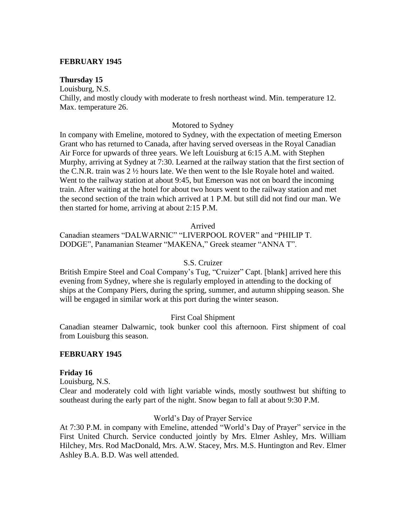#### **FEBRUARY 1945**

#### **Thursday 15**

Louisburg, N.S.

Chilly, and mostly cloudy with moderate to fresh northeast wind. Min. temperature 12. Max. temperature 26.

#### Motored to Sydney

In company with Emeline, motored to Sydney, with the expectation of meeting Emerson Grant who has returned to Canada, after having served overseas in the Royal Canadian Air Force for upwards of three years. We left Louisburg at 6:15 A.M. with Stephen Murphy, arriving at Sydney at 7:30. Learned at the railway station that the first section of the C.N.R. train was 2 ½ hours late. We then went to the Isle Royale hotel and waited. Went to the railway station at about 9:45, but Emerson was not on board the incoming train. After waiting at the hotel for about two hours went to the railway station and met the second section of the train which arrived at 1 P.M. but still did not find our man. We then started for home, arriving at about 2:15 P.M.

#### Arrived

Canadian steamers "DALWARNIC" "LIVERPOOL ROVER" and "PHILIP T. DODGE", Panamanian Steamer "MAKENA," Greek steamer "ANNA T".

#### S.S. Cruizer

British Empire Steel and Coal Company's Tug, "Cruizer" Capt. [blank] arrived here this evening from Sydney, where she is regularly employed in attending to the docking of ships at the Company Piers, during the spring, summer, and autumn shipping season. She will be engaged in similar work at this port during the winter season.

#### First Coal Shipment

Canadian steamer Dalwarnic, took bunker cool this afternoon. First shipment of coal from Louisburg this season.

#### **FEBRUARY 1945**

#### **Friday 16**

Louisburg, N.S.

Clear and moderately cold with light variable winds, mostly southwest but shifting to southeast during the early part of the night. Snow began to fall at about 9:30 P.M.

#### World's Day of Prayer Service

At 7:30 P.M. in company with Emeline, attended "World's Day of Prayer" service in the First United Church. Service conducted jointly by Mrs. Elmer Ashley, Mrs. William Hilchey, Mrs. Rod MacDonald, Mrs. A.W. Stacey, Mrs. M.S. Huntington and Rev. Elmer Ashley B.A. B.D. Was well attended.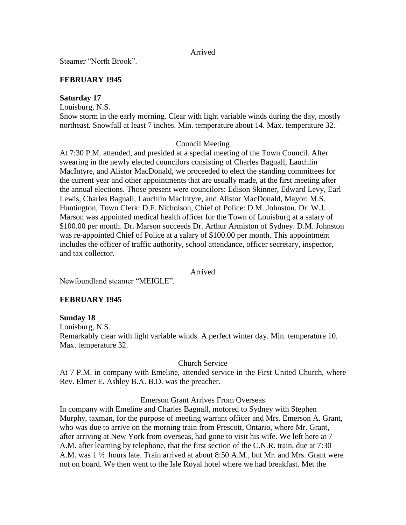#### Arrived

Steamer "North Brook".

# **FEBRUARY 1945**

# **Saturday 17**

Louisburg, N.S.

Snow storm in the early morning. Clear with light variable winds during the day, mostly northeast. Snowfall at least 7 inches. Min. temperature about 14. Max. temperature 32.

# Council Meeting

At 7:30 P.M. attended, and presided at a special meeting of the Town Council. After swearing in the newly elected councilors consisting of Charles Bagnall, Lauchlin MacIntyre, and Alistor MacDonald, we proceeded to elect the standing committees for the current year and other appointments that are usually made, at the first meeting after the annual elections. Those present were councilors: Edison Skinner, Edward Levy, Earl Lewis, Charles Bagnall, Lauchlin MacIntyre, and Alistor MacDonald, Mayor: M.S. Huntington, Town Clerk: D.F. Nicholson, Chief of Police: D.M. Johnston. Dr. W.J. Marson was appointed medical health officer for the Town of Louisburg at a salary of \$100.00 per month. Dr. Marson succeeds Dr. Arthur Armiston of Sydney. D.M. Johnston was re-appointed Chief of Police at a salary of \$100.00 per month. This appointment includes the officer of traffic authority, school attendance, officer secretary, inspector, and tax collector.

# Arrived

Newfoundland steamer "MEIGLE".

# **FEBRUARY 1945**

# **Sunday 18**

Louisburg, N.S. Remarkably clear with light variable winds. A perfect winter day. Min. temperature 10. Max. temperature 32.

# Church Service

At 7 P.M. in company with Emeline, attended service in the First United Church, where Rev. Elmer E. Ashley B.A. B.D. was the preacher.

# Emerson Grant Arrives From Overseas

In company with Emeline and Charles Bagnall, motored to Sydney with Stephen Murphy, taxman, for the purpose of meeting warrant officer and Mrs. Emerson A. Grant, who was due to arrive on the morning train from Prescott, Ontario, where Mr. Grant, after arriving at New York from overseas, had gone to visit his wife. We left here at 7 A.M. after learning by telephone, that the first section of the C.N.R. train, due at 7:30 A.M. was 1 ½ hours late. Train arrived at about 8:50 A.M., but Mr. and Mrs. Grant were not on board. We then went to the Isle Royal hotel where we had breakfast. Met the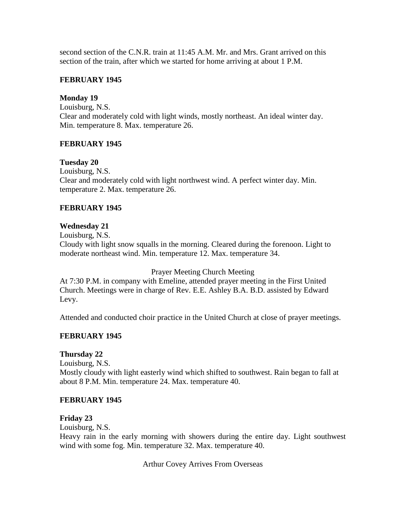second section of the C.N.R. train at 11:45 A.M. Mr. and Mrs. Grant arrived on this section of the train, after which we started for home arriving at about 1 P.M.

# **FEBRUARY 1945**

# **Monday 19**

Louisburg, N.S. Clear and moderately cold with light winds, mostly northeast. An ideal winter day. Min. temperature 8. Max. temperature 26.

# **FEBRUARY 1945**

# **Tuesday 20**

Louisburg, N.S. Clear and moderately cold with light northwest wind. A perfect winter day. Min. temperature 2. Max. temperature 26.

# **FEBRUARY 1945**

# **Wednesday 21**

Louisburg, N.S. Cloudy with light snow squalls in the morning. Cleared during the forenoon. Light to moderate northeast wind. Min. temperature 12. Max. temperature 34.

Prayer Meeting Church Meeting

At 7:30 P.M. in company with Emeline, attended prayer meeting in the First United Church. Meetings were in charge of Rev. E.E. Ashley B.A. B.D. assisted by Edward Levy.

Attended and conducted choir practice in the United Church at close of prayer meetings.

# **FEBRUARY 1945**

# **Thursday 22**

Louisburg, N.S. Mostly cloudy with light easterly wind which shifted to southwest. Rain began to fall at about 8 P.M. Min. temperature 24. Max. temperature 40.

# **FEBRUARY 1945**

# **Friday 23**

Louisburg, N.S.

Heavy rain in the early morning with showers during the entire day. Light southwest wind with some fog. Min. temperature 32. Max. temperature 40.

Arthur Covey Arrives From Overseas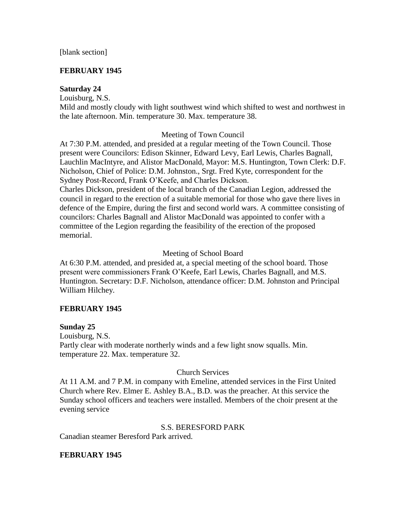# **FEBRUARY 1945**

# **Saturday 24**

Louisburg, N.S.

Mild and mostly cloudy with light southwest wind which shifted to west and northwest in the late afternoon. Min. temperature 30. Max. temperature 38.

# Meeting of Town Council

At 7:30 P.M. attended, and presided at a regular meeting of the Town Council. Those present were Councilors: Edison Skinner, Edward Levy, Earl Lewis, Charles Bagnall, Lauchlin MacIntyre, and Alistor MacDonald, Mayor: M.S. Huntington, Town Clerk: D.F. Nicholson, Chief of Police: D.M. Johnston., Srgt. Fred Kyte, correspondent for the Sydney Post-Record, Frank O'Keefe, and Charles Dickson.

Charles Dickson, president of the local branch of the Canadian Legion, addressed the council in regard to the erection of a suitable memorial for those who gave there lives in defence of the Empire, during the first and second world wars. A committee consisting of councilors: Charles Bagnall and Alistor MacDonald was appointed to confer with a committee of the Legion regarding the feasibility of the erection of the proposed memorial.

# Meeting of School Board

At 6:30 P.M. attended, and presided at, a special meeting of the school board. Those present were commissioners Frank O'Keefe, Earl Lewis, Charles Bagnall, and M.S. Huntington. Secretary: D.F. Nicholson, attendance officer: D.M. Johnston and Principal William Hilchey.

# **FEBRUARY 1945**

# **Sunday 25**

Louisburg, N.S. Partly clear with moderate northerly winds and a few light snow squalls. Min. temperature 22. Max. temperature 32.

# Church Services

At 11 A.M. and 7 P.M. in company with Emeline, attended services in the First United Church where Rev. Elmer E. Ashley B.A., B.D. was the preacher. At this service the Sunday school officers and teachers were installed. Members of the choir present at the evening service

# S.S. BERESFORD PARK

Canadian steamer Beresford Park arrived.

# **FEBRUARY 1945**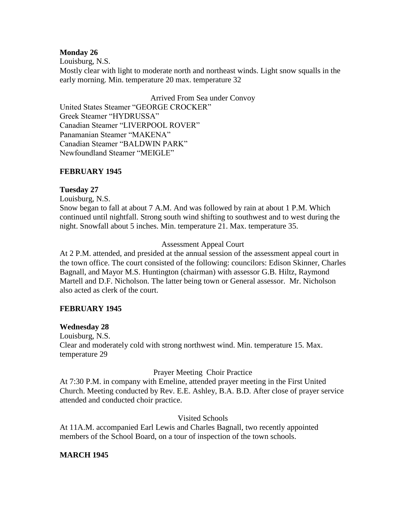# **Monday 26**

Louisburg, N.S.

Mostly clear with light to moderate north and northeast winds. Light snow squalls in the early morning. Min. temperature 20 max. temperature 32

Arrived From Sea under Convoy United States Steamer "GEORGE CROCKER" Greek Steamer "HYDRUSSA" Canadian Steamer "LIVERPOOL ROVER" Panamanian Steamer "MAKENA" Canadian Steamer "BALDWIN PARK" Newfoundland Steamer "MEIGLE"

# **FEBRUARY 1945**

# **Tuesday 27**

Louisburg, N.S.

Snow began to fall at about 7 A.M. And was followed by rain at about 1 P.M. Which continued until nightfall. Strong south wind shifting to southwest and to west during the night. Snowfall about 5 inches. Min. temperature 21. Max. temperature 35.

# Assessment Appeal Court

At 2 P.M. attended, and presided at the annual session of the assessment appeal court in the town office. The court consisted of the following: councilors: Edison Skinner, Charles Bagnall, and Mayor M.S. Huntington (chairman) with assessor G.B. Hiltz, Raymond Martell and D.F. Nicholson. The latter being town or General assessor. Mr. Nicholson also acted as clerk of the court.

# **FEBRUARY 1945**

# **Wednesday 28**

Louisburg, N.S. Clear and moderately cold with strong northwest wind. Min. temperature 15. Max. temperature 29

# Prayer Meeting Choir Practice

At 7:30 P.M. in company with Emeline, attended prayer meeting in the First United Church. Meeting conducted by Rev. E.E. Ashley, B.A. B.D. After close of prayer service attended and conducted choir practice.

# Visited Schools

At 11A.M. accompanied Earl Lewis and Charles Bagnall, two recently appointed members of the School Board, on a tour of inspection of the town schools.

# **MARCH 1945**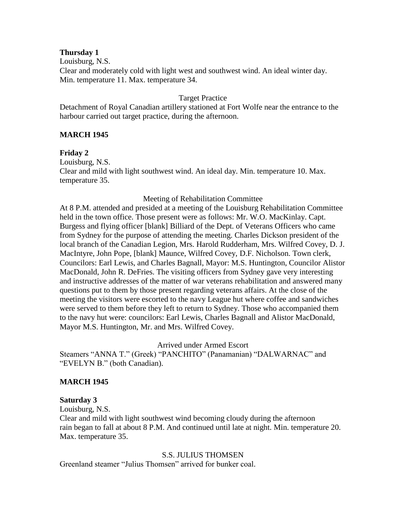#### **Thursday 1**

Louisburg, N.S. Clear and moderately cold with light west and southwest wind. An ideal winter day. Min. temperature 11. Max. temperature 34.

# Target Practice

Detachment of Royal Canadian artillery stationed at Fort Wolfe near the entrance to the harbour carried out target practice, during the afternoon.

# **MARCH 1945**

# **Friday 2**

Louisburg, N.S. Clear and mild with light southwest wind. An ideal day. Min. temperature 10. Max. temperature 35.

#### Meeting of Rehabilitation Committee

At 8 P.M. attended and presided at a meeting of the Louisburg Rehabilitation Committee held in the town office. Those present were as follows: Mr. W.O. MacKinlay. Capt. Burgess and flying officer [blank] Billiard of the Dept. of Veterans Officers who came from Sydney for the purpose of attending the meeting. Charles Dickson president of the local branch of the Canadian Legion, Mrs. Harold Rudderham, Mrs. Wilfred Covey, D. J. MacIntyre, John Pope, [blank] Maunce, Wilfred Covey, D.F. Nicholson. Town clerk, Councilors: Earl Lewis, and Charles Bagnall, Mayor: M.S. Huntington, Councilor Alistor MacDonald, John R. DeFries. The visiting officers from Sydney gave very interesting and instructive addresses of the matter of war veterans rehabilitation and answered many questions put to them by those present regarding veterans affairs. At the close of the meeting the visitors were escorted to the navy League hut where coffee and sandwiches were served to them before they left to return to Sydney. Those who accompanied them to the navy hut were: councilors: Earl Lewis, Charles Bagnall and Alistor MacDonald, Mayor M.S. Huntington, Mr. and Mrs. Wilfred Covey.

Arrived under Armed Escort

Steamers "ANNA T." (Greek) "PANCHITO" (Panamanian) "DALWARNAC" and "EVELYN B." (both Canadian).

# **MARCH 1945**

#### **Saturday 3**

Louisburg, N.S.

Clear and mild with light southwest wind becoming cloudy during the afternoon rain began to fall at about 8 P.M. And continued until late at night. Min. temperature 20. Max. temperature 35.

#### S.S. JULIUS THOMSEN

Greenland steamer "Julius Thomsen" arrived for bunker coal.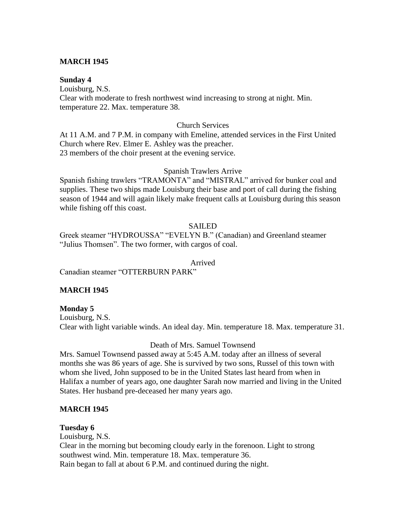# **MARCH 1945**

#### **Sunday 4**

Louisburg, N.S. Clear with moderate to fresh northwest wind increasing to strong at night. Min. temperature 22. Max. temperature 38.

#### Church Services

At 11 A.M. and 7 P.M. in company with Emeline, attended services in the First United Church where Rev. Elmer E. Ashley was the preacher. 23 members of the choir present at the evening service.

#### Spanish Trawlers Arrive

Spanish fishing trawlers "TRAMONTA" and "MISTRAL" arrived for bunker coal and supplies. These two ships made Louisburg their base and port of call during the fishing season of 1944 and will again likely make frequent calls at Louisburg during this season while fishing off this coast.

# SAILED

Greek steamer "HYDROUSSA" "EVELYN B." (Canadian) and Greenland steamer "Julius Thomsen". The two former, with cargos of coal.

#### Arrived

Canadian steamer "OTTERBURN PARK"

# **MARCH 1945**

**Monday 5** Louisburg, N.S. Clear with light variable winds. An ideal day. Min. temperature 18. Max. temperature 31.

# Death of Mrs. Samuel Townsend

Mrs. Samuel Townsend passed away at 5:45 A.M. today after an illness of several months she was 86 years of age. She is survived by two sons, Russel of this town with whom she lived, John supposed to be in the United States last heard from when in Halifax a number of years ago, one daughter Sarah now married and living in the United States. Her husband pre-deceased her many years ago.

# **MARCH 1945**

# **Tuesday 6** Louisburg, N.S.

Clear in the morning but becoming cloudy early in the forenoon. Light to strong southwest wind. Min. temperature 18. Max. temperature 36. Rain began to fall at about 6 P.M. and continued during the night.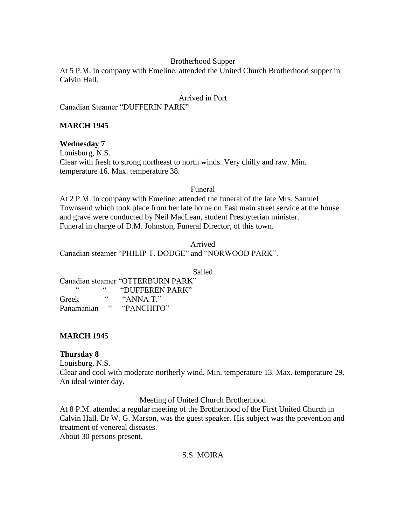# Brotherhood Supper

At 5 P.M. in company with Emeline, attended the United Church Brotherhood supper in Calvin Hall.

# Arrived in Port

Canadian Steamer "DUFFERIN PARK"

# **MARCH 1945**

# **Wednesday 7**

Louisburg, N.S. Clear with fresh to strong northeast to north winds. Very chilly and raw. Min. temperature 16. Max. temperature 38.

#### Funeral

At 2 P.M. in company with Emeline, attended the funeral of the late Mrs. Samuel Townsend which took place from her late home on East main street service at the house and grave were conducted by Neil MacLean, student Presbyterian minister. Funeral in charge of D.M. Johnston, Funeral Director, of this town.

Arrived Canadian steamer "PHILIP T. DODGE" and "NORWOOD PARK".

Sailed

Canadian steamer "OTTERBURN PARK" "  $"$  "DUFFEREN PARK" Greek "ANNA T." Panamanian "PANCHITO"

# **MARCH 1945**

# **Thursday 8**

Louisburg, N.S.

Clear and cool with moderate northerly wind. Min. temperature 13. Max. temperature 29. An ideal winter day.

Meeting of United Church Brotherhood

At 8 P.M. attended a regular meeting of the Brotherhood of the First United Church in Calvin Hall. Dr W. G. Marson, was the guest speaker. His subject was the prevention and treatment of venereal diseases.

About 30 persons present.

# S.S. MOIRA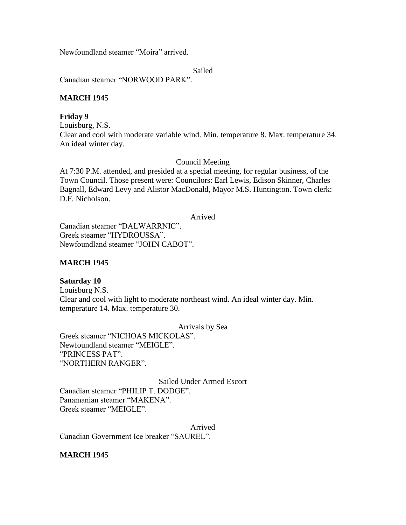Newfoundland steamer "Moira" arrived.

Sailed

Canadian steamer "NORWOOD PARK".

# **MARCH 1945**

# **Friday 9**

Louisburg, N.S. Clear and cool with moderate variable wind. Min. temperature 8. Max. temperature 34. An ideal winter day.

# Council Meeting

At 7:30 P.M. attended, and presided at a special meeting, for regular business, of the Town Council. Those present were: Councilors: Earl Lewis, Edison Skinner, Charles Bagnall, Edward Levy and Alistor MacDonald, Mayor M.S. Huntington. Town clerk: D.F. Nicholson.

Arrived

Canadian steamer "DALWARRNIC". Greek steamer "HYDROUSSA". Newfoundland steamer "JOHN CABOT".

# **MARCH 1945**

# **Saturday 10**

Louisburg N.S. Clear and cool with light to moderate northeast wind. An ideal winter day. Min. temperature 14. Max. temperature 30.

Arrivals by Sea

Greek steamer "NICHOAS MICKOLAS". Newfoundland steamer "MEIGLE". "PRINCESS PAT". "NORTHERN RANGER".

Sailed Under Armed Escort Canadian steamer "PHILIP T. DODGE". Panamanian steamer "MAKENA". Greek steamer "MEIGLE".

Arrived

Canadian Government Ice breaker "SAUREL".

# **MARCH 1945**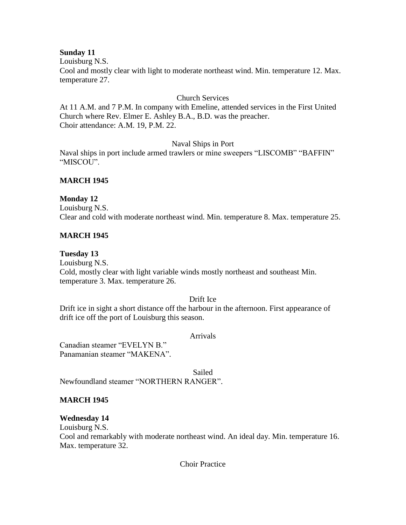# **Sunday 11**

Louisburg N.S.

Cool and mostly clear with light to moderate northeast wind. Min. temperature 12. Max. temperature 27.

# Church Services

At 11 A.M. and 7 P.M. In company with Emeline, attended services in the First United Church where Rev. Elmer E. Ashley B.A., B.D. was the preacher. Choir attendance: A.M. 19, P.M. 22.

# Naval Ships in Port

Naval ships in port include armed trawlers or mine sweepers "LISCOMB" "BAFFIN" "MISCOU".

# **MARCH 1945**

# **Monday 12**

Louisburg N.S. Clear and cold with moderate northeast wind. Min. temperature 8. Max. temperature 25.

# **MARCH 1945**

# **Tuesday 13**

Louisburg N.S. Cold, mostly clear with light variable winds mostly northeast and southeast Min. temperature 3. Max. temperature 26.

# Drift Ice

Drift ice in sight a short distance off the harbour in the afternoon. First appearance of drift ice off the port of Louisburg this season.

#### Arrivals

Canadian steamer "EVELYN B." Panamanian steamer "MAKENA".

Sailed Newfoundland steamer "NORTHERN RANGER".

# **MARCH 1945**

# **Wednesday 14**

Louisburg N.S.

Cool and remarkably with moderate northeast wind. An ideal day. Min. temperature 16. Max. temperature 32.

Choir Practice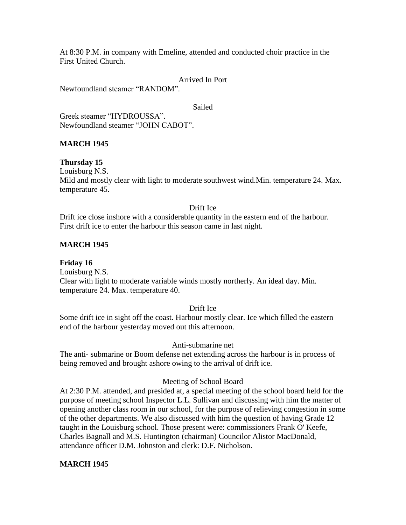At 8:30 P.M. in company with Emeline, attended and conducted choir practice in the First United Church.

Arrived In Port

Newfoundland steamer "RANDOM".

Sailed

Greek steamer "HYDROUSSA". Newfoundland steamer "JOHN CABOT".

# **MARCH 1945**

# **Thursday 15**

Louisburg N.S.

Mild and mostly clear with light to moderate southwest wind.Min. temperature 24. Max. temperature 45.

#### Drift Ice

Drift ice close inshore with a considerable quantity in the eastern end of the harbour. First drift ice to enter the harbour this season came in last night.

# **MARCH 1945**

**Friday 16** Louisburg N.S. Clear with light to moderate variable winds mostly northerly. An ideal day. Min. temperature 24. Max. temperature 40.

# Drift Ice

Some drift ice in sight off the coast. Harbour mostly clear. Ice which filled the eastern end of the harbour yesterday moved out this afternoon.

# Anti-submarine net

The anti- submarine or Boom defense net extending across the harbour is in process of being removed and brought ashore owing to the arrival of drift ice.

#### Meeting of School Board

At 2:30 P.M. attended, and presided at, a special meeting of the school board held for the purpose of meeting school Inspector L.L. Sullivan and discussing with him the matter of opening another class room in our school, for the purpose of relieving congestion in some of the other departments. We also discussed with him the question of having Grade 12 taught in the Louisburg school. Those present were: commissioners Frank O' Keefe, Charles Bagnall and M.S. Huntington (chairman) Councilor Alistor MacDonald, attendance officer D.M. Johnston and clerk: D.F. Nicholson.

# **MARCH 1945**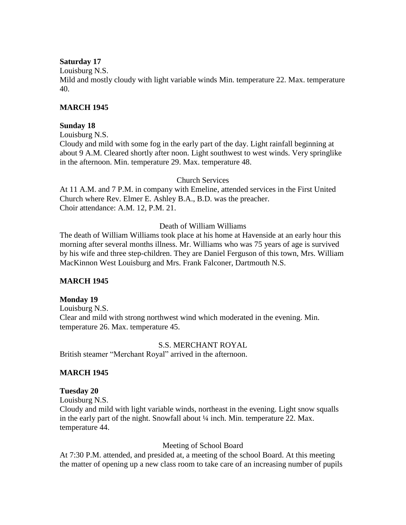# **Saturday 17**

Louisburg N.S.

Mild and mostly cloudy with light variable winds Min. temperature 22. Max. temperature 40.

# **MARCH 1945**

# **Sunday 18**

Louisburg N.S.

Cloudy and mild with some fog in the early part of the day. Light rainfall beginning at about 9 A.M. Cleared shortly after noon. Light southwest to west winds. Very springlike in the afternoon. Min. temperature 29. Max. temperature 48.

#### Church Services

At 11 A.M. and 7 P.M. in company with Emeline, attended services in the First United Church where Rev. Elmer E. Ashley B.A., B.D. was the preacher. Choir attendance: A.M. 12, P.M. 21.

# Death of William Williams

The death of William Williams took place at his home at Havenside at an early hour this morning after several months illness. Mr. Williams who was 75 years of age is survived by his wife and three step-children. They are Daniel Ferguson of this town, Mrs. William MacKinnon West Louisburg and Mrs. Frank Falconer, Dartmouth N.S.

# **MARCH 1945**

# **Monday 19**

Louisburg N.S. Clear and mild with strong northwest wind which moderated in the evening. Min. temperature 26. Max. temperature 45.

# S.S. MERCHANT ROYAL

British steamer "Merchant Royal" arrived in the afternoon.

# **MARCH 1945**

# **Tuesday 20**

Louisburg N.S.

Cloudy and mild with light variable winds, northeast in the evening. Light snow squalls in the early part of the night. Snowfall about  $\frac{1}{4}$  inch. Min. temperature 22. Max. temperature 44.

# Meeting of School Board

At 7:30 P.M. attended, and presided at, a meeting of the school Board. At this meeting the matter of opening up a new class room to take care of an increasing number of pupils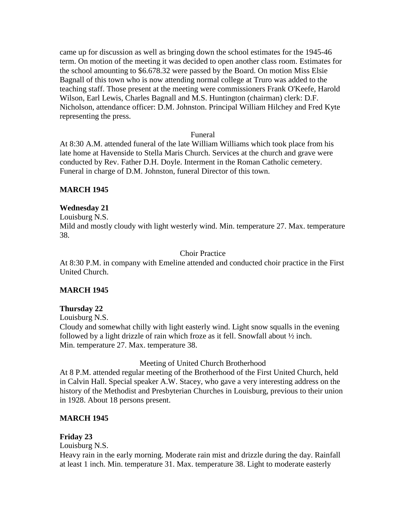came up for discussion as well as bringing down the school estimates for the 1945-46 term. On motion of the meeting it was decided to open another class room. Estimates for the school amounting to \$6.678.32 were passed by the Board. On motion Miss Elsie Bagnall of this town who is now attending normal college at Truro was added to the teaching staff. Those present at the meeting were commissioners Frank O'Keefe, Harold Wilson, Earl Lewis, Charles Bagnall and M.S. Huntington (chairman) clerk: D.F. Nicholson, attendance officer: D.M. Johnston. Principal William Hilchey and Fred Kyte representing the press.

# Funeral

At 8:30 A.M. attended funeral of the late William Williams which took place from his late home at Havenside to Stella Maris Church. Services at the church and grave were conducted by Rev. Father D.H. Doyle. Interment in the Roman Catholic cemetery. Funeral in charge of D.M. Johnston, funeral Director of this town.

# **MARCH 1945**

#### **Wednesday 21**

Louisburg N.S.

Mild and mostly cloudy with light westerly wind. Min. temperature 27. Max. temperature 38.

#### Choir Practice

At 8:30 P.M. in company with Emeline attended and conducted choir practice in the First United Church.

#### **MARCH 1945**

#### **Thursday 22**

Louisburg N.S.

Cloudy and somewhat chilly with light easterly wind. Light snow squalls in the evening followed by a light drizzle of rain which froze as it fell. Snowfall about ½ inch. Min. temperature 27. Max. temperature 38.

#### Meeting of United Church Brotherhood

At 8 P.M. attended regular meeting of the Brotherhood of the First United Church, held in Calvin Hall. Special speaker A.W. Stacey, who gave a very interesting address on the history of the Methodist and Presbyterian Churches in Louisburg, previous to their union in 1928. About 18 persons present.

#### **MARCH 1945**

# **Friday 23**

Louisburg N.S.

Heavy rain in the early morning. Moderate rain mist and drizzle during the day. Rainfall at least 1 inch. Min. temperature 31. Max. temperature 38. Light to moderate easterly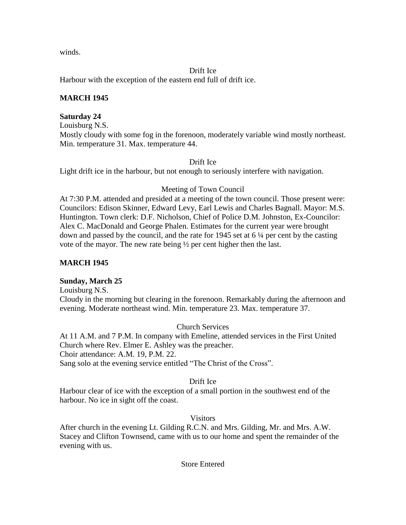winds.

Drift Ice

Harbour with the exception of the eastern end full of drift ice.

# **MARCH 1945**

# **Saturday 24**

Louisburg N.S. Mostly cloudy with some fog in the forenoon, moderately variable wind mostly northeast. Min. temperature 31. Max. temperature 44.

# Drift Ice

Light drift ice in the harbour, but not enough to seriously interfere with navigation.

# Meeting of Town Council

At 7:30 P.M. attended and presided at a meeting of the town council. Those present were: Councilors: Edison Skinner, Edward Levy, Earl Lewis and Charles Bagnall. Mayor: M.S. Huntington. Town clerk: D.F. Nicholson, Chief of Police D.M. Johnston, Ex-Councilor: Alex C. MacDonald and George Phalen. Estimates for the current year were brought down and passed by the council, and the rate for 1945 set at 6 ¼ per cent by the casting vote of the mayor. The new rate being ½ per cent higher then the last.

# **MARCH 1945**

# **Sunday, March 25**

Louisburg N.S.

Cloudy in the morning but clearing in the forenoon. Remarkably during the afternoon and evening. Moderate northeast wind. Min. temperature 23. Max. temperature 37.

# Church Services

At 11 A.M. and 7 P.M. In company with Emeline, attended services in the First United Church where Rev. Elmer E. Ashley was the preacher. Choir attendance: A.M. 19, P.M. 22. Sang solo at the evening service entitled "The Christ of the Cross".

# Drift Ice

Harbour clear of ice with the exception of a small portion in the southwest end of the harbour. No ice in sight off the coast.

# Visitors

After church in the evening Lt. Gilding R.C.N. and Mrs. Gilding, Mr. and Mrs. A.W. Stacey and Clifton Townsend, came with us to our home and spent the remainder of the evening with us.

# Store Entered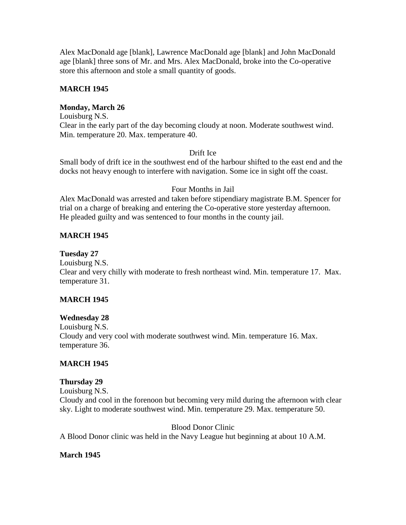Alex MacDonald age [blank], Lawrence MacDonald age [blank] and John MacDonald age [blank] three sons of Mr. and Mrs. Alex MacDonald, broke into the Co-operative store this afternoon and stole a small quantity of goods.

# **MARCH 1945**

# **Monday, March 26**

Louisburg N.S. Clear in the early part of the day becoming cloudy at noon. Moderate southwest wind. Min. temperature 20. Max. temperature 40.

# Drift Ice

Small body of drift ice in the southwest end of the harbour shifted to the east end and the docks not heavy enough to interfere with navigation. Some ice in sight off the coast.

# Four Months in Jail

Alex MacDonald was arrested and taken before stipendiary magistrate B.M. Spencer for trial on a charge of breaking and entering the Co-operative store yesterday afternoon. He pleaded guilty and was sentenced to four months in the county jail.

# **MARCH 1945**

# **Tuesday 27**

Louisburg N.S. Clear and very chilly with moderate to fresh northeast wind. Min. temperature 17. Max. temperature 31.

# **MARCH 1945**

# **Wednesday 28**

Louisburg N.S. Cloudy and very cool with moderate southwest wind. Min. temperature 16. Max. temperature 36.

# **MARCH 1945**

# **Thursday 29**

Louisburg N.S. Cloudy and cool in the forenoon but becoming very mild during the afternoon with clear sky. Light to moderate southwest wind. Min. temperature 29. Max. temperature 50.

Blood Donor Clinic A Blood Donor clinic was held in the Navy League hut beginning at about 10 A.M.

# **March 1945**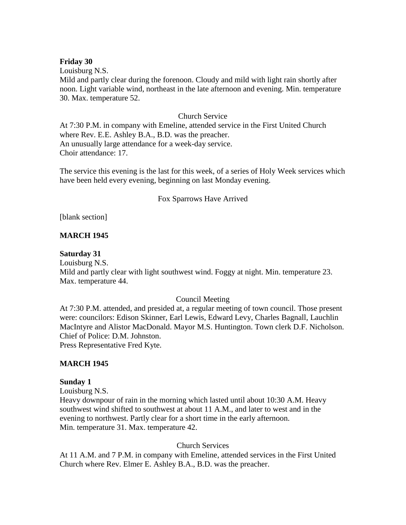#### **Friday 30**

Louisburg N.S.

Mild and partly clear during the forenoon. Cloudy and mild with light rain shortly after noon. Light variable wind, northeast in the late afternoon and evening. Min. temperature 30. Max. temperature 52.

#### Church Service

At 7:30 P.M. in company with Emeline, attended service in the First United Church where Rev. E.E. Ashley B.A., B.D. was the preacher. An unusually large attendance for a week-day service. Choir attendance: 17.

The service this evening is the last for this week, of a series of Holy Week services which have been held every evening, beginning on last Monday evening.

#### Fox Sparrows Have Arrived

[blank section]

# **MARCH 1945**

#### **Saturday 31**

Louisburg N.S. Mild and partly clear with light southwest wind. Foggy at night. Min. temperature 23. Max. temperature 44.

#### Council Meeting

At 7:30 P.M. attended, and presided at, a regular meeting of town council. Those present were: councilors: Edison Skinner, Earl Lewis, Edward Levy, Charles Bagnall, Lauchlin MacIntyre and Alistor MacDonald. Mayor M.S. Huntington. Town clerk D.F. Nicholson. Chief of Police: D.M. Johnston. Press Representative Fred Kyte.

#### **MARCH 1945**

#### **Sunday 1**

Louisburg N.S.

Heavy downpour of rain in the morning which lasted until about 10:30 A.M. Heavy southwest wind shifted to southwest at about 11 A.M., and later to west and in the evening to northwest. Partly clear for a short time in the early afternoon. Min. temperature 31. Max. temperature 42.

#### Church Services

At 11 A.M. and 7 P.M. in company with Emeline, attended services in the First United Church where Rev. Elmer E. Ashley B.A., B.D. was the preacher.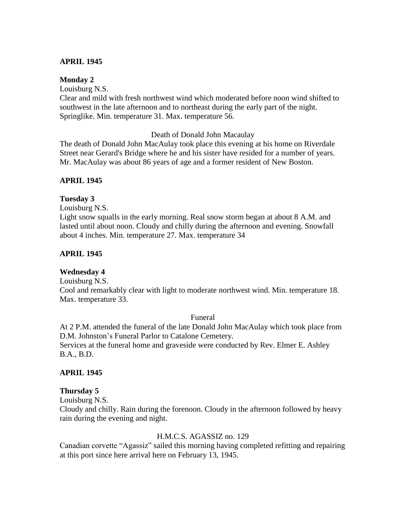# **APRIL 1945**

#### **Monday 2**

Louisburg N.S.

Clear and mild with fresh northwest wind which moderated before noon wind shifted to southwest in the late afternoon and to northeast during the early part of the night. Springlike. Min. temperature 31. Max. temperature 56.

Death of Donald John Macaulay

The death of Donald John MacAulay took place this evening at his home on Riverdale Street near Gerard's Bridge where he and his sister have resided for a number of years. Mr. MacAulay was about 86 years of age and a former resident of New Boston.

#### **APRIL 1945**

# **Tuesday 3**

Louisburg N.S.

Light snow squalls in the early morning. Real snow storm began at about 8 A.M. and lasted until about noon. Cloudy and chilly during the afternoon and evening. Snowfall about 4 inches. Min. temperature 27. Max. temperature 34

#### **APRIL 1945**

# **Wednesday 4**

Louisburg N.S.

Cool and remarkably clear with light to moderate northwest wind. Min. temperature 18. Max. temperature 33.

#### Funeral

At 2 P.M. attended the funeral of the late Donald John MacAulay which took place from D.M. Johnston's Funeral Parlor to Catalone Cemetery.

Services at the funeral home and graveside were conducted by Rev. Elmer E. Ashley B.A., B.D.

#### **APRIL 1945**

#### **Thursday 5**

Louisburg N.S.

Cloudy and chilly. Rain during the forenoon. Cloudy in the afternoon followed by heavy rain during the evening and night.

#### H.M.C.S. AGASSIZ no. 129

Canadian corvette "Agassiz" sailed this morning having completed refitting and repairing at this port since here arrival here on February 13, 1945.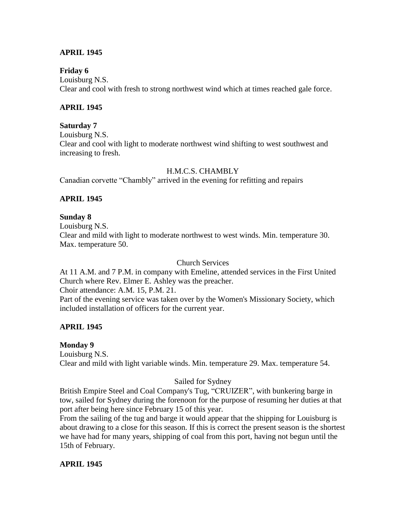# **APRIL 1945**

# **Friday 6**

Louisburg N.S. Clear and cool with fresh to strong northwest wind which at times reached gale force.

# **APRIL 1945**

# **Saturday 7**

Louisburg N.S.

Clear and cool with light to moderate northwest wind shifting to west southwest and increasing to fresh.

# H.M.C.S. CHAMBLY

Canadian corvette "Chambly" arrived in the evening for refitting and repairs

# **APRIL 1945**

# **Sunday 8** Louisburg N.S. Clear and mild with light to moderate northwest to west winds. Min. temperature 30. Max. temperature 50.

Church Services

At 11 A.M. and 7 P.M. in company with Emeline, attended services in the First United Church where Rev. Elmer E. Ashley was the preacher.

Choir attendance: A.M. 15, P.M. 21.

Part of the evening service was taken over by the Women's Missionary Society, which included installation of officers for the current year.

# **APRIL 1945**

# **Monday 9**

Louisburg N.S. Clear and mild with light variable winds. Min. temperature 29. Max. temperature 54.

# Sailed for Sydney

British Empire Steel and Coal Company's Tug, "CRUIZER", with bunkering barge in tow, sailed for Sydney during the forenoon for the purpose of resuming her duties at that port after being here since February 15 of this year.

From the sailing of the tug and barge it would appear that the shipping for Louisburg is about drawing to a close for this season. If this is correct the present season is the shortest we have had for many years, shipping of coal from this port, having not begun until the 15th of February.

# **APRIL 1945**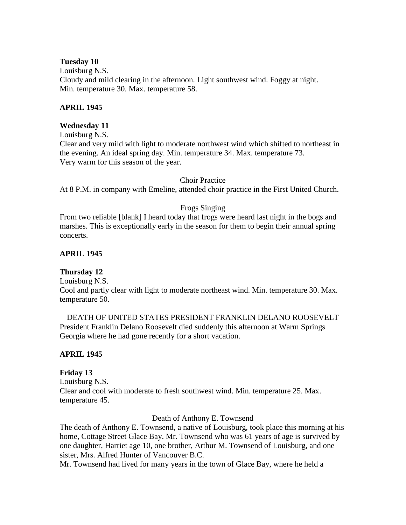#### **Tuesday 10**

Louisburg N.S. Cloudy and mild clearing in the afternoon. Light southwest wind. Foggy at night. Min. temperature 30. Max. temperature 58.

#### **APRIL 1945**

#### **Wednesday 11**

Louisburg N.S.

Clear and very mild with light to moderate northwest wind which shifted to northeast in the evening. An ideal spring day. Min. temperature 34. Max. temperature 73. Very warm for this season of the year.

#### Choir Practice

At 8 P.M. in company with Emeline, attended choir practice in the First United Church.

# Frogs Singing

From two reliable [blank] I heard today that frogs were heard last night in the bogs and marshes. This is exceptionally early in the season for them to begin their annual spring concerts.

# **APRIL 1945**

# **Thursday 12**

Louisburg N.S.

Cool and partly clear with light to moderate northeast wind. Min. temperature 30. Max. temperature 50.

DEATH OF UNITED STATES PRESIDENT FRANKLIN DELANO ROOSEVELT President Franklin Delano Roosevelt died suddenly this afternoon at Warm Springs Georgia where he had gone recently for a short vacation.

# **APRIL 1945**

# **Friday 13**

Louisburg N.S. Clear and cool with moderate to fresh southwest wind. Min. temperature 25. Max. temperature 45.

Death of Anthony E. Townsend

The death of Anthony E. Townsend, a native of Louisburg, took place this morning at his home, Cottage Street Glace Bay. Mr. Townsend who was 61 years of age is survived by one daughter, Harriet age 10, one brother, Arthur M. Townsend of Louisburg, and one sister, Mrs. Alfred Hunter of Vancouver B.C.

Mr. Townsend had lived for many years in the town of Glace Bay, where he held a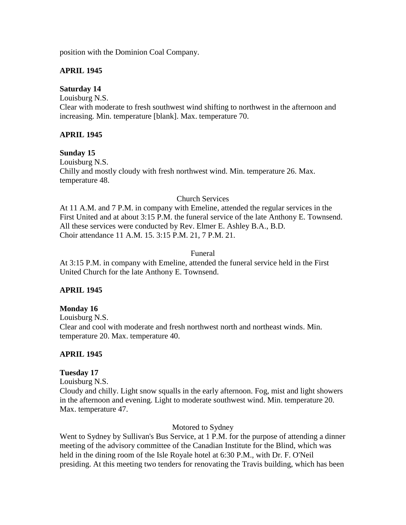position with the Dominion Coal Company.

# **APRIL 1945**

# **Saturday 14**

Louisburg N.S. Clear with moderate to fresh southwest wind shifting to northwest in the afternoon and increasing. Min. temperature [blank]. Max. temperature 70.

# **APRIL 1945**

# **Sunday 15**

Louisburg N.S. Chilly and mostly cloudy with fresh northwest wind. Min. temperature 26. Max. temperature 48.

# Church Services

At 11 A.M. and 7 P.M. in company with Emeline, attended the regular services in the First United and at about 3:15 P.M. the funeral service of the late Anthony E. Townsend. All these services were conducted by Rev. Elmer E. Ashley B.A., B.D. Choir attendance 11 A.M. 15. 3:15 P.M. 21, 7 P.M. 21.

# Funeral

At 3:15 P.M. in company with Emeline, attended the funeral service held in the First United Church for the late Anthony E. Townsend.

# **APRIL 1945**

# **Monday 16**

Louisburg N.S. Clear and cool with moderate and fresh northwest north and northeast winds. Min. temperature 20. Max. temperature 40.

# **APRIL 1945**

# **Tuesday 17**

Louisburg N.S.

Cloudy and chilly. Light snow squalls in the early afternoon. Fog, mist and light showers in the afternoon and evening. Light to moderate southwest wind. Min. temperature 20. Max. temperature 47.

Motored to Sydney

Went to Sydney by Sullivan's Bus Service, at 1 P.M. for the purpose of attending a dinner meeting of the advisory committee of the Canadian Institute for the Blind, which was held in the dining room of the Isle Royale hotel at 6:30 P.M., with Dr. F. O'Neil presiding. At this meeting two tenders for renovating the Travis building, which has been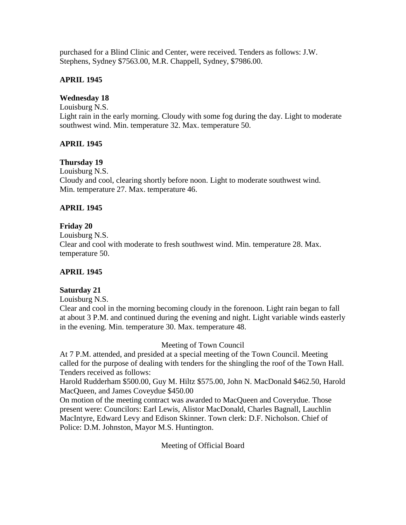purchased for a Blind Clinic and Center, were received. Tenders as follows: J.W. Stephens, Sydney \$7563.00, M.R. Chappell, Sydney, \$7986.00.

# **APRIL 1945**

# **Wednesday 18**

Louisburg N.S. Light rain in the early morning. Cloudy with some fog during the day. Light to moderate southwest wind. Min. temperature 32. Max. temperature 50.

# **APRIL 1945**

# **Thursday 19**

Louisburg N.S. Cloudy and cool, clearing shortly before noon. Light to moderate southwest wind. Min. temperature 27. Max. temperature 46.

# **APRIL 1945**

# **Friday 20**

Louisburg N.S. Clear and cool with moderate to fresh southwest wind. Min. temperature 28. Max. temperature 50.

# **APRIL 1945**

# **Saturday 21**

Louisburg N.S.

Clear and cool in the morning becoming cloudy in the forenoon. Light rain began to fall at about 3 P.M. and continued during the evening and night. Light variable winds easterly in the evening. Min. temperature 30. Max. temperature 48.

Meeting of Town Council

At 7 P.M. attended, and presided at a special meeting of the Town Council. Meeting called for the purpose of dealing with tenders for the shingling the roof of the Town Hall. Tenders received as follows:

Harold Rudderham \$500.00, Guy M. Hiltz \$575.00, John N. MacDonald \$462.50, Harold MacQueen, and James Coveydue \$450.00

On motion of the meeting contract was awarded to MacQueen and Coverydue. Those present were: Councilors: Earl Lewis, Alistor MacDonald, Charles Bagnall, Lauchlin MacIntyre, Edward Levy and Edison Skinner. Town clerk: D.F. Nicholson. Chief of Police: D.M. Johnston, Mayor M.S. Huntington.

Meeting of Official Board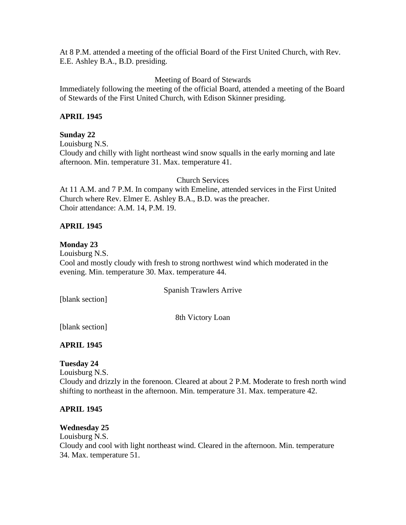At 8 P.M. attended a meeting of the official Board of the First United Church, with Rev. E.E. Ashley B.A., B.D. presiding.

Meeting of Board of Stewards

Immediately following the meeting of the official Board, attended a meeting of the Board of Stewards of the First United Church, with Edison Skinner presiding.

# **APRIL 1945**

# **Sunday 22**

Louisburg N.S.

Cloudy and chilly with light northeast wind snow squalls in the early morning and late afternoon. Min. temperature 31. Max. temperature 41.

Church Services

At 11 A.M. and 7 P.M. In company with Emeline, attended services in the First United Church where Rev. Elmer E. Ashley B.A., B.D. was the preacher. Choir attendance: A.M. 14, P.M. 19.

# **APRIL 1945**

# **Monday 23**

Louisburg N.S. Cool and mostly cloudy with fresh to strong northwest wind which moderated in the evening. Min. temperature 30. Max. temperature 44.

Spanish Trawlers Arrive

[blank section]

8th Victory Loan

[blank section]

# **APRIL 1945**

# **Tuesday 24**

Louisburg N.S. Cloudy and drizzly in the forenoon. Cleared at about 2 P.M. Moderate to fresh north wind shifting to northeast in the afternoon. Min. temperature 31. Max. temperature 42.

# **APRIL 1945**

# **Wednesday 25**

Louisburg N.S. Cloudy and cool with light northeast wind. Cleared in the afternoon. Min. temperature 34. Max. temperature 51.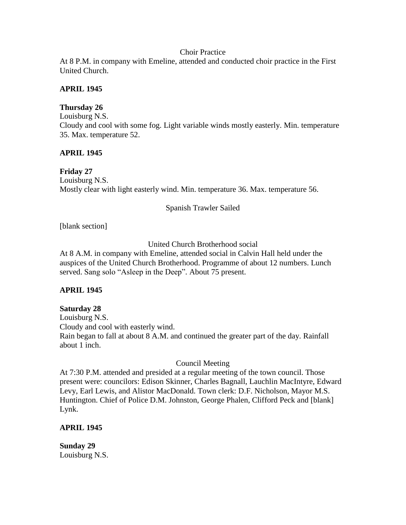# Choir Practice

At 8 P.M. in company with Emeline, attended and conducted choir practice in the First United Church.

# **APRIL 1945**

# **Thursday 26**

Louisburg N.S. Cloudy and cool with some fog. Light variable winds mostly easterly. Min. temperature 35. Max. temperature 52.

# **APRIL 1945**

# **Friday 27** Louisburg N.S. Mostly clear with light easterly wind. Min. temperature 36. Max. temperature 56.

# Spanish Trawler Sailed

[blank section]

# United Church Brotherhood social

At 8 A.M. in company with Emeline, attended social in Calvin Hall held under the auspices of the United Church Brotherhood. Programme of about 12 numbers. Lunch served. Sang solo "Asleep in the Deep". About 75 present.

# **APRIL 1945**

# **Saturday 28**

Louisburg N.S. Cloudy and cool with easterly wind. Rain began to fall at about 8 A.M. and continued the greater part of the day. Rainfall about 1 inch.

# Council Meeting

At 7:30 P.M. attended and presided at a regular meeting of the town council. Those present were: councilors: Edison Skinner, Charles Bagnall, Lauchlin MacIntyre, Edward Levy, Earl Lewis, and Alistor MacDonald. Town clerk: D.F. Nicholson, Mayor M.S. Huntington. Chief of Police D.M. Johnston, George Phalen, Clifford Peck and [blank] Lynk.

# **APRIL 1945**

**Sunday 29** Louisburg N.S.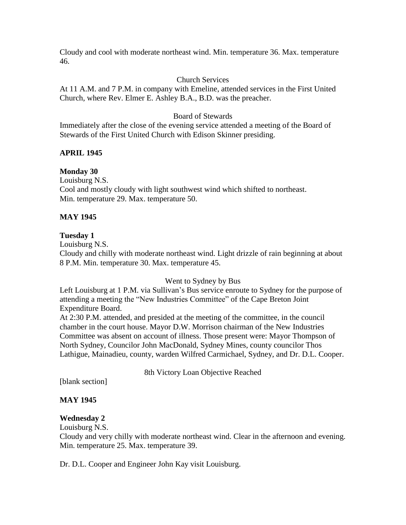Cloudy and cool with moderate northeast wind. Min. temperature 36. Max. temperature 46.

# Church Services

At 11 A.M. and 7 P.M. in company with Emeline, attended services in the First United Church, where Rev. Elmer E. Ashley B.A., B.D. was the preacher.

# Board of Stewards

Immediately after the close of the evening service attended a meeting of the Board of Stewards of the First United Church with Edison Skinner presiding.

# **APRIL 1945**

# **Monday 30**

Louisburg N.S. Cool and mostly cloudy with light southwest wind which shifted to northeast. Min. temperature 29. Max. temperature 50.

# **MAY 1945**

# **Tuesday 1**

Louisburg N.S.

Cloudy and chilly with moderate northeast wind. Light drizzle of rain beginning at about 8 P.M. Min. temperature 30. Max. temperature 45.

# Went to Sydney by Bus

Left Louisburg at 1 P.M. via Sullivan's Bus service enroute to Sydney for the purpose of attending a meeting the "New Industries Committee" of the Cape Breton Joint Expenditure Board.

At 2:30 P.M. attended, and presided at the meeting of the committee, in the council chamber in the court house. Mayor D.W. Morrison chairman of the New Industries Committee was absent on account of illness. Those present were: Mayor Thompson of North Sydney, Councilor John MacDonald, Sydney Mines, county councilor Thos Lathigue, Mainadieu, county, warden Wilfred Carmichael, Sydney, and Dr. D.L. Cooper.

8th Victory Loan Objective Reached

[blank section]

# **MAY 1945**

# **Wednesday 2**

Louisburg N.S.

Cloudy and very chilly with moderate northeast wind. Clear in the afternoon and evening. Min. temperature 25. Max. temperature 39.

Dr. D.L. Cooper and Engineer John Kay visit Louisburg.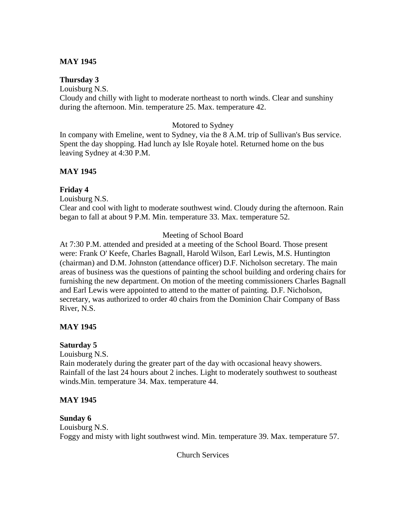# **MAY 1945**

# **Thursday 3**

Louisburg N.S. Cloudy and chilly with light to moderate northeast to north winds. Clear and sunshiny during the afternoon. Min. temperature 25. Max. temperature 42.

#### Motored to Sydney

In company with Emeline, went to Sydney, via the 8 A.M. trip of Sullivan's Bus service. Spent the day shopping. Had lunch ay Isle Royale hotel. Returned home on the bus leaving Sydney at 4:30 P.M.

# **MAY 1945**

# **Friday 4**

Louisburg N.S.

Clear and cool with light to moderate southwest wind. Cloudy during the afternoon. Rain began to fall at about 9 P.M. Min. temperature 33. Max. temperature 52.

# Meeting of School Board

At 7:30 P.M. attended and presided at a meeting of the School Board. Those present were: Frank O' Keefe, Charles Bagnall, Harold Wilson, Earl Lewis, M.S. Huntington (chairman) and D.M. Johnston (attendance officer) D.F. Nicholson secretary. The main areas of business was the questions of painting the school building and ordering chairs for furnishing the new department. On motion of the meeting commissioners Charles Bagnall and Earl Lewis were appointed to attend to the matter of painting. D.F. Nicholson, secretary, was authorized to order 40 chairs from the Dominion Chair Company of Bass River, N.S.

# **MAY 1945**

# **Saturday 5**

Louisburg N.S.

Rain moderately during the greater part of the day with occasional heavy showers. Rainfall of the last 24 hours about 2 inches. Light to moderately southwest to southeast winds.Min. temperature 34. Max. temperature 44.

# **MAY 1945**

# **Sunday 6**

Louisburg N.S. Foggy and misty with light southwest wind. Min. temperature 39. Max. temperature 57.

Church Services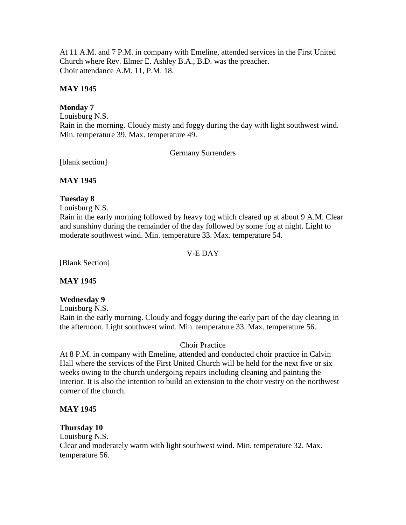At 11 A.M. and 7 P.M. in company with Emeline, attended services in the First United Church where Rev. Elmer E. Ashley B.A., B.D. was the preacher. Choir attendance A.M. 11, P.M. 18.

### **MAY 1945**

## **Monday 7**

Louisburg N.S. Rain in the morning. Cloudy misty and foggy during the day with light southwest wind. Min. temperature 39. Max. temperature 49.

Germany Surrenders

[blank section]

#### **MAY 1945**

## **Tuesday 8**

Louisburg N.S.

Rain in the early morning followed by heavy fog which cleared up at about 9 A.M. Clear and sunshiny during the remainder of the day followed by some fog at night. Light to moderate southwest wind. Min. temperature 33. Max. temperature 54.

### V-E DAY

[Blank Section]

#### **MAY 1945**

#### **Wednesday 9**

Louisburg N.S.

Rain in the early morning. Cloudy and foggy during the early part of the day clearing in the afternoon. Light southwest wind. Min. temperature 33. Max. temperature 56.

#### Choir Practice

At 8 P.M. in company with Emeline, attended and conducted choir practice in Calvin Hall where the services of the First United Church will be held for the next five or six weeks owing to the church undergoing repairs including cleaning and painting the interior. It is also the intention to build an extension to the choir vestry on the northwest corner of the church.

#### **MAY 1945**

#### **Thursday 10**

Louisburg N.S. Clear and moderately warm with light southwest wind. Min. temperature 32. Max. temperature 56.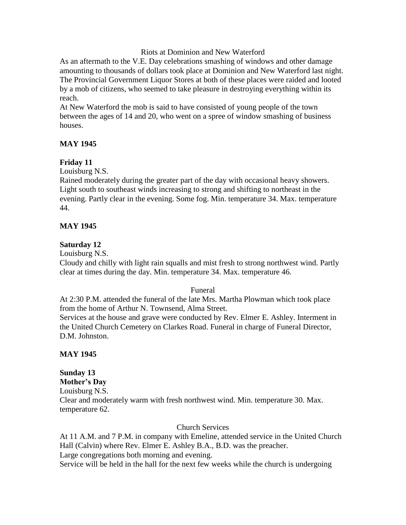#### Riots at Dominion and New Waterford

As an aftermath to the V.E. Day celebrations smashing of windows and other damage amounting to thousands of dollars took place at Dominion and New Waterford last night. The Provincial Government Liquor Stores at both of these places were raided and looted by a mob of citizens, who seemed to take pleasure in destroying everything within its reach.

At New Waterford the mob is said to have consisted of young people of the town between the ages of 14 and 20, who went on a spree of window smashing of business houses.

## **MAY 1945**

#### **Friday 11**

Louisburg N.S.

Rained moderately during the greater part of the day with occasional heavy showers. Light south to southeast winds increasing to strong and shifting to northeast in the evening. Partly clear in the evening. Some fog. Min. temperature 34. Max. temperature 44.

## **MAY 1945**

#### **Saturday 12**

Louisburg N.S.

Cloudy and chilly with light rain squalls and mist fresh to strong northwest wind. Partly clear at times during the day. Min. temperature 34. Max. temperature 46.

Funeral

At 2:30 P.M. attended the funeral of the late Mrs. Martha Plowman which took place from the home of Arthur N. Townsend, Alma Street.

Services at the house and grave were conducted by Rev. Elmer E. Ashley. Interment in the United Church Cemetery on Clarkes Road. Funeral in charge of Funeral Director, D.M. Johnston.

#### **MAY 1945**

**Sunday 13 Mother's Day** Louisburg N.S. Clear and moderately warm with fresh northwest wind. Min. temperature 30. Max. temperature 62.

Church Services

At 11 A.M. and 7 P.M. in company with Emeline, attended service in the United Church Hall (Calvin) where Rev. Elmer E. Ashley B.A., B.D. was the preacher. Large congregations both morning and evening.

Service will be held in the hall for the next few weeks while the church is undergoing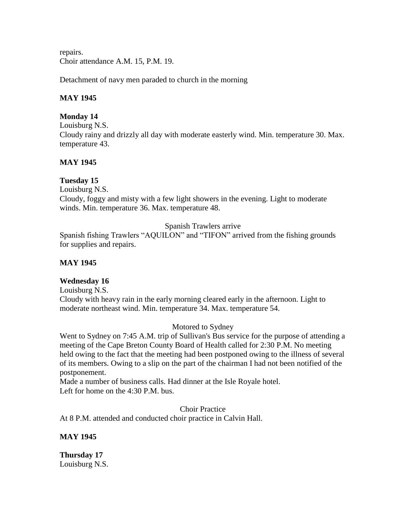repairs. Choir attendance A.M. 15, P.M. 19.

Detachment of navy men paraded to church in the morning

### **MAY 1945**

## **Monday 14**

Louisburg N.S. Cloudy rainy and drizzly all day with moderate easterly wind. Min. temperature 30. Max. temperature 43.

## **MAY 1945**

## **Tuesday 15**

Louisburg N.S. Cloudy, foggy and misty with a few light showers in the evening. Light to moderate winds. Min. temperature 36. Max. temperature 48.

## Spanish Trawlers arrive

Spanish fishing Trawlers "AQUILON" and "TIFON" arrived from the fishing grounds for supplies and repairs.

## **MAY 1945**

## **Wednesday 16**

Louisburg N.S. Cloudy with heavy rain in the early morning cleared early in the afternoon. Light to moderate northeast wind. Min. temperature 34. Max. temperature 54.

#### Motored to Sydney

Went to Sydney on 7:45 A.M. trip of Sullivan's Bus service for the purpose of attending a meeting of the Cape Breton County Board of Health called for 2:30 P.M. No meeting held owing to the fact that the meeting had been postponed owing to the illness of several of its members. Owing to a slip on the part of the chairman I had not been notified of the postponement.

Made a number of business calls. Had dinner at the Isle Royale hotel. Left for home on the 4:30 P.M. bus.

Choir Practice

At 8 P.M. attended and conducted choir practice in Calvin Hall.

**MAY 1945**

**Thursday 17** Louisburg N.S.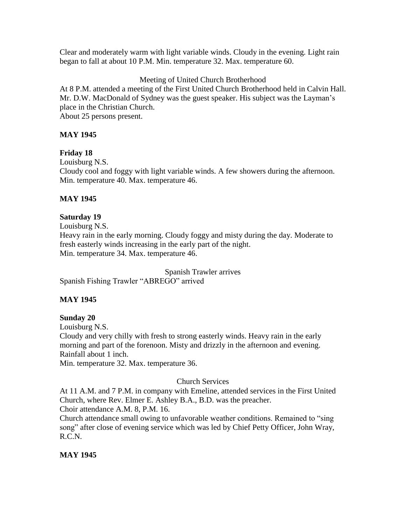Clear and moderately warm with light variable winds. Cloudy in the evening. Light rain began to fall at about 10 P.M. Min. temperature 32. Max. temperature 60.

Meeting of United Church Brotherhood

At 8 P.M. attended a meeting of the First United Church Brotherhood held in Calvin Hall. Mr. D.W. MacDonald of Sydney was the guest speaker. His subject was the Layman's place in the Christian Church. About 25 persons present.

# **MAY 1945**

# **Friday 18**

Louisburg N.S.

Cloudy cool and foggy with light variable winds. A few showers during the afternoon. Min. temperature 40. Max. temperature 46.

# **MAY 1945**

## **Saturday 19**

Louisburg N.S. Heavy rain in the early morning. Cloudy foggy and misty during the day. Moderate to fresh easterly winds increasing in the early part of the night. Min. temperature 34. Max. temperature 46.

Spanish Trawler arrives Spanish Fishing Trawler "ABREGO" arrived

# **MAY 1945**

**Sunday 20** Louisburg N.S.

Cloudy and very chilly with fresh to strong easterly winds. Heavy rain in the early morning and part of the forenoon. Misty and drizzly in the afternoon and evening. Rainfall about 1 inch.

Min. temperature 32. Max. temperature 36.

## Church Services

At 11 A.M. and 7 P.M. in company with Emeline, attended services in the First United Church, where Rev. Elmer E. Ashley B.A., B.D. was the preacher. Choir attendance A.M. 8, P.M. 16.

Church attendance small owing to unfavorable weather conditions. Remained to "sing song" after close of evening service which was led by Chief Petty Officer, John Wray, R.C.N.

## **MAY 1945**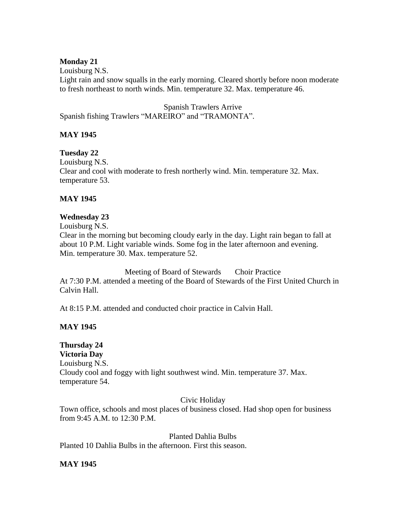## **Monday 21**

Louisburg N.S. Light rain and snow squalls in the early morning. Cleared shortly before noon moderate to fresh northeast to north winds. Min. temperature 32. Max. temperature 46.

Spanish Trawlers Arrive Spanish fishing Trawlers "MAREIRO" and "TRAMONTA".

## **MAY 1945**

# **Tuesday 22**

Louisburg N.S. Clear and cool with moderate to fresh northerly wind. Min. temperature 32. Max. temperature 53.

## **MAY 1945**

## **Wednesday 23**

Louisburg N.S. Clear in the morning but becoming cloudy early in the day. Light rain began to fall at about 10 P.M. Light variable winds. Some fog in the later afternoon and evening. Min. temperature 30. Max. temperature 52.

Meeting of Board of Stewards Choir Practice At 7:30 P.M. attended a meeting of the Board of Stewards of the First United Church in Calvin Hall.

At 8:15 P.M. attended and conducted choir practice in Calvin Hall.

## **MAY 1945**

**Thursday 24 Victoria Day** Louisburg N.S. Cloudy cool and foggy with light southwest wind. Min. temperature 37. Max. temperature 54.

#### Civic Holiday

Town office, schools and most places of business closed. Had shop open for business from 9:45 A.M. to 12:30 P.M.

#### Planted Dahlia Bulbs

Planted 10 Dahlia Bulbs in the afternoon. First this season.

**MAY 1945**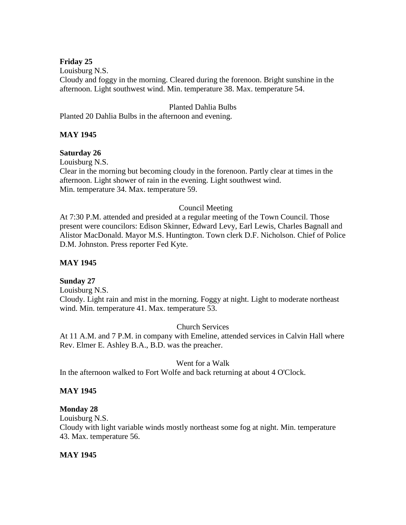## **Friday 25**

Louisburg N.S.

Cloudy and foggy in the morning. Cleared during the forenoon. Bright sunshine in the afternoon. Light southwest wind. Min. temperature 38. Max. temperature 54.

#### Planted Dahlia Bulbs

Planted 20 Dahlia Bulbs in the afternoon and evening.

## **MAY 1945**

# **Saturday 26**

Louisburg N.S.

Clear in the morning but becoming cloudy in the forenoon. Partly clear at times in the afternoon. Light shower of rain in the evening. Light southwest wind. Min. temperature 34. Max. temperature 59.

## Council Meeting

At 7:30 P.M. attended and presided at a regular meeting of the Town Council. Those present were councilors: Edison Skinner, Edward Levy, Earl Lewis, Charles Bagnall and Alistor MacDonald. Mayor M.S. Huntington. Town clerk D.F. Nicholson. Chief of Police D.M. Johnston. Press reporter Fed Kyte.

## **MAY 1945**

## **Sunday 27**

Louisburg N.S. Cloudy. Light rain and mist in the morning. Foggy at night. Light to moderate northeast wind. Min. temperature 41. Max. temperature 53.

## Church Services

At 11 A.M. and 7 P.M. in company with Emeline, attended services in Calvin Hall where Rev. Elmer E. Ashley B.A., B.D. was the preacher.

#### Went for a Walk

In the afternoon walked to Fort Wolfe and back returning at about 4 O'Clock.

## **MAY 1945**

#### **Monday 28**

Louisburg N.S.

Cloudy with light variable winds mostly northeast some fog at night. Min. temperature 43. Max. temperature 56.

#### **MAY 1945**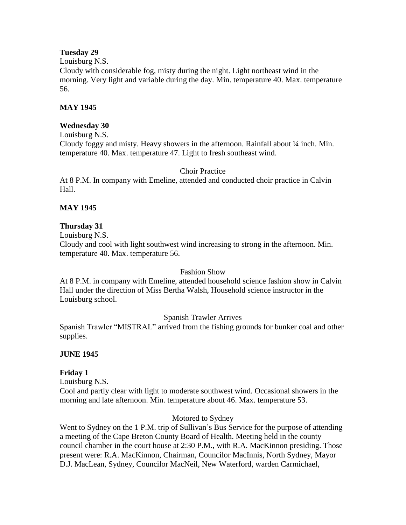### **Tuesday 29**

Louisburg N.S.

Cloudy with considerable fog, misty during the night. Light northeast wind in the morning. Very light and variable during the day. Min. temperature 40. Max. temperature 56.

## **MAY 1945**

## **Wednesday 30**

Louisburg N.S.

Cloudy foggy and misty. Heavy showers in the afternoon. Rainfall about  $\frac{1}{4}$  inch. Min. temperature 40. Max. temperature 47. Light to fresh southeast wind.

Choir Practice

At 8 P.M. In company with Emeline, attended and conducted choir practice in Calvin Hall.

## **MAY 1945**

## **Thursday 31**

Louisburg N.S.

Cloudy and cool with light southwest wind increasing to strong in the afternoon. Min. temperature 40. Max. temperature 56.

#### Fashion Show

At 8 P.M. in company with Emeline, attended household science fashion show in Calvin Hall under the direction of Miss Bertha Walsh, Household science instructor in the Louisburg school.

## Spanish Trawler Arrives

Spanish Trawler "MISTRAL" arrived from the fishing grounds for bunker coal and other supplies.

## **JUNE 1945**

## **Friday 1**

Louisburg N.S.

Cool and partly clear with light to moderate southwest wind. Occasional showers in the morning and late afternoon. Min. temperature about 46. Max. temperature 53.

#### Motored to Sydney

Went to Sydney on the 1 P.M. trip of Sullivan's Bus Service for the purpose of attending a meeting of the Cape Breton County Board of Health. Meeting held in the county council chamber in the court house at 2:30 P.M., with R.A. MacKinnon presiding. Those present were: R.A. MacKinnon, Chairman, Councilor MacInnis, North Sydney, Mayor D.J. MacLean, Sydney, Councilor MacNeil, New Waterford, warden Carmichael,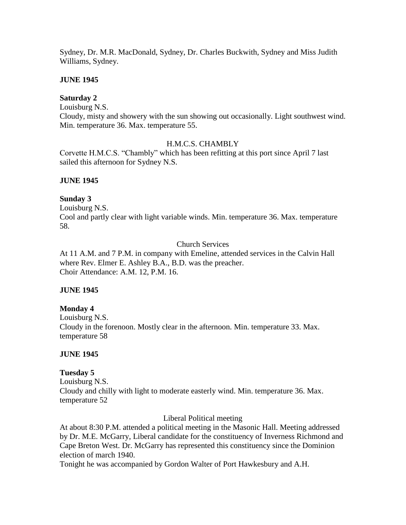Sydney, Dr. M.R. MacDonald, Sydney, Dr. Charles Buckwith, Sydney and Miss Judith Williams, Sydney.

### **JUNE 1945**

## **Saturday 2**

Louisburg N.S.

Cloudy, misty and showery with the sun showing out occasionally. Light southwest wind. Min. temperature 36. Max. temperature 55.

#### H.M.C.S. CHAMBLY

Corvette H.M.C.S. "Chambly" which has been refitting at this port since April 7 last sailed this afternoon for Sydney N.S.

## **JUNE 1945**

## **Sunday 3**

Louisburg N.S. Cool and partly clear with light variable winds. Min. temperature 36. Max. temperature 58.

## Church Services

At 11 A.M. and 7 P.M. in company with Emeline, attended services in the Calvin Hall where Rev. Elmer E. Ashley B.A., B.D. was the preacher. Choir Attendance: A.M. 12, P.M. 16.

#### **JUNE 1945**

## **Monday 4**

Louisburg N.S. Cloudy in the forenoon. Mostly clear in the afternoon. Min. temperature 33. Max. temperature 58

## **JUNE 1945**

## **Tuesday 5**

Louisburg N.S. Cloudy and chilly with light to moderate easterly wind. Min. temperature 36. Max. temperature 52

#### Liberal Political meeting

At about 8:30 P.M. attended a political meeting in the Masonic Hall. Meeting addressed by Dr. M.E. McGarry, Liberal candidate for the constituency of Inverness Richmond and Cape Breton West. Dr. McGarry has represented this constituency since the Dominion election of march 1940.

Tonight he was accompanied by Gordon Walter of Port Hawkesbury and A.H.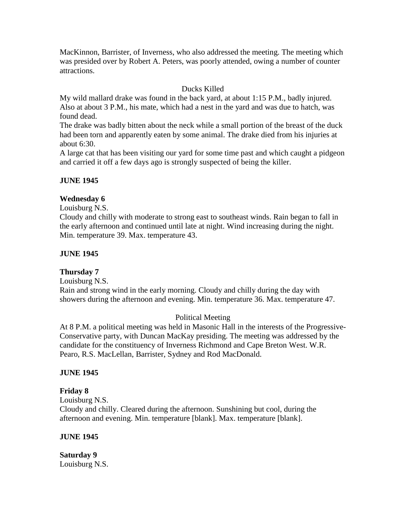MacKinnon, Barrister, of Inverness, who also addressed the meeting. The meeting which was presided over by Robert A. Peters, was poorly attended, owing a number of counter attractions.

## Ducks Killed

My wild mallard drake was found in the back yard, at about 1:15 P.M., badly injured. Also at about 3 P.M., his mate, which had a nest in the yard and was due to hatch, was found dead.

The drake was badly bitten about the neck while a small portion of the breast of the duck had been torn and apparently eaten by some animal. The drake died from his injuries at about 6:30.

A large cat that has been visiting our yard for some time past and which caught a pidgeon and carried it off a few days ago is strongly suspected of being the killer.

## **JUNE 1945**

## **Wednesday 6**

Louisburg N.S.

Cloudy and chilly with moderate to strong east to southeast winds. Rain began to fall in the early afternoon and continued until late at night. Wind increasing during the night. Min. temperature 39. Max. temperature 43.

## **JUNE 1945**

#### **Thursday 7**

Louisburg N.S. Rain and strong wind in the early morning. Cloudy and chilly during the day with showers during the afternoon and evening. Min. temperature 36. Max. temperature 47.

## Political Meeting

At 8 P.M. a political meeting was held in Masonic Hall in the interests of the Progressive-Conservative party, with Duncan MacKay presiding. The meeting was addressed by the candidate for the constituency of Inverness Richmond and Cape Breton West. W.R. Pearo, R.S. MacLellan, Barrister, Sydney and Rod MacDonald.

#### **JUNE 1945**

## **Friday 8**

Louisburg N.S. Cloudy and chilly. Cleared during the afternoon. Sunshining but cool, during the afternoon and evening. Min. temperature [blank]. Max. temperature [blank].

#### **JUNE 1945**

**Saturday 9** Louisburg N.S.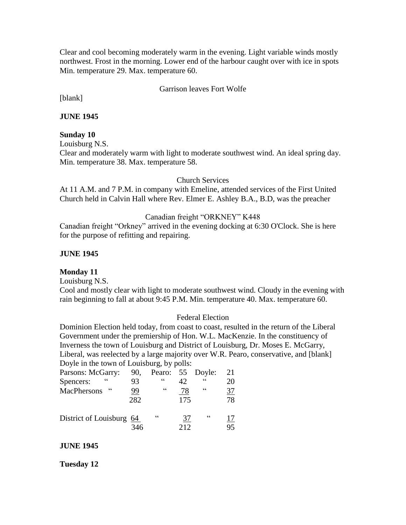Clear and cool becoming moderately warm in the evening. Light variable winds mostly northwest. Frost in the morning. Lower end of the harbour caught over with ice in spots Min. temperature 29. Max. temperature 60.

#### Garrison leaves Fort Wolfe

[blank]

**JUNE 1945**

#### **Sunday 10**

Louisburg N.S.

Clear and moderately warm with light to moderate southwest wind. An ideal spring day. Min. temperature 38. Max. temperature 58.

#### Church Services

At 11 A.M. and 7 P.M. in company with Emeline, attended services of the First United Church held in Calvin Hall where Rev. Elmer E. Ashley B.A., B.D, was the preacher

#### Canadian freight "ORKNEY" K448

Canadian freight "Orkney" arrived in the evening docking at 6:30 O'Clock. She is here for the purpose of refitting and repairing.

#### **JUNE 1945**

#### **Monday 11**

Louisburg N.S.

Cool and mostly clear with light to moderate southwest wind. Cloudy in the evening with rain beginning to fall at about 9:45 P.M. Min. temperature 40. Max. temperature 60.

#### Federal Election

Dominion Election held today, from coast to coast, resulted in the return of the Liberal Government under the premiership of Hon. W.L. MacKenzie. In the constituency of Inverness the town of Louisburg and District of Louisburg, Dr. Moses E. McGarry, Liberal, was reelected by a large majority over W.R. Pearo, conservative, and [blank] Doyle in the town of Louisburg, by polls:

| Parsons: McGarry:         | 90,       | Pearo: 55 Doyle: |     |            | 21        |
|---------------------------|-----------|------------------|-----|------------|-----------|
| Spencers:                 | 93        | $\epsilon$       | 42. | $\epsilon$ | 20        |
| $\epsilon$<br>MacPhersons | <u>99</u> | $\epsilon$       | 78  | $\epsilon$ | <u>37</u> |
|                           | 282       |                  | 175 |            | 78        |
|                           |           |                  |     |            |           |
| District of Louisburg 64  |           | $\epsilon$       | 37  | $\epsilon$ |           |
|                           | 346       |                  | 212 |            | 95        |

#### **JUNE 1945**

#### **Tuesday 12**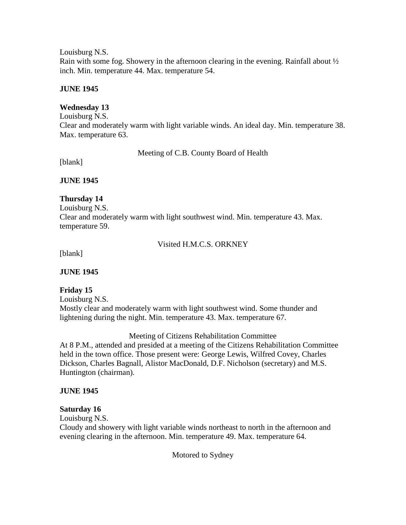Louisburg N.S. Rain with some fog. Showery in the afternoon clearing in the evening. Rainfall about ½ inch. Min. temperature 44. Max. temperature 54.

## **JUNE 1945**

## **Wednesday 13**

Louisburg N.S. Clear and moderately warm with light variable winds. An ideal day. Min. temperature 38. Max. temperature 63.

Meeting of C.B. County Board of Health

[blank]

**JUNE 1945**

## **Thursday 14**

Louisburg N.S. Clear and moderately warm with light southwest wind. Min. temperature 43. Max. temperature 59.

Visited H.M.C.S. ORKNEY

[blank]

**JUNE 1945**

## **Friday 15**

Louisburg N.S. Mostly clear and moderately warm with light southwest wind. Some thunder and lightening during the night. Min. temperature 43. Max. temperature 67.

Meeting of Citizens Rehabilitation Committee

At 8 P.M., attended and presided at a meeting of the Citizens Rehabilitation Committee held in the town office. Those present were: George Lewis, Wilfred Covey, Charles Dickson, Charles Bagnall, Alistor MacDonald, D.F. Nicholson (secretary) and M.S. Huntington (chairman).

#### **JUNE 1945**

## **Saturday 16**

Louisburg N.S.

Cloudy and showery with light variable winds northeast to north in the afternoon and evening clearing in the afternoon. Min. temperature 49. Max. temperature 64.

Motored to Sydney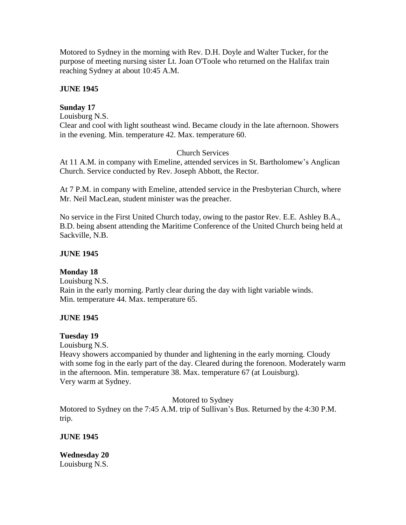Motored to Sydney in the morning with Rev. D.H. Doyle and Walter Tucker, for the purpose of meeting nursing sister Lt. Joan O'Toole who returned on the Halifax train reaching Sydney at about 10:45 A.M.

## **JUNE 1945**

## **Sunday 17**

Louisburg N.S.

Clear and cool with light southeast wind. Became cloudy in the late afternoon. Showers in the evening. Min. temperature 42. Max. temperature 60.

## Church Services

At 11 A.M. in company with Emeline, attended services in St. Bartholomew's Anglican Church. Service conducted by Rev. Joseph Abbott, the Rector.

At 7 P.M. in company with Emeline, attended service in the Presbyterian Church, where Mr. Neil MacLean, student minister was the preacher.

No service in the First United Church today, owing to the pastor Rev. E.E. Ashley B.A., B.D. being absent attending the Maritime Conference of the United Church being held at Sackville, N.B.

## **JUNE 1945**

## **Monday 18**

Louisburg N.S. Rain in the early morning. Partly clear during the day with light variable winds. Min. temperature 44. Max. temperature 65.

## **JUNE 1945**

#### **Tuesday 19**

Louisburg N.S.

Heavy showers accompanied by thunder and lightening in the early morning. Cloudy with some fog in the early part of the day. Cleared during the forenoon. Moderately warm in the afternoon. Min. temperature 38. Max. temperature 67 (at Louisburg). Very warm at Sydney.

Motored to Sydney

Motored to Sydney on the 7:45 A.M. trip of Sullivan's Bus. Returned by the 4:30 P.M. trip.

**JUNE 1945**

**Wednesday 20** Louisburg N.S.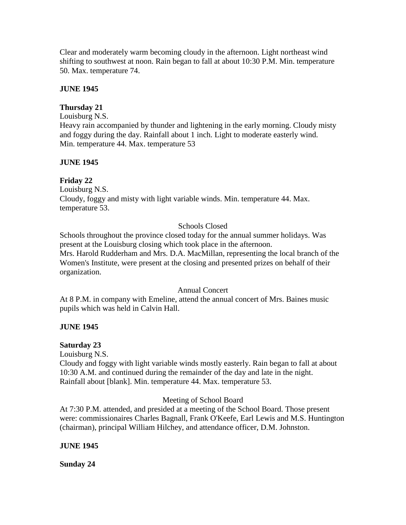Clear and moderately warm becoming cloudy in the afternoon. Light northeast wind shifting to southwest at noon. Rain began to fall at about 10:30 P.M. Min. temperature 50. Max. temperature 74.

## **JUNE 1945**

# **Thursday 21**

Louisburg N.S.

Heavy rain accompanied by thunder and lightening in the early morning. Cloudy misty and foggy during the day. Rainfall about 1 inch. Light to moderate easterly wind. Min. temperature 44. Max. temperature 53

## **JUNE 1945**

# **Friday 22**

Louisburg N.S. Cloudy, foggy and misty with light variable winds. Min. temperature 44. Max. temperature 53.

# Schools Closed

Schools throughout the province closed today for the annual summer holidays. Was present at the Louisburg closing which took place in the afternoon. Mrs. Harold Rudderham and Mrs. D.A. MacMillan, representing the local branch of the Women's Institute, were present at the closing and presented prizes on behalf of their organization.

## Annual Concert

At 8 P.M. in company with Emeline, attend the annual concert of Mrs. Baines music pupils which was held in Calvin Hall.

## **JUNE 1945**

## **Saturday 23**

Louisburg N.S.

Cloudy and foggy with light variable winds mostly easterly. Rain began to fall at about 10:30 A.M. and continued during the remainder of the day and late in the night. Rainfall about [blank]. Min. temperature 44. Max. temperature 53.

## Meeting of School Board

At 7:30 P.M. attended, and presided at a meeting of the School Board. Those present were: commissionaires Charles Bagnall, Frank O'Keefe, Earl Lewis and M.S. Huntington (chairman), principal William Hilchey, and attendance officer, D.M. Johnston.

## **JUNE 1945**

**Sunday 24**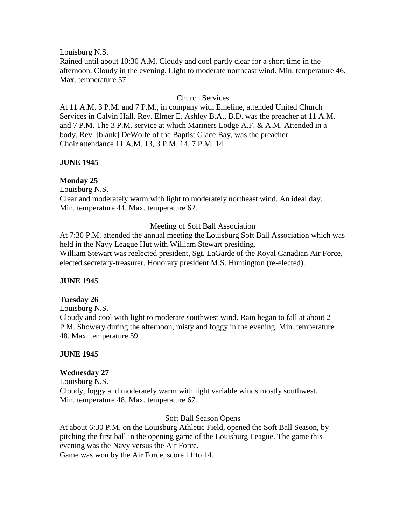Louisburg N.S.

Rained until about 10:30 A.M. Cloudy and cool partly clear for a short time in the afternoon. Cloudy in the evening. Light to moderate northeast wind. Min. temperature 46. Max. temperature 57.

## Church Services

At 11 A.M. 3 P.M. and 7 P.M., in company with Emeline, attended United Church Services in Calvin Hall. Rev. Elmer E. Ashley B.A., B.D. was the preacher at 11 A.M. and 7 P.M. The 3 P.M. service at which Mariners Lodge A.F. & A.M. Attended in a body. Rev. [blank] DeWolfe of the Baptist Glace Bay, was the preacher. Choir attendance 11 A.M. 13, 3 P.M. 14, 7 P.M. 14.

## **JUNE 1945**

## **Monday 25**

Louisburg N.S. Clear and moderately warm with light to moderately northeast wind. An ideal day. Min. temperature 44. Max. temperature 62.

#### Meeting of Soft Ball Association

At 7:30 P.M. attended the annual meeting the Louisburg Soft Ball Association which was held in the Navy League Hut with William Stewart presiding. William Stewart was reelected president, Sgt. LaGarde of the Royal Canadian Air Force, elected secretary-treasurer. Honorary president M.S. Huntington (re-elected).

## **JUNE 1945**

#### **Tuesday 26**

Louisburg N.S.

Cloudy and cool with light to moderate southwest wind. Rain began to fall at about 2 P.M. Showery during the afternoon, misty and foggy in the evening. Min. temperature 48. Max. temperature 59

#### **JUNE 1945**

## **Wednesday 27**

Louisburg N.S. Cloudy, foggy and moderately warm with light variable winds mostly southwest. Min. temperature 48. Max. temperature 67.

#### Soft Ball Season Opens

At about 6:30 P.M. on the Louisburg Athletic Field, opened the Soft Ball Season, by pitching the first ball in the opening game of the Louisburg League. The game this evening was the Navy versus the Air Force. Game was won by the Air Force, score 11 to 14.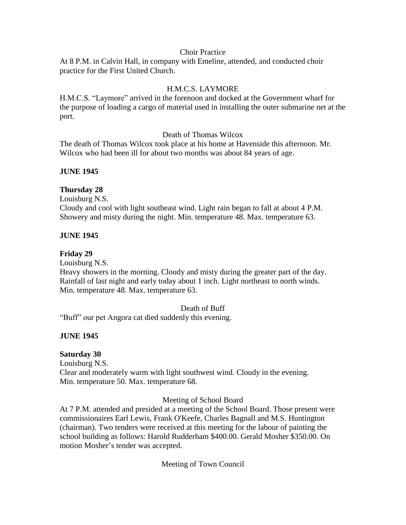#### Choir Practice

At 8 P.M. in Calvin Hall, in company with Emeline, attended, and conducted choir practice for the First United Church.

## H.M.C.S. LAYMORE

H.M.C.S. "Laymore" arrived in the forenoon and docked at the Government wharf for the purpose of loading a cargo of material used in installing the outer submarine net at the port.

#### Death of Thomas Wilcox

The death of Thomas Wilcox took place at his home at Havenside this afternoon. Mr. Wilcox who had been ill for about two months was about 84 years of age.

## **JUNE 1945**

## **Thursday 28**

Louisburg N.S. Cloudy and cool with light southeast wind. Light rain began to fall at about 4 P.M. Showery and misty during the night. Min. temperature 48. Max. temperature 63.

## **JUNE 1945**

#### **Friday 29**

Louisburg N.S.

Heavy showers in the morning. Cloudy and misty during the greater part of the day. Rainfall of last night and early today about 1 inch. Light northeast to north winds. Min. temperature 48. Max. temperature 63.

#### Death of Buff

"Buff" our pet Angora cat died suddenly this evening.

#### **JUNE 1945**

#### **Saturday 30**

Louisburg N.S. Clear and moderately warm with light southwest wind. Cloudy in the evening. Min. temperature 50. Max. temperature 68.

#### Meeting of School Board

At 7 P.M. attended and presided at a meeting of the School Board. Those present were commissionaires Earl Lewis, Frank O'Keefe, Charles Bagnall and M.S. Huntington (chairman). Two tenders were received at this meeting for the labour of painting the school building as follows: Harold Rudderham \$400.00. Gerald Mosher \$350.00. On motion Mosher's tender was accepted.

Meeting of Town Council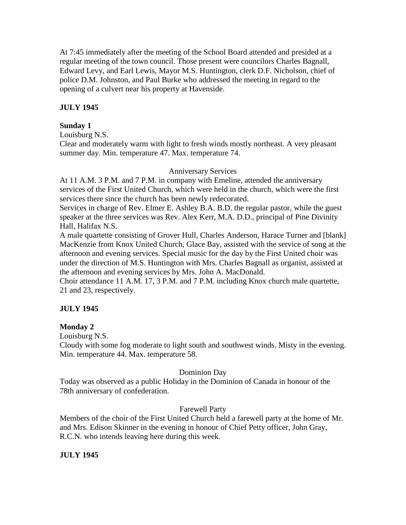At 7:45 immediately after the meeting of the School Board attended and presided at a regular meeting of the town council. Those present were councilors Charles Bagnall, Edward Levy, and Earl Lewis, Mayor M.S. Huntington, clerk D.F. Nicholson, chief of police D.M. Johnston, and Paul Burke who addressed the meeting in regard to the opening of a culvert near his property at Havenside.

# **JULY 1945**

## **Sunday 1**

Louisburg N.S.

Clear and moderately warm with light to fresh winds mostly northeast. A very pleasant summer day. Min. temperature 47. Max. temperature 74.

#### Anniversary Services

At 11 A.M. 3 P.M. and 7 P.M. in company with Emeline, attended the anniversary services of the First United Church, which were held in the church, which were the first services there since the church has been newly redecorated.

Services in charge of Rev. Elmer E. Ashley B.A. B.D. the regular pastor, while the guest speaker at the three services was Rev. Alex Kerr, M.A. D.D., principal of Pine Divinity Hall, Halifax N.S.

A male quartette consisting of Grover Hull, Charles Anderson, Harace Turner and [blank] MacKenzie from Knox United Church, Glace Bay, assisted with the service of song at the afternoon and evening services. Special music for the day by the First United choir was under the direction of M.S. Huntington with Mrs. Charles Bagnall as organist, assisted at the afternoon and evening services by Mrs. John A. MacDonald.

Choir attendance 11 A.M. 17, 3 P.M. and 7 P.M. including Knox church male quartette, 21 and 23, respectively.

## **JULY 1945**

## **Monday 2**

Louisburg N.S.

Cloudy with some fog moderate to light south and southwest winds. Misty in the evening. Min. temperature 44. Max. temperature 58.

#### Dominion Day

Today was observed as a public Holiday in the Dominion of Canada in honour of the 78th anniversary of confederation.

## Farewell Party

Members of the choir of the First United Church held a farewell party at the home of Mr. and Mrs. Edison Skinner in the evening in honour of Chief Petty officer, John Gray, R.C.N. who intends leaving here during this week.

## **JULY 1945**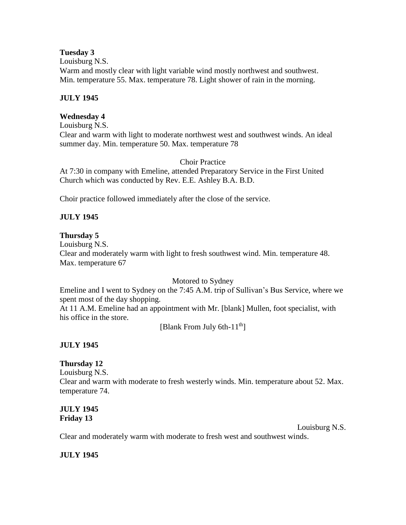### **Tuesday 3**

Louisburg N.S. Warm and mostly clear with light variable wind mostly northwest and southwest. Min. temperature 55. Max. temperature 78. Light shower of rain in the morning.

## **JULY 1945**

## **Wednesday 4**

Louisburg N.S. Clear and warm with light to moderate northwest west and southwest winds. An ideal summer day. Min. temperature 50. Max. temperature 78

## Choir Practice

At 7:30 in company with Emeline, attended Preparatory Service in the First United Church which was conducted by Rev. E.E. Ashley B.A. B.D.

Choir practice followed immediately after the close of the service.

# **JULY 1945**

# **Thursday 5**

Louisburg N.S. Clear and moderately warm with light to fresh southwest wind. Min. temperature 48. Max. temperature 67

Motored to Sydney

Emeline and I went to Sydney on the 7:45 A.M. trip of Sullivan's Bus Service, where we spent most of the day shopping.

At 11 A.M. Emeline had an appointment with Mr. [blank] Mullen, foot specialist, with his office in the store.

[Blank From July 6th-11<sup>th</sup>]

# **JULY 1945**

## **Thursday 12**

Louisburg N.S. Clear and warm with moderate to fresh westerly winds. Min. temperature about 52. Max. temperature 74.

# **JULY 1945 Friday 13**

Louisburg N.S.

Clear and moderately warm with moderate to fresh west and southwest winds.

# **JULY 1945**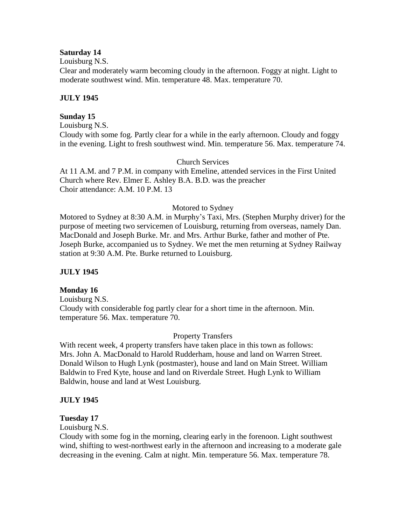### **Saturday 14**

Louisburg N.S.

Clear and moderately warm becoming cloudy in the afternoon. Foggy at night. Light to moderate southwest wind. Min. temperature 48. Max. temperature 70.

## **JULY 1945**

## **Sunday 15**

Louisburg N.S. Cloudy with some fog. Partly clear for a while in the early afternoon. Cloudy and foggy in the evening. Light to fresh southwest wind. Min. temperature 56. Max. temperature 74.

## Church Services

At 11 A.M. and 7 P.M. in company with Emeline, attended services in the First United Church where Rev. Elmer E. Ashley B.A. B.D. was the preacher Choir attendance: A.M. 10 P.M. 13

## Motored to Sydney

Motored to Sydney at 8:30 A.M. in Murphy's Taxi, Mrs. (Stephen Murphy driver) for the purpose of meeting two servicemen of Louisburg, returning from overseas, namely Dan. MacDonald and Joseph Burke. Mr. and Mrs. Arthur Burke, father and mother of Pte. Joseph Burke, accompanied us to Sydney. We met the men returning at Sydney Railway station at 9:30 A.M. Pte. Burke returned to Louisburg.

## **JULY 1945**

#### **Monday 16**

Louisburg N.S. Cloudy with considerable fog partly clear for a short time in the afternoon. Min. temperature 56. Max. temperature 70.

#### Property Transfers

With recent week, 4 property transfers have taken place in this town as follows: Mrs. John A. MacDonald to Harold Rudderham, house and land on Warren Street. Donald Wilson to Hugh Lynk (postmaster), house and land on Main Street. William Baldwin to Fred Kyte, house and land on Riverdale Street. Hugh Lynk to William Baldwin, house and land at West Louisburg.

## **JULY 1945**

#### **Tuesday 17**

Louisburg N.S.

Cloudy with some fog in the morning, clearing early in the forenoon. Light southwest wind, shifting to west-northwest early in the afternoon and increasing to a moderate gale decreasing in the evening. Calm at night. Min. temperature 56. Max. temperature 78.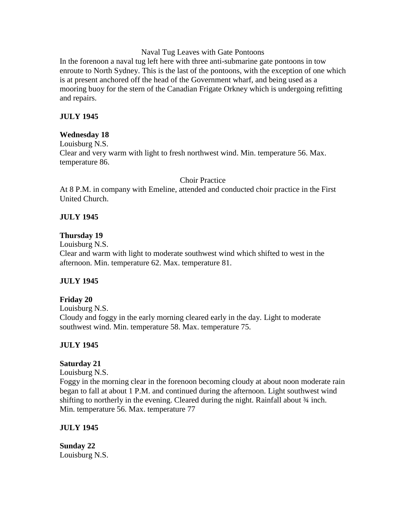Naval Tug Leaves with Gate Pontoons

In the forenoon a naval tug left here with three anti-submarine gate pontoons in tow enroute to North Sydney. This is the last of the pontoons, with the exception of one which is at present anchored off the head of the Government wharf, and being used as a mooring buoy for the stern of the Canadian Frigate Orkney which is undergoing refitting and repairs.

## **JULY 1945**

## **Wednesday 18**

Louisburg N.S. Clear and very warm with light to fresh northwest wind. Min. temperature 56. Max. temperature 86.

#### Choir Practice

At 8 P.M. in company with Emeline, attended and conducted choir practice in the First United Church.

## **JULY 1945**

## **Thursday 19**

Louisburg N.S.

Clear and warm with light to moderate southwest wind which shifted to west in the afternoon. Min. temperature 62. Max. temperature 81.

## **JULY 1945**

## **Friday 20**

Louisburg N.S. Cloudy and foggy in the early morning cleared early in the day. Light to moderate southwest wind. Min. temperature 58. Max. temperature 75.

## **JULY 1945**

## **Saturday 21**

Louisburg N.S.

Foggy in the morning clear in the forenoon becoming cloudy at about noon moderate rain began to fall at about 1 P.M. and continued during the afternoon. Light southwest wind shifting to northerly in the evening. Cleared during the night. Rainfall about  $\frac{3}{4}$  inch. Min. temperature 56. Max. temperature 77

## **JULY 1945**

**Sunday 22** Louisburg N.S.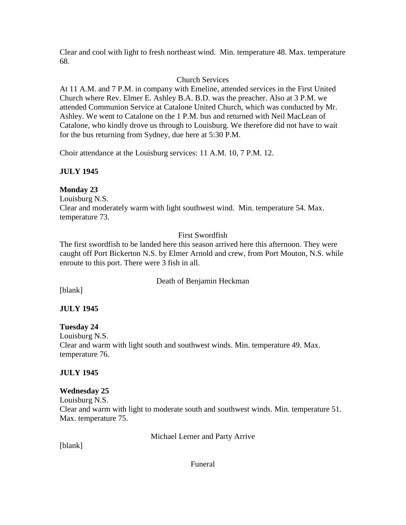Clear and cool with light to fresh northeast wind. Min. temperature 48. Max. temperature 68.

# Church Services

At 11 A.M. and 7 P.M. in company with Emeline, attended services in the First United Church where Rev. Elmer E. Ashley B.A. B.D. was the preacher. Also at 3 P.M. we attended Communion Service at Catalone United Church, which was conducted by Mr. Ashley. We went to Catalone on the 1 P.M. bus and returned with Neil MacLean of Catalone, who kindly drove us through to Louisburg. We therefore did not have to wait for the bus returning from Sydney, due here at 5:30 P.M.

Choir attendance at the Louisburg services: 11 A.M. 10, 7 P.M. 12.

# **JULY 1945**

# **Monday 23**

Louisburg N.S. Clear and moderately warm with light southwest wind. Min. temperature 54. Max. temperature 73.

# First Swordfish

The first swordfish to be landed here this season arrived here this afternoon. They were caught off Port Bickerton N.S. by Elmer Arnold and crew, from Port Mouton, N.S. while enroute to this port. There were 3 fish in all.

# Death of Benjamin Heckman

[blank]

# **JULY 1945**

**Tuesday 24** Louisburg N.S. Clear and warm with light south and southwest winds. Min. temperature 49. Max. temperature 76.

# **JULY 1945**

## **Wednesday 25**

Louisburg N.S. Clear and warm with light to moderate south and southwest winds. Min. temperature 51. Max. temperature 75.

Michael Lerner and Party Arrive

[blank]

Funeral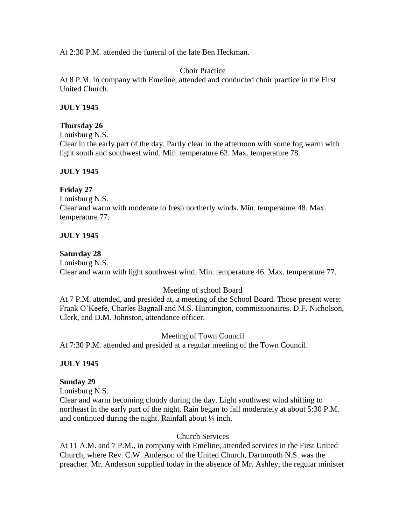At 2:30 P.M. attended the funeral of the late Ben Heckman.

Choir Practice

At 8 P.M. in company with Emeline, attended and conducted choir practice in the First United Church.

## **JULY 1945**

## **Thursday 26**

Louisburg N.S. Clear in the early part of the day. Partly clear in the afternoon with some fog warm with light south and southwest wind. Min. temperature 62. Max. temperature 78.

## **JULY 1945**

## **Friday 27**

Louisburg N.S. Clear and warm with moderate to fresh northerly winds. Min. temperature 48. Max. temperature 77.

## **JULY 1945**

## **Saturday 28**

Louisburg N.S. Clear and warm with light southwest wind. Min. temperature 46. Max. temperature 77.

## Meeting of school Board

At 7 P.M. attended, and presided at, a meeting of the School Board. Those present were: Frank O'Keefe, Charles Bagnall and M.S. Huntington, commissionaires. D.F. Nicholson, Clerk, and D.M. Johnston, attendance officer.

#### Meeting of Town Council

At 7:30 P.M. attended and presided at a regular meeting of the Town Council.

## **JULY 1945**

#### **Sunday 29**

Louisburg N.S.

Clear and warm becoming cloudy during the day. Light southwest wind shifting to northeast in the early part of the night. Rain began to fall moderately at about 5:30 P.M. and continued during the night. Rainfall about  $\frac{1}{4}$  inch.

#### Church Services

At 11 A.M. and 7 P.M., in company with Emeline, attended services in the First United Church, where Rev. C.W. Anderson of the United Church, Dartmouth N.S. was the preacher. Mr. Anderson supplied today in the absence of Mr. Ashley, the regular minister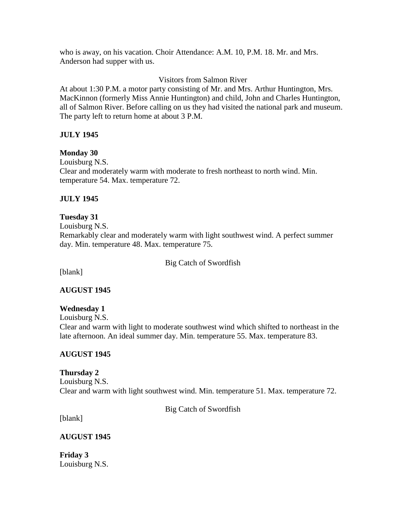who is away, on his vacation. Choir Attendance: A.M. 10, P.M. 18. Mr. and Mrs. Anderson had supper with us.

## Visitors from Salmon River

At about 1:30 P.M. a motor party consisting of Mr. and Mrs. Arthur Huntington, Mrs. MacKinnon (formerly Miss Annie Huntington) and child, John and Charles Huntington, all of Salmon River. Before calling on us they had visited the national park and museum. The party left to return home at about 3 P.M.

## **JULY 1945**

## **Monday 30**

Louisburg N.S. Clear and moderately warm with moderate to fresh northeast to north wind. Min. temperature 54. Max. temperature 72.

## **JULY 1945**

# **Tuesday 31**

Louisburg N.S. Remarkably clear and moderately warm with light southwest wind. A perfect summer day. Min. temperature 48. Max. temperature 75.

#### Big Catch of Swordfish

[blank]

#### **AUGUST 1945**

#### **Wednesday 1**

Louisburg N.S. Clear and warm with light to moderate southwest wind which shifted to northeast in the late afternoon. An ideal summer day. Min. temperature 55. Max. temperature 83.

#### **AUGUST 1945**

## **Thursday 2**

Louisburg N.S. Clear and warm with light southwest wind. Min. temperature 51. Max. temperature 72.

Big Catch of Swordfish

[blank]

#### **AUGUST 1945**

**Friday 3** Louisburg N.S.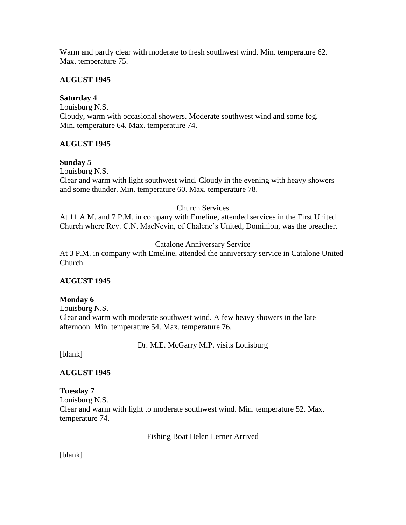Warm and partly clear with moderate to fresh southwest wind. Min. temperature 62. Max. temperature 75.

## **AUGUST 1945**

# **Saturday 4**

Louisburg N.S. Cloudy, warm with occasional showers. Moderate southwest wind and some fog. Min. temperature 64. Max. temperature 74.

## **AUGUST 1945**

## **Sunday 5**

Louisburg N.S. Clear and warm with light southwest wind. Cloudy in the evening with heavy showers and some thunder. Min. temperature 60. Max. temperature 78.

## Church Services

At 11 A.M. and 7 P.M. in company with Emeline, attended services in the First United Church where Rev. C.N. MacNevin, of Chalene's United, Dominion, was the preacher.

# Catalone Anniversary Service

At 3 P.M. in company with Emeline, attended the anniversary service in Catalone United Church.

# **AUGUST 1945**

## **Monday 6**

Louisburg N.S. Clear and warm with moderate southwest wind. A few heavy showers in the late afternoon. Min. temperature 54. Max. temperature 76.

Dr. M.E. McGarry M.P. visits Louisburg

[blank]

# **AUGUST 1945**

**Tuesday 7** Louisburg N.S. Clear and warm with light to moderate southwest wind. Min. temperature 52. Max. temperature 74.

Fishing Boat Helen Lerner Arrived

[blank]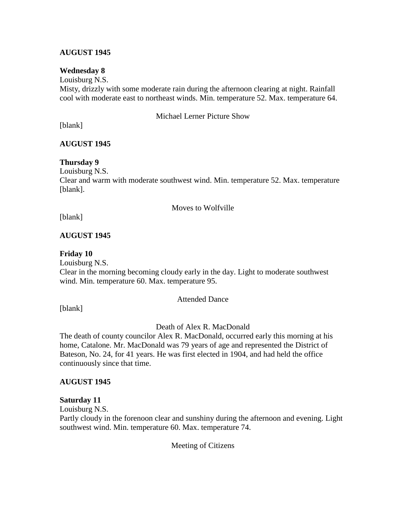## **AUGUST 1945**

#### **Wednesday 8**

Louisburg N.S. Misty, drizzly with some moderate rain during the afternoon clearing at night. Rainfall cool with moderate east to northeast winds. Min. temperature 52. Max. temperature 64.

Michael Lerner Picture Show

[blank]

## **AUGUST 1945**

#### **Thursday 9**

Louisburg N.S. Clear and warm with moderate southwest wind. Min. temperature 52. Max. temperature [blank].

#### Moves to Wolfville

[blank]

#### **AUGUST 1945**

#### **Friday 10**

Louisburg N.S. Clear in the morning becoming cloudy early in the day. Light to moderate southwest wind. Min. temperature 60. Max. temperature 95.

#### Attended Dance

[blank]

#### Death of Alex R. MacDonald

The death of county councilor Alex R. MacDonald, occurred early this morning at his home, Catalone. Mr. MacDonald was 79 years of age and represented the District of Bateson, No. 24, for 41 years. He was first elected in 1904, and had held the office continuously since that time.

#### **AUGUST 1945**

#### **Saturday 11**

Louisburg N.S.

Partly cloudy in the forenoon clear and sunshiny during the afternoon and evening. Light southwest wind. Min. temperature 60. Max. temperature 74.

Meeting of Citizens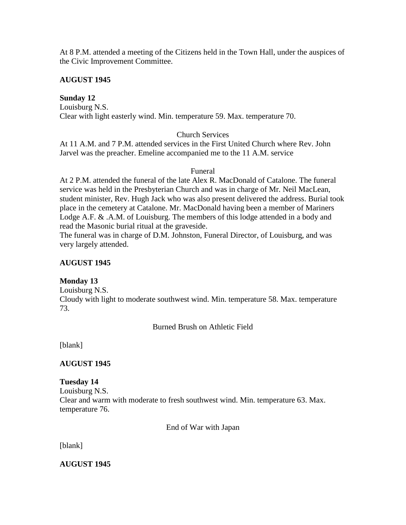At 8 P.M. attended a meeting of the Citizens held in the Town Hall, under the auspices of the Civic Improvement Committee.

## **AUGUST 1945**

**Sunday 12**

Louisburg N.S. Clear with light easterly wind. Min. temperature 59. Max. temperature 70.

## Church Services

At 11 A.M. and 7 P.M. attended services in the First United Church where Rev. John Jarvel was the preacher. Emeline accompanied me to the 11 A.M. service

#### Funeral

At 2 P.M. attended the funeral of the late Alex R. MacDonald of Catalone. The funeral service was held in the Presbyterian Church and was in charge of Mr. Neil MacLean, student minister, Rev. Hugh Jack who was also present delivered the address. Burial took place in the cemetery at Catalone. Mr. MacDonald having been a member of Mariners Lodge A.F. & .A.M. of Louisburg. The members of this lodge attended in a body and read the Masonic burial ritual at the graveside.

The funeral was in charge of D.M. Johnston, Funeral Director, of Louisburg, and was very largely attended.

### **AUGUST 1945**

#### **Monday 13**

Louisburg N.S. Cloudy with light to moderate southwest wind. Min. temperature 58. Max. temperature 73.

Burned Brush on Athletic Field

[blank]

## **AUGUST 1945**

#### **Tuesday 14**

Louisburg N.S. Clear and warm with moderate to fresh southwest wind. Min. temperature 63. Max. temperature 76.

End of War with Japan

[blank]

**AUGUST 1945**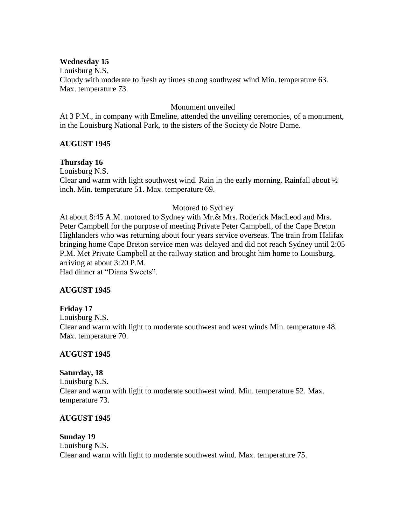#### **Wednesday 15**

Louisburg N.S. Cloudy with moderate to fresh ay times strong southwest wind Min. temperature 63. Max. temperature 73.

#### Monument unveiled

At 3 P.M., in company with Emeline, attended the unveiling ceremonies, of a monument, in the Louisburg National Park, to the sisters of the Society de Notre Dame.

#### **AUGUST 1945**

#### **Thursday 16**

Louisburg N.S. Clear and warm with light southwest wind. Rain in the early morning. Rainfall about ½ inch. Min. temperature 51. Max. temperature 69.

#### Motored to Sydney

At about 8:45 A.M. motored to Sydney with Mr.& Mrs. Roderick MacLeod and Mrs. Peter Campbell for the purpose of meeting Private Peter Campbell, of the Cape Breton Highlanders who was returning about four years service overseas. The train from Halifax bringing home Cape Breton service men was delayed and did not reach Sydney until 2:05 P.M. Met Private Campbell at the railway station and brought him home to Louisburg, arriving at about 3:20 P.M. Had dinner at "Diana Sweets".

#### **AUGUST 1945**

#### **Friday 17**

Louisburg N.S. Clear and warm with light to moderate southwest and west winds Min. temperature 48. Max. temperature 70.

#### **AUGUST 1945**

#### **Saturday, 18**

Louisburg N.S. Clear and warm with light to moderate southwest wind. Min. temperature 52. Max. temperature 73.

#### **AUGUST 1945**

#### **Sunday 19** Louisburg N.S. Clear and warm with light to moderate southwest wind. Max. temperature 75.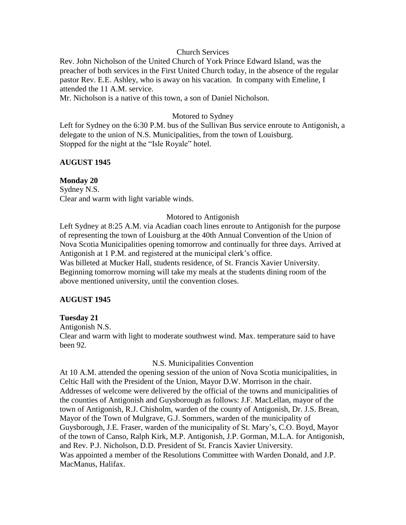#### Church Services

Rev. John Nicholson of the United Church of York Prince Edward Island, was the preacher of both services in the First United Church today, in the absence of the regular pastor Rev. E.E. Ashley, who is away on his vacation. In company with Emeline, I attended the 11 A.M. service.

Mr. Nicholson is a native of this town, a son of Daniel Nicholson.

#### Motored to Sydney

Left for Sydney on the 6:30 P.M. bus of the Sullivan Bus service enroute to Antigonish, a delegate to the union of N.S. Municipalities, from the town of Louisburg. Stopped for the night at the "Isle Royale" hotel.

## **AUGUST 1945**

#### **Monday 20**

Sydney N.S. Clear and warm with light variable winds.

## Motored to Antigonish

Left Sydney at 8:25 A.M. via Acadian coach lines enroute to Antigonish for the purpose of representing the town of Louisburg at the 40th Annual Convention of the Union of Nova Scotia Municipalities opening tomorrow and continually for three days. Arrived at Antigonish at 1 P.M. and registered at the municipal clerk's office. Was billeted at Mucker Hall, students residence, of St. Francis Xavier University.

Beginning tomorrow morning will take my meals at the students dining room of the above mentioned university, until the convention closes.

#### **AUGUST 1945**

#### **Tuesday 21**

Antigonish N.S.

Clear and warm with light to moderate southwest wind. Max. temperature said to have been 92.

#### N.S. Municipalities Convention

At 10 A.M. attended the opening session of the union of Nova Scotia municipalities, in Celtic Hall with the President of the Union, Mayor D.W. Morrison in the chair. Addresses of welcome were delivered by the official of the towns and municipalities of the counties of Antigonish and Guysborough as follows: J.F. MacLellan, mayor of the town of Antigonish, R.J. Chisholm, warden of the county of Antigonish, Dr. J.S. Brean, Mayor of the Town of Mulgrave, G.J. Sommers, warden of the municipality of Guysborough, J.E. Fraser, warden of the municipality of St. Mary's, C.O. Boyd, Mayor of the town of Canso, Ralph Kirk, M.P. Antigonish, J.P. Gorman, M.L.A. for Antigonish, and Rev. P.J. Nicholson, D.D. President of St. Francis Xavier University. Was appointed a member of the Resolutions Committee with Warden Donald, and J.P. MacManus, Halifax.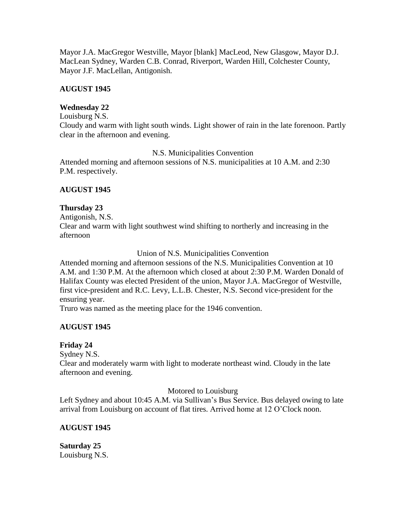Mayor J.A. MacGregor Westville, Mayor [blank] MacLeod, New Glasgow, Mayor D.J. MacLean Sydney, Warden C.B. Conrad, Riverport, Warden Hill, Colchester County, Mayor J.F. MacLellan, Antigonish.

## **AUGUST 1945**

# **Wednesday 22**

#### Louisburg N.S.

Cloudy and warm with light south winds. Light shower of rain in the late forenoon. Partly clear in the afternoon and evening.

## N.S. Municipalities Convention

Attended morning and afternoon sessions of N.S. municipalities at 10 A.M. and 2:30 P.M. respectively.

## **AUGUST 1945**

## **Thursday 23**

Antigonish, N.S. Clear and warm with light southwest wind shifting to northerly and increasing in the afternoon

## Union of N.S. Municipalities Convention

Attended morning and afternoon sessions of the N.S. Municipalities Convention at 10 A.M. and 1:30 P.M. At the afternoon which closed at about 2:30 P.M. Warden Donald of Halifax County was elected President of the union, Mayor J.A. MacGregor of Westville, first vice-president and R.C. Levy, L.L.B. Chester, N.S. Second vice-president for the ensuring year.

Truro was named as the meeting place for the 1946 convention.

## **AUGUST 1945**

## **Friday 24**

Sydney N.S.

Clear and moderately warm with light to moderate northeast wind. Cloudy in the late afternoon and evening.

## Motored to Louisburg

Left Sydney and about 10:45 A.M. via Sullivan's Bus Service. Bus delayed owing to late arrival from Louisburg on account of flat tires. Arrived home at 12 O'Clock noon.

## **AUGUST 1945**

**Saturday 25** Louisburg N.S.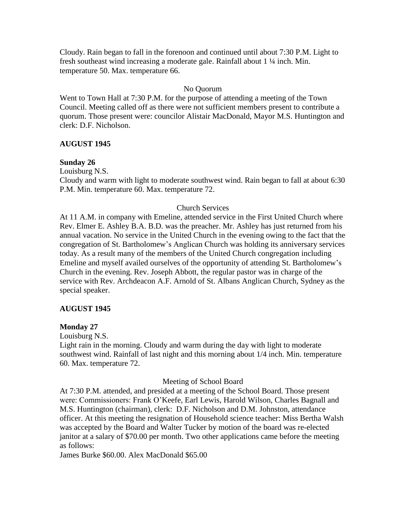Cloudy. Rain began to fall in the forenoon and continued until about 7:30 P.M. Light to fresh southeast wind increasing a moderate gale. Rainfall about 1 ¼ inch. Min. temperature 50. Max. temperature 66.

#### No Quorum

Went to Town Hall at 7:30 P.M. for the purpose of attending a meeting of the Town Council. Meeting called off as there were not sufficient members present to contribute a quorum. Those present were: councilor Alistair MacDonald, Mayor M.S. Huntington and clerk: D.F. Nicholson.

## **AUGUST 1945**

## **Sunday 26**

Louisburg N.S.

Cloudy and warm with light to moderate southwest wind. Rain began to fall at about 6:30 P.M. Min. temperature 60. Max. temperature 72.

## Church Services

At 11 A.M. in company with Emeline, attended service in the First United Church where Rev. Elmer E. Ashley B.A. B.D. was the preacher. Mr. Ashley has just returned from his annual vacation. No service in the United Church in the evening owing to the fact that the congregation of St. Bartholomew's Anglican Church was holding its anniversary services today. As a result many of the members of the United Church congregation including Emeline and myself availed ourselves of the opportunity of attending St. Bartholomew's Church in the evening. Rev. Joseph Abbott, the regular pastor was in charge of the service with Rev. Archdeacon A.F. Arnold of St. Albans Anglican Church, Sydney as the special speaker.

## **AUGUST 1945**

#### **Monday 27**

Louisburg N.S.

Light rain in the morning. Cloudy and warm during the day with light to moderate southwest wind. Rainfall of last night and this morning about 1/4 inch. Min. temperature 60. Max. temperature 72.

#### Meeting of School Board

At 7:30 P.M. attended, and presided at a meeting of the School Board. Those present were: Commissioners: Frank O'Keefe, Earl Lewis, Harold Wilson, Charles Bagnall and M.S. Huntington (chairman), clerk: D.F. Nicholson and D.M. Johnston, attendance officer. At this meeting the resignation of Household science teacher: Miss Bertha Walsh was accepted by the Board and Walter Tucker by motion of the board was re-elected janitor at a salary of \$70.00 per month. Two other applications came before the meeting as follows:

James Burke \$60.00. Alex MacDonald \$65.00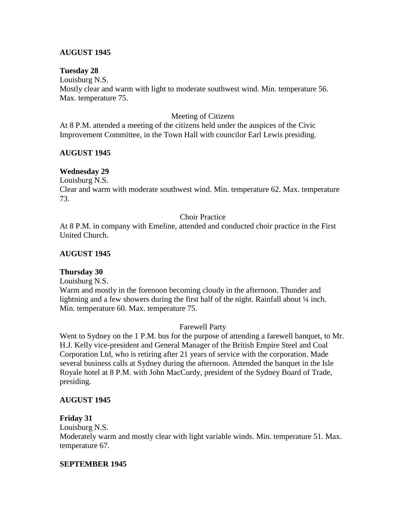## **AUGUST 1945**

#### **Tuesday 28**

Louisburg N.S. Mostly clear and warm with light to moderate southwest wind. Min. temperature 56. Max. temperature 75.

#### Meeting of Citizens

At 8 P.M. attended a meeting of the citizens held under the auspices of the Civic Improvement Committee, in the Town Hall with councilor Earl Lewis presiding.

#### **AUGUST 1945**

#### **Wednesday 29**

Louisburg N.S.

Clear and warm with moderate southwest wind. Min. temperature 62. Max. temperature 73.

#### Choir Practice

At 8 P.M. in company with Emeline, attended and conducted choir practice in the First United Church.

#### **AUGUST 1945**

#### **Thursday 30**

Louisburg N.S.

Warm and mostly in the forenoon becoming cloudy in the afternoon. Thunder and lightning and a few showers during the first half of the night. Rainfall about  $\frac{1}{4}$  inch. Min. temperature 60. Max. temperature 75.

#### Farewell Party

Went to Sydney on the 1 P.M. bus for the purpose of attending a farewell banquet, to Mr. H.J. Kelly vice-president and General Manager of the British Empire Steel and Coal Corporation Ltd, who is retiring after 21 years of service with the corporation. Made several business calls at Sydney during the afternoon. Attended the banquet in the Isle Royale hotel at 8 P.M. with John MacCurdy, president of the Sydney Board of Trade, presiding.

#### **AUGUST 1945**

#### **Friday 31**

Louisburg N.S.

Moderately warm and mostly clear with light variable winds. Min. temperature 51. Max. temperature 67.

#### **SEPTEMBER 1945**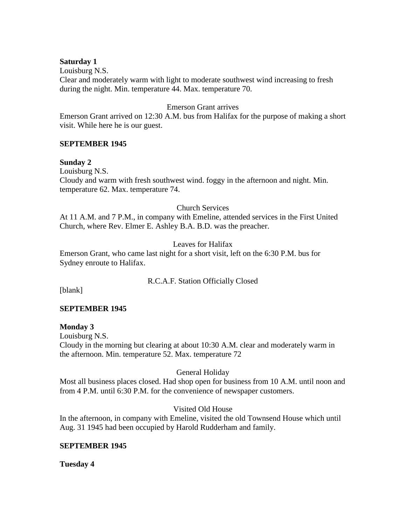#### **Saturday 1**

Louisburg N.S. Clear and moderately warm with light to moderate southwest wind increasing to fresh during the night. Min. temperature 44. Max. temperature 70.

#### Emerson Grant arrives

Emerson Grant arrived on 12:30 A.M. bus from Halifax for the purpose of making a short visit. While here he is our guest.

#### **SEPTEMBER 1945**

#### **Sunday 2**

Louisburg N.S. Cloudy and warm with fresh southwest wind. foggy in the afternoon and night. Min. temperature 62. Max. temperature 74.

## Church Services

At 11 A.M. and 7 P.M., in company with Emeline, attended services in the First United Church, where Rev. Elmer E. Ashley B.A. B.D. was the preacher.

#### Leaves for Halifax

Emerson Grant, who came last night for a short visit, left on the 6:30 P.M. bus for Sydney enroute to Halifax.

#### R.C.A.F. Station Officially Closed

[blank]

#### **SEPTEMBER 1945**

#### **Monday 3**

Louisburg N.S. Cloudy in the morning but clearing at about 10:30 A.M. clear and moderately warm in the afternoon. Min. temperature 52. Max. temperature 72

#### General Holiday

Most all business places closed. Had shop open for business from 10 A.M. until noon and from 4 P.M. until 6:30 P.M. for the convenience of newspaper customers.

### Visited Old House

In the afternoon, in company with Emeline, visited the old Townsend House which until Aug. 31 1945 had been occupied by Harold Rudderham and family.

#### **SEPTEMBER 1945**

**Tuesday 4**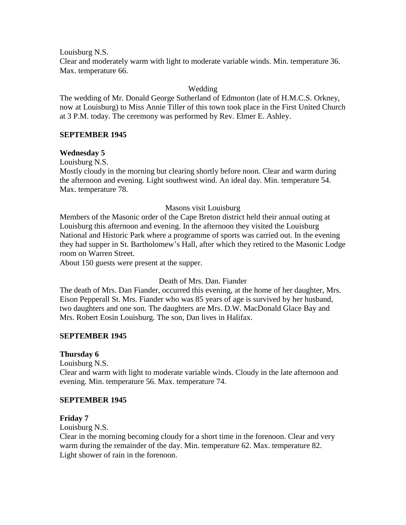Louisburg N.S. Clear and moderately warm with light to moderate variable winds. Min. temperature 36. Max. temperature 66.

### Wedding

The wedding of Mr. Donald George Sutherland of Edmonton (late of H.M.C.S. Orkney, now at Louisburg) to Miss Annie Tiller of this town took place in the First United Church at 3 P.M. today. The ceremony was performed by Rev. Elmer E. Ashley.

#### **SEPTEMBER 1945**

#### **Wednesday 5**

Louisburg N.S.

Mostly cloudy in the morning but clearing shortly before noon. Clear and warm during the afternoon and evening. Light southwest wind. An ideal day. Min. temperature 54. Max. temperature 78.

#### Masons visit Louisburg

Members of the Masonic order of the Cape Breton district held their annual outing at Louisburg this afternoon and evening. In the afternoon they visited the Louisburg National and Historic Park where a programme of sports was carried out. In the evening they had supper in St. Bartholomew's Hall, after which they retired to the Masonic Lodge room on Warren Street.

About 150 guests were present at the supper.

#### Death of Mrs. Dan. Fiander

The death of Mrs. Dan Fiander, occurred this evening, at the home of her daughter, Mrs. Eison Pepperall St. Mrs. Fiander who was 85 years of age is survived by her husband, two daughters and one son. The daughters are Mrs. D.W. MacDonald Glace Bay and Mrs. Robert Eosin Louisburg. The son, Dan lives in Halifax.

#### **SEPTEMBER 1945**

#### **Thursday 6**

Louisburg N.S.

Clear and warm with light to moderate variable winds. Cloudy in the late afternoon and evening. Min. temperature 56. Max. temperature 74.

#### **SEPTEMBER 1945**

#### **Friday 7**

Louisburg N.S.

Clear in the morning becoming cloudy for a short time in the forenoon. Clear and very warm during the remainder of the day. Min. temperature 62. Max. temperature 82. Light shower of rain in the forenoon.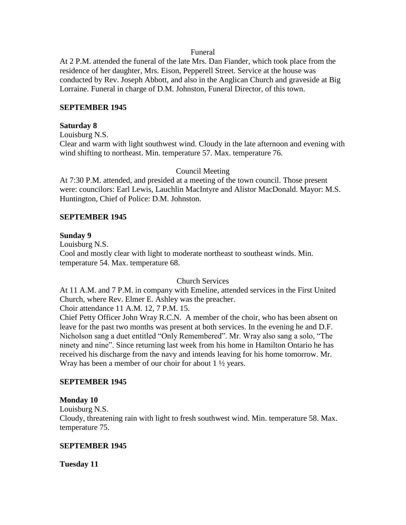#### Funeral

At 2 P.M. attended the funeral of the late Mrs. Dan Fiander, which took place from the residence of her daughter, Mrs. Eison, Pepperell Street. Service at the house was conducted by Rev. Joseph Abbott, and also in the Anglican Church and graveside at Big Lorraine. Funeral in charge of D.M. Johnston, Funeral Director, of this town.

#### **SEPTEMBER 1945**

#### **Saturday 8**

Louisburg N.S.

Clear and warm with light southwest wind. Cloudy in the late afternoon and evening with wind shifting to northeast. Min. temperature 57. Max. temperature 76.

#### Council Meeting

At 7:30 P.M. attended, and presided at a meeting of the town council. Those present were: councilors: Earl Lewis, Lauchlin MacIntyre and Alistor MacDonald. Mayor: M.S. Huntington, Chief of Police: D.M. Johnston.

#### **SEPTEMBER 1945**

#### **Sunday 9**

Louisburg N.S. Cool and mostly clear with light to moderate northeast to southeast winds. Min. temperature 54. Max. temperature 68.

#### Church Services

At 11 A.M. and 7 P.M. in company with Emeline, attended services in the First United Church, where Rev. Elmer E. Ashley was the preacher.

Choir attendance 11 A.M. 12, 7 P.M. 15.

Chief Petty Officer John Wray R.C.N. A member of the choir, who has been absent on leave for the past two months was present at both services. In the evening he and D.F. Nicholson sang a duet entitled "Only Remembered". Mr. Wray also sang a solo, "The ninety and nine". Since returning last week from his home in Hamilton Ontario he has received his discharge from the navy and intends leaving for his home tomorrow. Mr. Wray has been a member of our choir for about  $1 \frac{1}{2}$  years.

#### **SEPTEMBER 1945**

#### **Monday 10**

Louisburg N.S.

Cloudy, threatening rain with light to fresh southwest wind. Min. temperature 58. Max. temperature 75.

#### **SEPTEMBER 1945**

**Tuesday 11**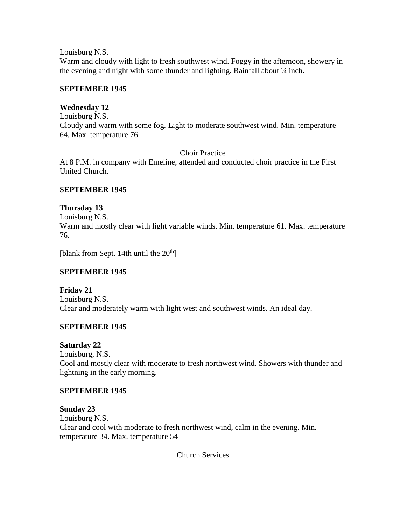Louisburg N.S.

Warm and cloudy with light to fresh southwest wind. Foggy in the afternoon, showery in the evening and night with some thunder and lighting. Rainfall about 1/4 inch.

## **SEPTEMBER 1945**

## **Wednesday 12**

Louisburg N.S. Cloudy and warm with some fog. Light to moderate southwest wind. Min. temperature 64. Max. temperature 76.

Choir Practice

At 8 P.M. in company with Emeline, attended and conducted choir practice in the First United Church.

# **SEPTEMBER 1945**

# **Thursday 13**

Louisburg N.S. Warm and mostly clear with light variable winds. Min. temperature 61. Max. temperature 76.

[blank from Sept. 14th until the  $20<sup>th</sup>$ ]

# **SEPTEMBER 1945**

# **Friday 21**

Louisburg N.S. Clear and moderately warm with light west and southwest winds. An ideal day.

# **SEPTEMBER 1945**

## **Saturday 22**

Louisburg, N.S. Cool and mostly clear with moderate to fresh northwest wind. Showers with thunder and lightning in the early morning.

## **SEPTEMBER 1945**

**Sunday 23** Louisburg N.S. Clear and cool with moderate to fresh northwest wind, calm in the evening. Min. temperature 34. Max. temperature 54

Church Services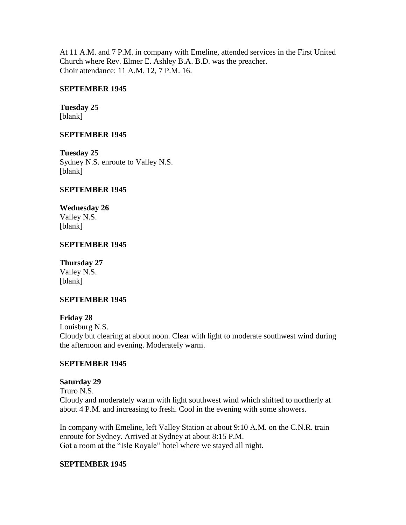At 11 A.M. and 7 P.M. in company with Emeline, attended services in the First United Church where Rev. Elmer E. Ashley B.A. B.D. was the preacher. Choir attendance: 11 A.M. 12, 7 P.M. 16.

## **SEPTEMBER 1945**

**Tuesday 25** [blank]

## **SEPTEMBER 1945**

**Tuesday 25** Sydney N.S. enroute to Valley N.S. [blank]

## **SEPTEMBER 1945**

**Wednesday 26** Valley N.S. [blank]

## **SEPTEMBER 1945**

### **Thursday 27**

Valley N.S. [blank]

#### **SEPTEMBER 1945**

#### **Friday 28**

Louisburg N.S.

Cloudy but clearing at about noon. Clear with light to moderate southwest wind during the afternoon and evening. Moderately warm.

#### **SEPTEMBER 1945**

#### **Saturday 29**

Truro N.S. Cloudy and moderately warm with light southwest wind which shifted to northerly at about 4 P.M. and increasing to fresh. Cool in the evening with some showers.

In company with Emeline, left Valley Station at about 9:10 A.M. on the C.N.R. train enroute for Sydney. Arrived at Sydney at about 8:15 P.M. Got a room at the "Isle Royale" hotel where we stayed all night.

#### **SEPTEMBER 1945**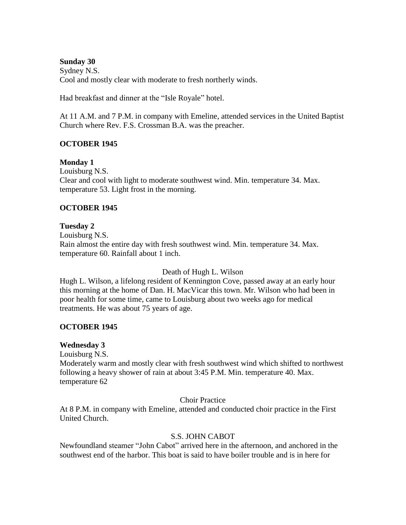### **Sunday 30**

Sydney N.S. Cool and mostly clear with moderate to fresh northerly winds.

Had breakfast and dinner at the "Isle Royale" hotel.

At 11 A.M. and 7 P.M. in company with Emeline, attended services in the United Baptist Church where Rev. F.S. Crossman B.A. was the preacher.

## **OCTOBER 1945**

**Monday 1**

Louisburg N.S. Clear and cool with light to moderate southwest wind. Min. temperature 34. Max. temperature 53. Light frost in the morning.

# **OCTOBER 1945**

## **Tuesday 2**

Louisburg N.S. Rain almost the entire day with fresh southwest wind. Min. temperature 34. Max. temperature 60. Rainfall about 1 inch.

Death of Hugh L. Wilson

Hugh L. Wilson, a lifelong resident of Kennington Cove, passed away at an early hour this morning at the home of Dan. H. MacVicar this town. Mr. Wilson who had been in poor health for some time, came to Louisburg about two weeks ago for medical treatments. He was about 75 years of age.

## **OCTOBER 1945**

## **Wednesday 3**

Louisburg N.S.

Moderately warm and mostly clear with fresh southwest wind which shifted to northwest following a heavy shower of rain at about 3:45 P.M. Min. temperature 40. Max. temperature 62

## Choir Practice

At 8 P.M. in company with Emeline, attended and conducted choir practice in the First United Church.

## S.S. JOHN CABOT

Newfoundland steamer "John Cabot" arrived here in the afternoon, and anchored in the southwest end of the harbor. This boat is said to have boiler trouble and is in here for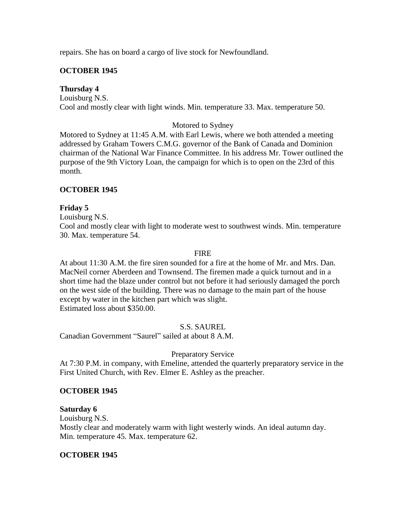repairs. She has on board a cargo of live stock for Newfoundland.

## **OCTOBER 1945**

## **Thursday 4**

Louisburg N.S. Cool and mostly clear with light winds. Min. temperature 33. Max. temperature 50.

## Motored to Sydney

Motored to Sydney at 11:45 A.M. with Earl Lewis, where we both attended a meeting addressed by Graham Towers C.M.G. governor of the Bank of Canada and Dominion chairman of the National War Finance Committee. In his address Mr. Tower outlined the purpose of the 9th Victory Loan, the campaign for which is to open on the 23rd of this month.

## **OCTOBER 1945**

## **Friday 5**

Louisburg N.S. Cool and mostly clear with light to moderate west to southwest winds. Min. temperature 30. Max. temperature 54.

## **FIRE**

At about 11:30 A.M. the fire siren sounded for a fire at the home of Mr. and Mrs. Dan. MacNeil corner Aberdeen and Townsend. The firemen made a quick turnout and in a short time had the blaze under control but not before it had seriously damaged the porch on the west side of the building. There was no damage to the main part of the house except by water in the kitchen part which was slight. Estimated loss about \$350.00.

## S.S. SAUREL

Canadian Government "Saurel" sailed at about 8 A.M.

## Preparatory Service

At 7:30 P.M. in company, with Emeline, attended the quarterly preparatory service in the First United Church, with Rev. Elmer E. Ashley as the preacher.

## **OCTOBER 1945**

## **Saturday 6**

Louisburg N.S.

Mostly clear and moderately warm with light westerly winds. An ideal autumn day. Min. temperature 45. Max. temperature 62.

## **OCTOBER 1945**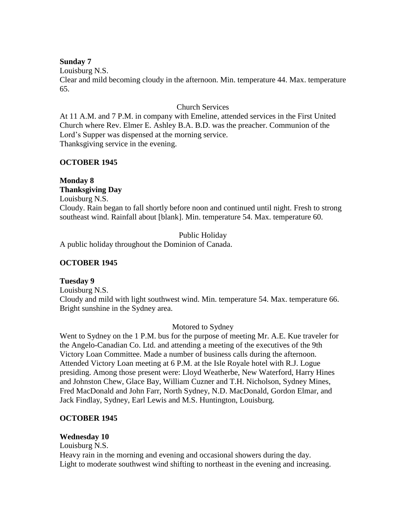## **Sunday 7**

Louisburg N.S.

Clear and mild becoming cloudy in the afternoon. Min. temperature 44. Max. temperature 65.

## Church Services

At 11 A.M. and 7 P.M. in company with Emeline, attended services in the First United Church where Rev. Elmer E. Ashley B.A. B.D. was the preacher. Communion of the Lord's Supper was dispensed at the morning service. Thanksgiving service in the evening.

## **OCTOBER 1945**

# **Monday 8 Thanksgiving Day**

Louisburg N.S. Cloudy. Rain began to fall shortly before noon and continued until night. Fresh to strong southeast wind. Rainfall about [blank]. Min. temperature 54. Max. temperature 60.

Public Holiday

A public holiday throughout the Dominion of Canada.

# **OCTOBER 1945**

# **Tuesday 9**

Louisburg N.S. Cloudy and mild with light southwest wind. Min. temperature 54. Max. temperature 66. Bright sunshine in the Sydney area.

## Motored to Sydney

Went to Sydney on the 1 P.M. bus for the purpose of meeting Mr. A.E. Kue traveler for the Angelo-Canadian Co. Ltd. and attending a meeting of the executives of the 9th Victory Loan Committee. Made a number of business calls during the afternoon. Attended Victory Loan meeting at 6 P.M. at the Isle Royale hotel with R.J. Logue presiding. Among those present were: Lloyd Weatherbe, New Waterford, Harry Hines and Johnston Chew, Glace Bay, William Cuzner and T.H. Nicholson, Sydney Mines, Fred MacDonald and John Farr, North Sydney, N.D. MacDonald, Gordon Elmar, and Jack Findlay, Sydney, Earl Lewis and M.S. Huntington, Louisburg.

# **OCTOBER 1945**

# **Wednesday 10**

Louisburg N.S. Heavy rain in the morning and evening and occasional showers during the day. Light to moderate southwest wind shifting to northeast in the evening and increasing.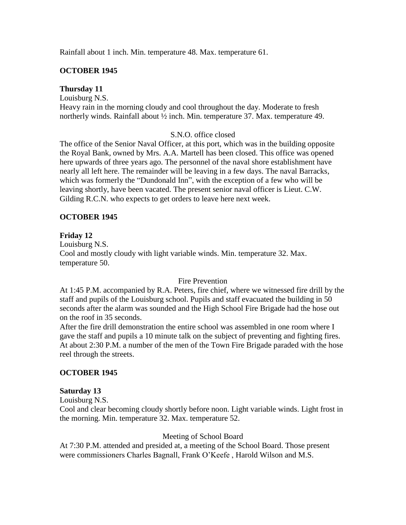Rainfall about 1 inch. Min. temperature 48. Max. temperature 61.

## **OCTOBER 1945**

## **Thursday 11**

Louisburg N.S.

Heavy rain in the morning cloudy and cool throughout the day. Moderate to fresh northerly winds. Rainfall about ½ inch. Min. temperature 37. Max. temperature 49.

## S.N.O. office closed

The office of the Senior Naval Officer, at this port, which was in the building opposite the Royal Bank, owned by Mrs. A.A. Martell has been closed. This office was opened here upwards of three years ago. The personnel of the naval shore establishment have nearly all left here. The remainder will be leaving in a few days. The naval Barracks, which was formerly the "Dundonald Inn", with the exception of a few who will be leaving shortly, have been vacated. The present senior naval officer is Lieut. C.W. Gilding R.C.N. who expects to get orders to leave here next week.

## **OCTOBER 1945**

## **Friday 12**

Louisburg N.S. Cool and mostly cloudy with light variable winds. Min. temperature 32. Max. temperature 50.

## Fire Prevention

At 1:45 P.M. accompanied by R.A. Peters, fire chief, where we witnessed fire drill by the staff and pupils of the Louisburg school. Pupils and staff evacuated the building in 50 seconds after the alarm was sounded and the High School Fire Brigade had the hose out on the roof in 35 seconds.

After the fire drill demonstration the entire school was assembled in one room where I gave the staff and pupils a 10 minute talk on the subject of preventing and fighting fires. At about 2:30 P.M. a number of the men of the Town Fire Brigade paraded with the hose reel through the streets.

## **OCTOBER 1945**

## **Saturday 13**

Louisburg N.S.

Cool and clear becoming cloudy shortly before noon. Light variable winds. Light frost in the morning. Min. temperature 32. Max. temperature 52.

## Meeting of School Board

At 7:30 P.M. attended and presided at, a meeting of the School Board. Those present were commissioners Charles Bagnall, Frank O'Keefe , Harold Wilson and M.S.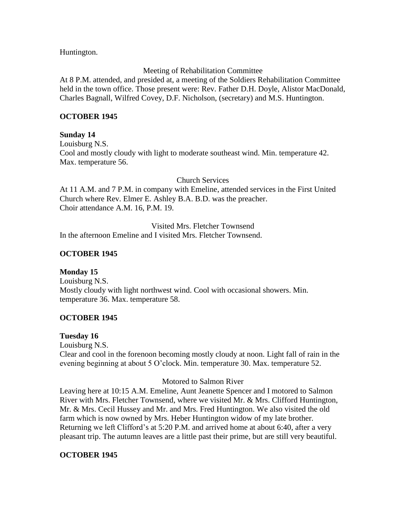Huntington.

## Meeting of Rehabilitation Committee

At 8 P.M. attended, and presided at, a meeting of the Soldiers Rehabilitation Committee held in the town office. Those present were: Rev. Father D.H. Doyle, Alistor MacDonald, Charles Bagnall, Wilfred Covey, D.F. Nicholson, (secretary) and M.S. Huntington.

## **OCTOBER 1945**

## **Sunday 14**

Louisburg N.S. Cool and mostly cloudy with light to moderate southeast wind. Min. temperature 42. Max. temperature 56.

Church Services

At 11 A.M. and 7 P.M. in company with Emeline, attended services in the First United Church where Rev. Elmer E. Ashley B.A. B.D. was the preacher. Choir attendance A.M. 16, P.M. 19.

Visited Mrs. Fletcher Townsend In the afternoon Emeline and I visited Mrs. Fletcher Townsend.

## **OCTOBER 1945**

**Monday 15** Louisburg N.S. Mostly cloudy with light northwest wind. Cool with occasional showers. Min. temperature 36. Max. temperature 58.

## **OCTOBER 1945**

## **Tuesday 16**

Louisburg N.S. Clear and cool in the forenoon becoming mostly cloudy at noon. Light fall of rain in the evening beginning at about 5 O'clock. Min. temperature 30. Max. temperature 52.

## Motored to Salmon River

Leaving here at 10:15 A.M. Emeline, Aunt Jeanette Spencer and I motored to Salmon River with Mrs. Fletcher Townsend, where we visited Mr. & Mrs. Clifford Huntington, Mr. & Mrs. Cecil Hussey and Mr. and Mrs. Fred Huntington. We also visited the old farm which is now owned by Mrs. Heber Huntington widow of my late brother. Returning we left Clifford's at 5:20 P.M. and arrived home at about 6:40, after a very pleasant trip. The autumn leaves are a little past their prime, but are still very beautiful.

# **OCTOBER 1945**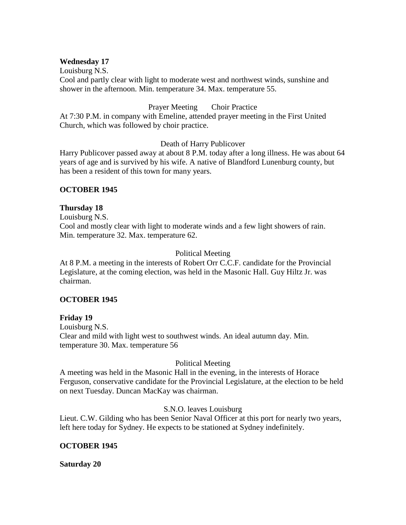### **Wednesday 17**

Louisburg N.S. Cool and partly clear with light to moderate west and northwest winds, sunshine and shower in the afternoon. Min. temperature 34. Max. temperature 55.

## Prayer Meeting Choir Practice

At 7:30 P.M. in company with Emeline, attended prayer meeting in the First United Church, which was followed by choir practice.

Death of Harry Publicover

Harry Publicover passed away at about 8 P.M. today after a long illness. He was about 64 years of age and is survived by his wife. A native of Blandford Lunenburg county, but has been a resident of this town for many years.

## **OCTOBER 1945**

### **Thursday 18**

Louisburg N.S. Cool and mostly clear with light to moderate winds and a few light showers of rain. Min. temperature 32. Max. temperature 62.

### Political Meeting

At 8 P.M. a meeting in the interests of Robert Orr C.C.F. candidate for the Provincial Legislature, at the coming election, was held in the Masonic Hall. Guy Hiltz Jr. was chairman.

## **OCTOBER 1945**

#### **Friday 19**

Louisburg N.S. Clear and mild with light west to southwest winds. An ideal autumn day. Min. temperature 30. Max. temperature 56

## Political Meeting

A meeting was held in the Masonic Hall in the evening, in the interests of Horace Ferguson, conservative candidate for the Provincial Legislature, at the election to be held on next Tuesday. Duncan MacKay was chairman.

#### S.N.O. leaves Louisburg

Lieut. C.W. Gilding who has been Senior Naval Officer at this port for nearly two years, left here today for Sydney. He expects to be stationed at Sydney indefinitely.

## **OCTOBER 1945**

#### **Saturday 20**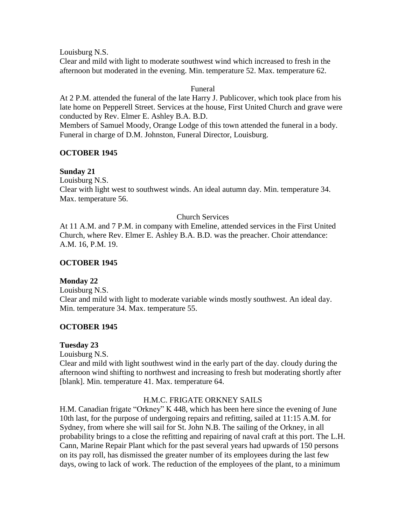Louisburg N.S. Clear and mild with light to moderate southwest wind which increased to fresh in the afternoon but moderated in the evening. Min. temperature 52. Max. temperature 62.

## Funeral

At 2 P.M. attended the funeral of the late Harry J. Publicover, which took place from his late home on Pepperell Street. Services at the house, First United Church and grave were conducted by Rev. Elmer E. Ashley B.A. B.D.

Members of Samuel Moody, Orange Lodge of this town attended the funeral in a body. Funeral in charge of D.M. Johnston, Funeral Director, Louisburg.

### **OCTOBER 1945**

### **Sunday 21**

Louisburg N.S.

Clear with light west to southwest winds. An ideal autumn day. Min. temperature 34. Max. temperature 56.

### Church Services

At 11 A.M. and 7 P.M. in company with Emeline, attended services in the First United Church, where Rev. Elmer E. Ashley B.A. B.D. was the preacher. Choir attendance: A.M. 16, P.M. 19.

#### **OCTOBER 1945**

## **Monday 22**

Louisburg N.S. Clear and mild with light to moderate variable winds mostly southwest. An ideal day. Min. temperature 34. Max. temperature 55.

## **OCTOBER 1945**

#### **Tuesday 23**

Louisburg N.S.

Clear and mild with light southwest wind in the early part of the day. cloudy during the afternoon wind shifting to northwest and increasing to fresh but moderating shortly after [blank]. Min. temperature 41. Max. temperature 64.

## H.M.C. FRIGATE ORKNEY SAILS

H.M. Canadian frigate "Orkney" K 448, which has been here since the evening of June 10th last, for the purpose of undergoing repairs and refitting, sailed at 11:15 A.M. for Sydney, from where she will sail for St. John N.B. The sailing of the Orkney, in all probability brings to a close the refitting and repairing of naval craft at this port. The L.H. Cann, Marine Repair Plant which for the past several years had upwards of 150 persons on its pay roll, has dismissed the greater number of its employees during the last few days, owing to lack of work. The reduction of the employees of the plant, to a minimum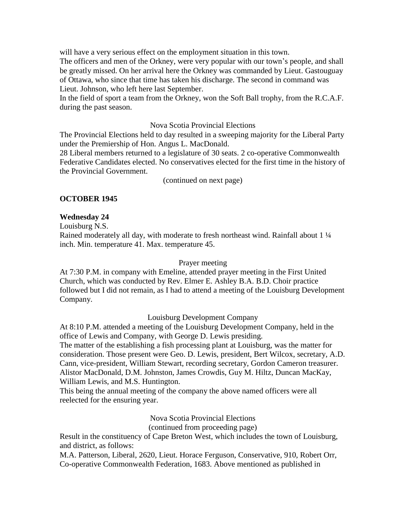will have a very serious effect on the employment situation in this town.

The officers and men of the Orkney, were very popular with our town's people, and shall be greatly missed. On her arrival here the Orkney was commanded by Lieut. Gastouguay of Ottawa, who since that time has taken his discharge. The second in command was Lieut. Johnson, who left here last September.

In the field of sport a team from the Orkney, won the Soft Ball trophy, from the R.C.A.F. during the past season.

### Nova Scotia Provincial Elections

The Provincial Elections held to day resulted in a sweeping majority for the Liberal Party under the Premiership of Hon. Angus L. MacDonald.

28 Liberal members returned to a legislature of 30 seats. 2 co-operative Commonwealth Federative Candidates elected. No conservatives elected for the first time in the history of the Provincial Government.

(continued on next page)

## **OCTOBER 1945**

## **Wednesday 24**

Louisburg N.S.

Rained moderately all day, with moderate to fresh northeast wind. Rainfall about 1 ¼ inch. Min. temperature 41. Max. temperature 45.

#### Prayer meeting

At 7:30 P.M. in company with Emeline, attended prayer meeting in the First United Church, which was conducted by Rev. Elmer E. Ashley B.A. B.D. Choir practice followed but I did not remain, as I had to attend a meeting of the Louisburg Development Company.

## Louisburg Development Company

At 8:10 P.M. attended a meeting of the Louisburg Development Company, held in the office of Lewis and Company, with George D. Lewis presiding.

The matter of the establishing a fish processing plant at Louisburg, was the matter for consideration. Those present were Geo. D. Lewis, president, Bert Wilcox, secretary, A.D. Cann, vice-president, William Stewart, recording secretary, Gordon Cameron treasurer. Alistor MacDonald, D.M. Johnston, James Crowdis, Guy M. Hiltz, Duncan MacKay, William Lewis, and M.S. Huntington.

This being the annual meeting of the company the above named officers were all reelected for the ensuring year.

Nova Scotia Provincial Elections

(continued from proceeding page)

Result in the constituency of Cape Breton West, which includes the town of Louisburg, and district, as follows:

M.A. Patterson, Liberal, 2620, Lieut. Horace Ferguson, Conservative, 910, Robert Orr, Co-operative Commonwealth Federation, 1683. Above mentioned as published in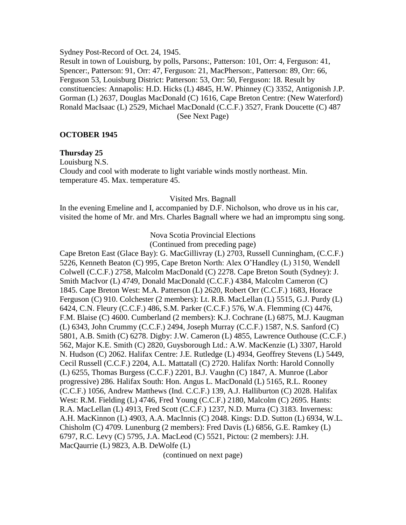Sydney Post-Record of Oct. 24, 1945.

Result in town of Louisburg, by polls, Parsons:, Patterson: 101, Orr: 4, Ferguson: 41, Spencer:, Patterson: 91, Orr: 47, Ferguson: 21, MacPherson:, Patterson: 89, Orr: 66, Ferguson 53, Louisburg District: Patterson: 53, Orr: 50, Ferguson: 18. Result by constituencies: Annapolis: H.D. Hicks (L) 4845, H.W. Phinney (C) 3352, Antigonish J.P. Gorman (L) 2637, Douglas MacDonald (C) 1616, Cape Breton Centre: (New Waterford) Ronald MacIsaac (L) 2529, Michael MacDonald (C.C.F.) 3527, Frank Doucette (C) 487 (See Next Page)

### **OCTOBER 1945**

#### **Thursday 25**

Louisburg N.S. Cloudy and cool with moderate to light variable winds mostly northeast. Min. temperature 45. Max. temperature 45.

### Visited Mrs. Bagnall

In the evening Emeline and I, accompanied by D.F. Nicholson, who drove us in his car, visited the home of Mr. and Mrs. Charles Bagnall where we had an impromptu sing song.

### Nova Scotia Provincial Elections

(Continued from preceding page)

Cape Breton East (Glace Bay): G. MacGillivray (L) 2703, Russell Cunningham, (C.C.F.) 5226, Kenneth Beaton (C) 995, Cape Breton North: Alex O'Handley (L) 3150, Wendell Colwell (C.C.F.) 2758, Malcolm MacDonald (C) 2278. Cape Breton South (Sydney): J. Smith MacIvor (L) 4749, Donald MacDonald (C.C.F.) 4384, Malcolm Cameron (C) 1845. Cape Breton West: M.A. Patterson (L) 2620, Robert Orr (C.C.F.) 1683, Horace Ferguson (C) 910. Colchester (2 members): Lt. R.B. MacLellan (L) 5515, G.J. Purdy (L) 6424, C.N. Fleury (C.C.F.) 486, S.M. Parker (C.C.F.) 576, W.A. Flemming (C) 4476, F.M. Blaise (C) 4600. Cumberland (2 members): K.J. Cochrane (L) 6875, M.J. Kaugman (L) 6343, John Crummy (C.C.F.) 2494, Joseph Murray (C.C.F.) 1587, N.S. Sanford (C) 5801, A.B. Smith (C) 6278. Digby: J.W. Cameron (L) 4855, Lawrence Outhouse (C.C.F.) 562, Major K.E. Smith (C) 2820, Guysborough Ltd.: A.W. MacKenzie (L) 3307, Harold N. Hudson (C) 2062. Halifax Centre: J.E. Rutledge (L) 4934, Geoffrey Stevens (L) 5449, Cecil Russell (C.C.F.) 2204, A.L. Mattatall (C) 2720. Halifax North: Harold Connolly (L) 6255, Thomas Burgess (C.C.F.) 2201, B.J. Vaughn (C) 1847, A. Munroe (Labor progressive) 286. Halifax South: Hon. Angus L. MacDonald (L) 5165, R.L. Rooney (C.C.F.) 1056, Andrew Matthews (Ind. C.C.F.) 139, A.J. Halliburton (C) 2028. Halifax West: R.M. Fielding (L) 4746, Fred Young (C.C.F.) 2180, Malcolm (C) 2695. Hants: R.A. MacLellan (L) 4913, Fred Scott (C.C.F.) 1237, N.D. Murra (C) 3183. Inverness: A.H. MacKinnon (L) 4903, A.A. MacInnis (C) 2048. Kings: D.D. Sutton (L) 6934, W.L. Chisholm (C) 4709. Lunenburg (2 members): Fred Davis (L) 6856, G.E. Ramkey (L) 6797, R.C. Levy (C) 5795, J.A. MacLeod (C) 5521, Pictou: (2 members): J.H. MacQaurrie (L) 9823, A.B. DeWolfe (L)

(continued on next page)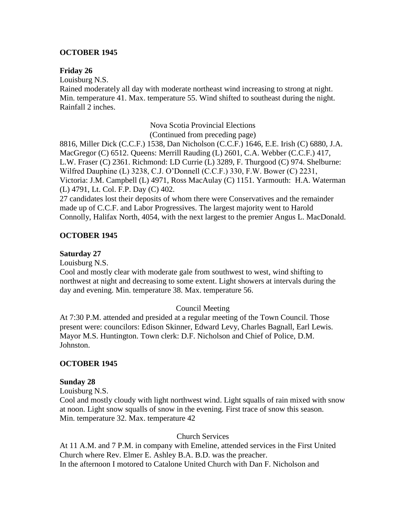## **OCTOBER 1945**

## **Friday 26**

Louisburg N.S.

Rained moderately all day with moderate northeast wind increasing to strong at night. Min. temperature 41. Max. temperature 55. Wind shifted to southeast during the night. Rainfall 2 inches.

> Nova Scotia Provincial Elections (Continued from preceding page)

8816, Miller Dick (C.C.F.) 1538, Dan Nicholson (C.C.F.) 1646, E.E. Irish (C) 6880, J.A. MacGregor (C) 6512. Queens: Merrill Rauding (L) 2601, C.A. Webber (C.C.F.) 417, L.W. Fraser (C) 2361. Richmond: LD Currie (L) 3289, F. Thurgood (C) 974. Shelburne: Wilfred Dauphine (L) 3238, C.J. O'Donnell (C.C.F.) 330, F.W. Bower (C) 2231, Victoria: J.M. Campbell (L) 4971, Ross MacAulay (C) 1151. Yarmouth: H.A. Waterman (L) 4791, Lt. Col. F.P. Day (C) 402.

27 candidates lost their deposits of whom there were Conservatives and the remainder made up of C.C.F. and Labor Progressives. The largest majority went to Harold Connolly, Halifax North, 4054, with the next largest to the premier Angus L. MacDonald.

## **OCTOBER 1945**

## **Saturday 27**

Louisburg N.S.

Cool and mostly clear with moderate gale from southwest to west, wind shifting to northwest at night and decreasing to some extent. Light showers at intervals during the day and evening. Min. temperature 38. Max. temperature 56.

## Council Meeting

At 7:30 P.M. attended and presided at a regular meeting of the Town Council. Those present were: councilors: Edison Skinner, Edward Levy, Charles Bagnall, Earl Lewis. Mayor M.S. Huntington. Town clerk: D.F. Nicholson and Chief of Police, D.M. Johnston.

## **OCTOBER 1945**

## **Sunday 28**

Louisburg N.S.

Cool and mostly cloudy with light northwest wind. Light squalls of rain mixed with snow at noon. Light snow squalls of snow in the evening. First trace of snow this season. Min. temperature 32. Max. temperature 42

Church Services

At 11 A.M. and 7 P.M. in company with Emeline, attended services in the First United Church where Rev. Elmer E. Ashley B.A. B.D. was the preacher. In the afternoon I motored to Catalone United Church with Dan F. Nicholson and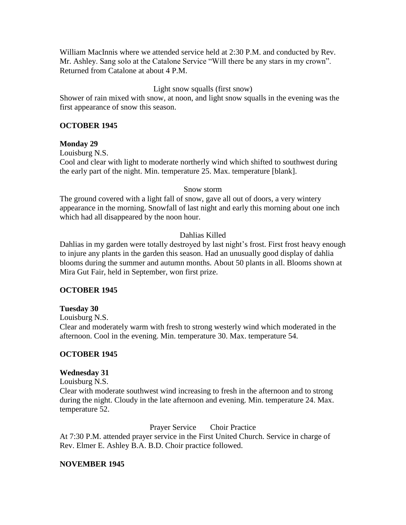William MacInnis where we attended service held at 2:30 P.M. and conducted by Rev. Mr. Ashley. Sang solo at the Catalone Service "Will there be any stars in my crown". Returned from Catalone at about 4 P.M.

# Light snow squalls (first snow)

Shower of rain mixed with snow, at noon, and light snow squalls in the evening was the first appearance of snow this season.

# **OCTOBER 1945**

# **Monday 29**

Louisburg N.S.

Cool and clear with light to moderate northerly wind which shifted to southwest during the early part of the night. Min. temperature 25. Max. temperature [blank].

## Snow storm

The ground covered with a light fall of snow, gave all out of doors, a very wintery appearance in the morning. Snowfall of last night and early this morning about one inch which had all disappeared by the noon hour.

# Dahlias Killed

Dahlias in my garden were totally destroyed by last night's frost. First frost heavy enough to injure any plants in the garden this season. Had an unusually good display of dahlia blooms during the summer and autumn months. About 50 plants in all. Blooms shown at Mira Gut Fair, held in September, won first prize.

# **OCTOBER 1945**

# **Tuesday 30**

Louisburg N.S.

Clear and moderately warm with fresh to strong westerly wind which moderated in the afternoon. Cool in the evening. Min. temperature 30. Max. temperature 54.

# **OCTOBER 1945**

# **Wednesday 31**

Louisburg N.S.

Clear with moderate southwest wind increasing to fresh in the afternoon and to strong during the night. Cloudy in the late afternoon and evening. Min. temperature 24. Max. temperature 52.

Prayer Service Choir Practice

At 7:30 P.M. attended prayer service in the First United Church. Service in charge of Rev. Elmer E. Ashley B.A. B.D. Choir practice followed.

# **NOVEMBER 1945**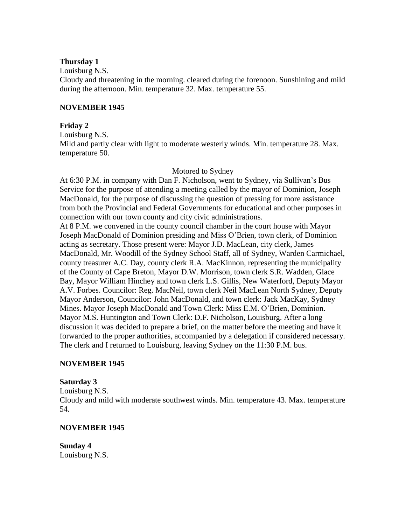### **Thursday 1**

Louisburg N.S.

Cloudy and threatening in the morning. cleared during the forenoon. Sunshining and mild during the afternoon. Min. temperature 32. Max. temperature 55.

### **NOVEMBER 1945**

### **Friday 2**

Louisburg N.S.

Mild and partly clear with light to moderate westerly winds. Min. temperature 28. Max. temperature 50.

### Motored to Sydney

At 6:30 P.M. in company with Dan F. Nicholson, went to Sydney, via Sullivan's Bus Service for the purpose of attending a meeting called by the mayor of Dominion, Joseph MacDonald, for the purpose of discussing the question of pressing for more assistance from both the Provincial and Federal Governments for educational and other purposes in connection with our town county and city civic administrations. At 8 P.M. we convened in the county council chamber in the court house with Mayor Joseph MacDonald of Dominion presiding and Miss O'Brien, town clerk, of Dominion acting as secretary. Those present were: Mayor J.D. MacLean, city clerk, James MacDonald, Mr. Woodill of the Sydney School Staff, all of Sydney, Warden Carmichael, county treasurer A.C. Day, county clerk R.A. MacKinnon, representing the municipality of the County of Cape Breton, Mayor D.W. Morrison, town clerk S.R. Wadden, Glace Bay, Mayor William Hinchey and town clerk L.S. Gillis, New Waterford, Deputy Mayor A.V. Forbes. Councilor: Reg. MacNeil, town clerk Neil MacLean North Sydney, Deputy Mayor Anderson, Councilor: John MacDonald, and town clerk: Jack MacKay, Sydney Mines. Mayor Joseph MacDonald and Town Clerk: Miss E.M. O'Brien, Dominion. Mayor M.S. Huntington and Town Clerk: D.F. Nicholson, Louisburg. After a long discussion it was decided to prepare a brief, on the matter before the meeting and have it forwarded to the proper authorities, accompanied by a delegation if considered necessary. The clerk and I returned to Louisburg, leaving Sydney on the 11:30 P.M. bus.

## **NOVEMBER 1945**

## **Saturday 3**

Louisburg N.S.

Cloudy and mild with moderate southwest winds. Min. temperature 43. Max. temperature 54.

## **NOVEMBER 1945**

**Sunday 4** Louisburg N.S.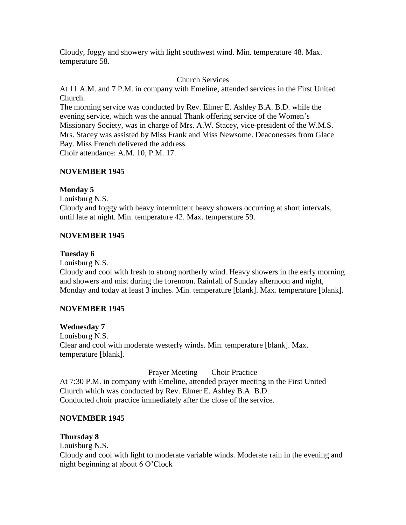Cloudy, foggy and showery with light southwest wind. Min. temperature 48. Max. temperature 58.

## Church Services

At 11 A.M. and 7 P.M. in company with Emeline, attended services in the First United Church.

The morning service was conducted by Rev. Elmer E. Ashley B.A. B.D. while the evening service, which was the annual Thank offering service of the Women's Missionary Society, was in charge of Mrs. A.W. Stacey, vice-president of the W.M.S. Mrs. Stacey was assisted by Miss Frank and Miss Newsome. Deaconesses from Glace Bay. Miss French delivered the address.

Choir attendance: A.M. 10, P.M. 17.

# **NOVEMBER 1945**

## **Monday 5**

Louisburg N.S.

Cloudy and foggy with heavy intermittent heavy showers occurring at short intervals, until late at night. Min. temperature 42. Max. temperature 59.

## **NOVEMBER 1945**

## **Tuesday 6**

Louisburg N.S. Cloudy and cool with fresh to strong northerly wind. Heavy showers in the early morning and showers and mist during the forenoon. Rainfall of Sunday afternoon and night, Monday and today at least 3 inches. Min. temperature [blank]. Max. temperature [blank].

# **NOVEMBER 1945**

## **Wednesday 7**

Louisburg N.S. Clear and cool with moderate westerly winds. Min. temperature [blank]. Max. temperature [blank].

Prayer Meeting Choir Practice At 7:30 P.M. in company with Emeline, attended prayer meeting in the First United Church which was conducted by Rev. Elmer E. Ashley B.A. B.D. Conducted choir practice immediately after the close of the service.

# **NOVEMBER 1945**

# **Thursday 8**

Louisburg N.S.

Cloudy and cool with light to moderate variable winds. Moderate rain in the evening and night beginning at about 6 O'Clock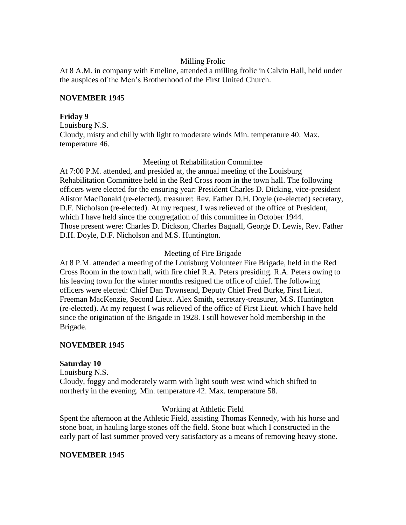## Milling Frolic

At 8 A.M. in company with Emeline, attended a milling frolic in Calvin Hall, held under the auspices of the Men's Brotherhood of the First United Church.

## **NOVEMBER 1945**

## **Friday 9**

Louisburg N.S. Cloudy, misty and chilly with light to moderate winds Min. temperature 40. Max. temperature 46.

Meeting of Rehabilitation Committee

At 7:00 P.M. attended, and presided at, the annual meeting of the Louisburg Rehabilitation Committee held in the Red Cross room in the town hall. The following officers were elected for the ensuring year: President Charles D. Dicking, vice-president Alistor MacDonald (re-elected), treasurer: Rev. Father D.H. Doyle (re-elected) secretary, D.F. Nicholson (re-elected). At my request, I was relieved of the office of President, which I have held since the congregation of this committee in October 1944. Those present were: Charles D. Dickson, Charles Bagnall, George D. Lewis, Rev. Father D.H. Doyle, D.F. Nicholson and M.S. Huntington.

# Meeting of Fire Brigade

At 8 P.M. attended a meeting of the Louisburg Volunteer Fire Brigade, held in the Red Cross Room in the town hall, with fire chief R.A. Peters presiding. R.A. Peters owing to his leaving town for the winter months resigned the office of chief. The following officers were elected: Chief Dan Townsend, Deputy Chief Fred Burke, First Lieut. Freeman MacKenzie, Second Lieut. Alex Smith, secretary-treasurer, M.S. Huntington (re-elected). At my request I was relieved of the office of First Lieut. which I have held since the origination of the Brigade in 1928. I still however hold membership in the Brigade.

# **NOVEMBER 1945**

# **Saturday 10**

Louisburg N.S. Cloudy, foggy and moderately warm with light south west wind which shifted to northerly in the evening. Min. temperature 42. Max. temperature 58.

# Working at Athletic Field

Spent the afternoon at the Athletic Field, assisting Thomas Kennedy, with his horse and stone boat, in hauling large stones off the field. Stone boat which I constructed in the early part of last summer proved very satisfactory as a means of removing heavy stone.

# **NOVEMBER 1945**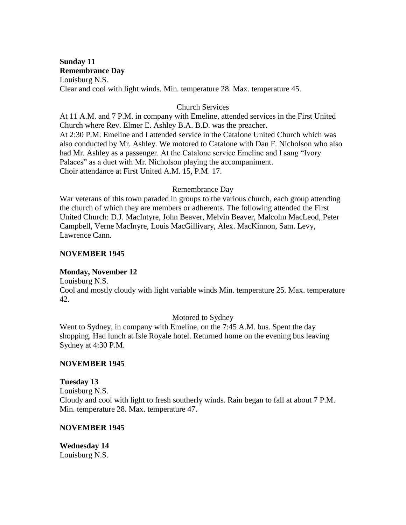# **Sunday 11 Remembrance Day**

Louisburg N.S. Clear and cool with light winds. Min. temperature 28. Max. temperature 45.

## Church Services

At 11 A.M. and 7 P.M. in company with Emeline, attended services in the First United Church where Rev. Elmer E. Ashley B.A. B.D. was the preacher. At 2:30 P.M. Emeline and I attended service in the Catalone United Church which was also conducted by Mr. Ashley. We motored to Catalone with Dan F. Nicholson who also had Mr. Ashley as a passenger. At the Catalone service Emeline and I sang "Ivory Palaces" as a duet with Mr. Nicholson playing the accompaniment. Choir attendance at First United A.M. 15, P.M. 17.

# Remembrance Day

War veterans of this town paraded in groups to the various church, each group attending the church of which they are members or adherents. The following attended the First United Church: D.J. MacIntyre, John Beaver, Melvin Beaver, Malcolm MacLeod, Peter Campbell, Verne MacInyre, Louis MacGillivary, Alex. MacKinnon, Sam. Levy, Lawrence Cann.

# **NOVEMBER 1945**

# **Monday, November 12**

Louisburg N.S.

Cool and mostly cloudy with light variable winds Min. temperature 25. Max. temperature 42.

# Motored to Sydney

Went to Sydney, in company with Emeline, on the 7:45 A.M. bus. Spent the day shopping. Had lunch at Isle Royale hotel. Returned home on the evening bus leaving Sydney at 4:30 P.M.

## **NOVEMBER 1945**

## **Tuesday 13**

Louisburg N.S. Cloudy and cool with light to fresh southerly winds. Rain began to fall at about 7 P.M. Min. temperature 28. Max. temperature 47.

## **NOVEMBER 1945**

**Wednesday 14** Louisburg N.S.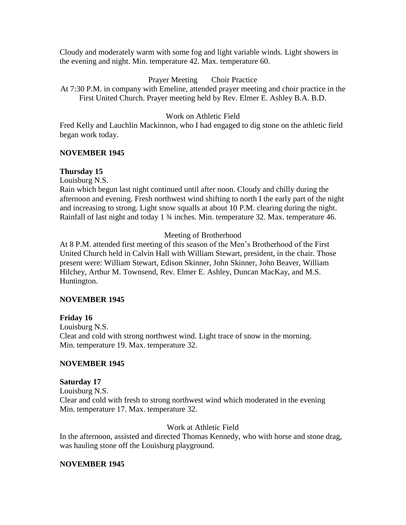Cloudy and moderately warm with some fog and light variable winds. Light showers in the evening and night. Min. temperature 42. Max. temperature 60.

## Prayer Meeting Choir Practice

At 7:30 P.M. in company with Emeline, attended prayer meeting and choir practice in the First United Church. Prayer meeting held by Rev. Elmer E. Ashley B.A. B.D.

## Work on Athletic Field

Fred Kelly and Lauchlin Mackinnon, who I had engaged to dig stone on the athletic field began work today.

## **NOVEMBER 1945**

## **Thursday 15**

Louisburg N.S.

Rain which begun last night continued until after noon. Cloudy and chilly during the afternoon and evening. Fresh northwest wind shifting to north I the early part of the night and increasing to strong. Light snow squalls at about 10 P.M. clearing during the night. Rainfall of last night and today 1 <sup>3</sup>/<sub>4</sub> inches. Min. temperature 32. Max. temperature 46.

## Meeting of Brotherhood

At 8 P.M. attended first meeting of this season of the Men's Brotherhood of the First United Church held in Calvin Hall with William Stewart, president, in the chair. Those present were: William Stewart, Edison Skinner, John Skinner, John Beaver, William Hilchey, Arthur M. Townsend, Rev. Elmer E. Ashley, Duncan MacKay, and M.S. Huntington.

## **NOVEMBER 1945**

## **Friday 16**

Louisburg N.S. Cleat and cold with strong northwest wind. Light trace of snow in the morning. Min. temperature 19. Max. temperature 32.

## **NOVEMBER 1945**

## **Saturday 17**

Louisburg N.S. Clear and cold with fresh to strong northwest wind which moderated in the evening Min. temperature 17. Max. temperature 32.

# Work at Athletic Field

In the afternoon, assisted and directed Thomas Kennedy, who with horse and stone drag, was hauling stone off the Louisburg playground.

## **NOVEMBER 1945**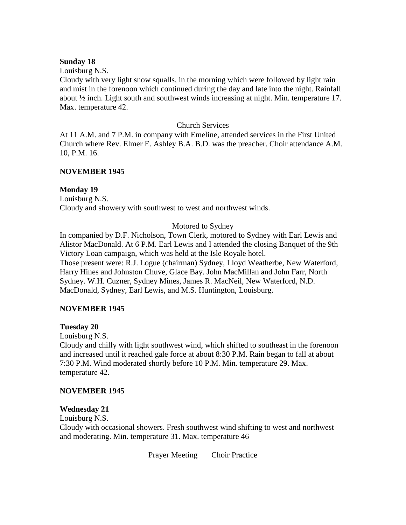### **Sunday 18**

Louisburg N.S.

Cloudy with very light snow squalls, in the morning which were followed by light rain and mist in the forenoon which continued during the day and late into the night. Rainfall about ½ inch. Light south and southwest winds increasing at night. Min. temperature 17. Max. temperature 42.

### Church Services

At 11 A.M. and 7 P.M. in company with Emeline, attended services in the First United Church where Rev. Elmer E. Ashley B.A. B.D. was the preacher. Choir attendance A.M. 10, P.M. 16.

## **NOVEMBER 1945**

### **Monday 19**

Louisburg N.S. Cloudy and showery with southwest to west and northwest winds.

### Motored to Sydney

In companied by D.F. Nicholson, Town Clerk, motored to Sydney with Earl Lewis and Alistor MacDonald. At 6 P.M. Earl Lewis and I attended the closing Banquet of the 9th Victory Loan campaign, which was held at the Isle Royale hotel. Those present were: R.J. Logue (chairman) Sydney, Lloyd Weatherbe, New Waterford, Harry Hines and Johnston Chuve, Glace Bay. John MacMillan and John Farr, North Sydney. W.H. Cuzner, Sydney Mines, James R. MacNeil, New Waterford, N.D. MacDonald, Sydney, Earl Lewis, and M.S. Huntington, Louisburg.

#### **NOVEMBER 1945**

#### **Tuesday 20**

Louisburg N.S.

Cloudy and chilly with light southwest wind, which shifted to southeast in the forenoon and increased until it reached gale force at about 8:30 P.M. Rain began to fall at about 7:30 P.M. Wind moderated shortly before 10 P.M. Min. temperature 29. Max. temperature 42.

#### **NOVEMBER 1945**

#### **Wednesday 21**

Louisburg N.S.

Cloudy with occasional showers. Fresh southwest wind shifting to west and northwest and moderating. Min. temperature 31. Max. temperature 46

Prayer Meeting Choir Practice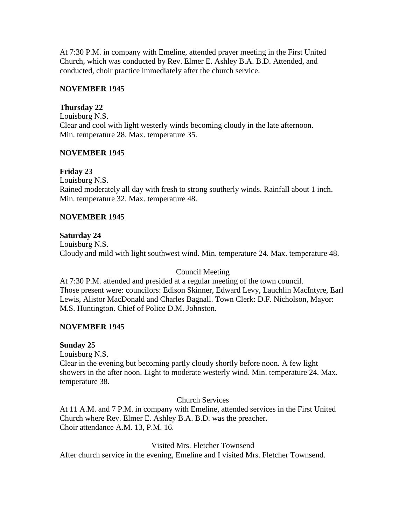At 7:30 P.M. in company with Emeline, attended prayer meeting in the First United Church, which was conducted by Rev. Elmer E. Ashley B.A. B.D. Attended, and conducted, choir practice immediately after the church service.

## **NOVEMBER 1945**

## **Thursday 22**

Louisburg N.S. Clear and cool with light westerly winds becoming cloudy in the late afternoon. Min. temperature 28. Max. temperature 35.

## **NOVEMBER 1945**

# **Friday 23**

Louisburg N.S. Rained moderately all day with fresh to strong southerly winds. Rainfall about 1 inch. Min. temperature 32. Max. temperature 48.

# **NOVEMBER 1945**

## **Saturday 24**

Louisburg N.S. Cloudy and mild with light southwest wind. Min. temperature 24. Max. temperature 48.

## Council Meeting

At 7:30 P.M. attended and presided at a regular meeting of the town council. Those present were: councilors: Edison Skinner, Edward Levy, Lauchlin MacIntyre, Earl Lewis, Alistor MacDonald and Charles Bagnall. Town Clerk: D.F. Nicholson, Mayor: M.S. Huntington. Chief of Police D.M. Johnston.

## **NOVEMBER 1945**

# **Sunday 25**

Louisburg N.S.

Clear in the evening but becoming partly cloudy shortly before noon. A few light showers in the after noon. Light to moderate westerly wind. Min. temperature 24. Max. temperature 38.

## Church Services

At 11 A.M. and 7 P.M. in company with Emeline, attended services in the First United Church where Rev. Elmer E. Ashley B.A. B.D. was the preacher. Choir attendance A.M. 13, P.M. 16.

Visited Mrs. Fletcher Townsend

After church service in the evening, Emeline and I visited Mrs. Fletcher Townsend.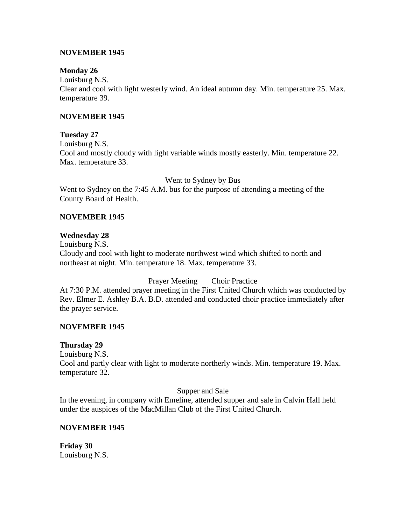## **NOVEMBER 1945**

## **Monday 26**

Louisburg N.S. Clear and cool with light westerly wind. An ideal autumn day. Min. temperature 25. Max. temperature 39.

## **NOVEMBER 1945**

## **Tuesday 27**

Louisburg N.S. Cool and mostly cloudy with light variable winds mostly easterly. Min. temperature 22. Max. temperature 33.

Went to Sydney by Bus

Went to Sydney on the 7:45 A.M. bus for the purpose of attending a meeting of the County Board of Health.

## **NOVEMBER 1945**

## **Wednesday 28**

Louisburg N.S. Cloudy and cool with light to moderate northwest wind which shifted to north and northeast at night. Min. temperature 18. Max. temperature 33.

# Prayer Meeting Choir Practice

At 7:30 P.M. attended prayer meeting in the First United Church which was conducted by Rev. Elmer E. Ashley B.A. B.D. attended and conducted choir practice immediately after the prayer service.

## **NOVEMBER 1945**

## **Thursday 29**

Louisburg N.S.

Cool and partly clear with light to moderate northerly winds. Min. temperature 19. Max. temperature 32.

## Supper and Sale

In the evening, in company with Emeline, attended supper and sale in Calvin Hall held under the auspices of the MacMillan Club of the First United Church.

## **NOVEMBER 1945**

**Friday 30** Louisburg N.S.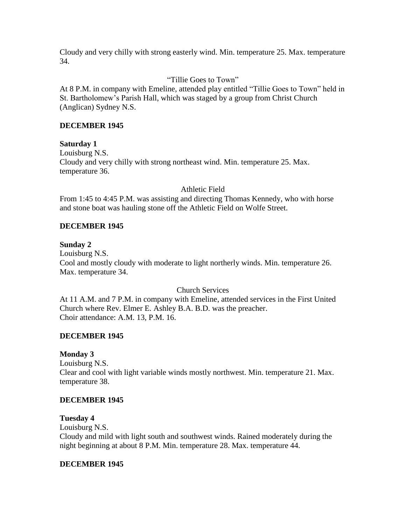Cloudy and very chilly with strong easterly wind. Min. temperature 25. Max. temperature 34.

## "Tillie Goes to Town"

At 8 P.M. in company with Emeline, attended play entitled "Tillie Goes to Town" held in St. Bartholomew's Parish Hall, which was staged by a group from Christ Church (Anglican) Sydney N.S.

## **DECEMBER 1945**

## **Saturday 1**

Louisburg N.S. Cloudy and very chilly with strong northeast wind. Min. temperature 25. Max. temperature 36.

## Athletic Field

From 1:45 to 4:45 P.M. was assisting and directing Thomas Kennedy, who with horse and stone boat was hauling stone off the Athletic Field on Wolfe Street.

## **DECEMBER 1945**

## **Sunday 2**

Louisburg N.S. Cool and mostly cloudy with moderate to light northerly winds. Min. temperature 26. Max. temperature 34.

## Church Services

At 11 A.M. and 7 P.M. in company with Emeline, attended services in the First United Church where Rev. Elmer E. Ashley B.A. B.D. was the preacher. Choir attendance: A.M. 13, P.M. 16.

## **DECEMBER 1945**

## **Monday 3**

Louisburg N.S. Clear and cool with light variable winds mostly northwest. Min. temperature 21. Max. temperature 38.

## **DECEMBER 1945**

## **Tuesday 4**

Louisburg N.S. Cloudy and mild with light south and southwest winds. Rained moderately during the night beginning at about 8 P.M. Min. temperature 28. Max. temperature 44.

## **DECEMBER 1945**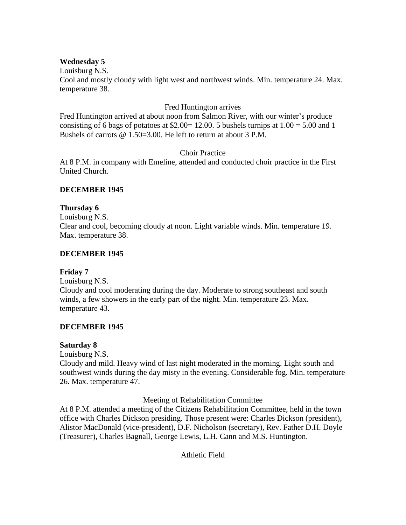## **Wednesday 5**

Louisburg N.S. Cool and mostly cloudy with light west and northwest winds. Min. temperature 24. Max. temperature 38.

## Fred Huntington arrives

Fred Huntington arrived at about noon from Salmon River, with our winter's produce consisting of 6 bags of potatoes at \$2.00 = 12.00. 5 bushels turnips at  $1.00 = 5.00$  and 1 Bushels of carrots @ 1.50=3.00. He left to return at about 3 P.M.

## Choir Practice

At 8 P.M. in company with Emeline, attended and conducted choir practice in the First United Church.

# **DECEMBER 1945**

## **Thursday 6**

Louisburg N.S. Clear and cool, becoming cloudy at noon. Light variable winds. Min. temperature 19. Max. temperature 38.

## **DECEMBER 1945**

# **Friday 7**

Louisburg N.S. Cloudy and cool moderating during the day. Moderate to strong southeast and south winds, a few showers in the early part of the night. Min. temperature 23. Max. temperature 43.

# **DECEMBER 1945**

## **Saturday 8**

Louisburg N.S.

Cloudy and mild. Heavy wind of last night moderated in the morning. Light south and southwest winds during the day misty in the evening. Considerable fog. Min. temperature 26. Max. temperature 47.

Meeting of Rehabilitation Committee

At 8 P.M. attended a meeting of the Citizens Rehabilitation Committee, held in the town office with Charles Dickson presiding. Those present were: Charles Dickson (president), Alistor MacDonald (vice-president), D.F. Nicholson (secretary), Rev. Father D.H. Doyle (Treasurer), Charles Bagnall, George Lewis, L.H. Cann and M.S. Huntington.

Athletic Field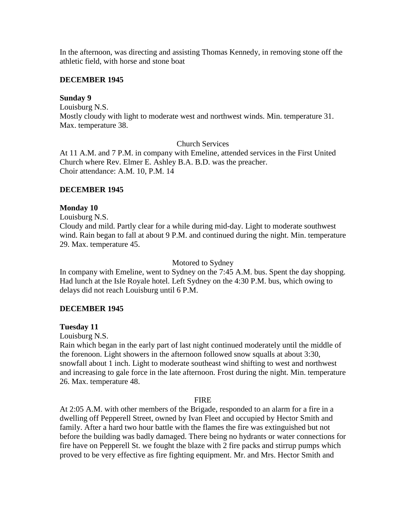In the afternoon, was directing and assisting Thomas Kennedy, in removing stone off the athletic field, with horse and stone boat

## **DECEMBER 1945**

## **Sunday 9**

Louisburg N.S. Mostly cloudy with light to moderate west and northwest winds. Min. temperature 31. Max. temperature 38.

Church Services

At 11 A.M. and 7 P.M. in company with Emeline, attended services in the First United Church where Rev. Elmer E. Ashley B.A. B.D. was the preacher. Choir attendance: A.M. 10, P.M. 14

# **DECEMBER 1945**

## **Monday 10**

Louisburg N.S.

Cloudy and mild. Partly clear for a while during mid-day. Light to moderate southwest wind. Rain began to fall at about 9 P.M. and continued during the night. Min. temperature 29. Max. temperature 45.

## Motored to Sydney

In company with Emeline, went to Sydney on the 7:45 A.M. bus. Spent the day shopping. Had lunch at the Isle Royale hotel. Left Sydney on the 4:30 P.M. bus, which owing to delays did not reach Louisburg until 6 P.M.

# **DECEMBER 1945**

## **Tuesday 11**

Louisburg N.S.

Rain which began in the early part of last night continued moderately until the middle of the forenoon. Light showers in the afternoon followed snow squalls at about 3:30, snowfall about 1 inch. Light to moderate southeast wind shifting to west and northwest and increasing to gale force in the late afternoon. Frost during the night. Min. temperature 26. Max. temperature 48.

#### FIRE

At 2:05 A.M. with other members of the Brigade, responded to an alarm for a fire in a dwelling off Pepperell Street, owned by Ivan Fleet and occupied by Hector Smith and family. After a hard two hour battle with the flames the fire was extinguished but not before the building was badly damaged. There being no hydrants or water connections for fire have on Pepperell St. we fought the blaze with 2 fire packs and stirrup pumps which proved to be very effective as fire fighting equipment. Mr. and Mrs. Hector Smith and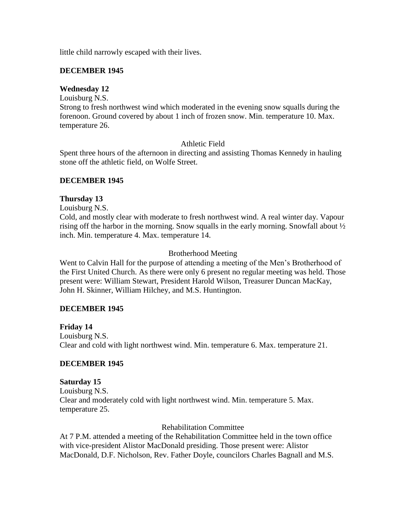little child narrowly escaped with their lives.

### **DECEMBER 1945**

#### **Wednesday 12**

Louisburg N.S.

Strong to fresh northwest wind which moderated in the evening snow squalls during the forenoon. Ground covered by about 1 inch of frozen snow. Min. temperature 10. Max. temperature 26.

## Athletic Field

Spent three hours of the afternoon in directing and assisting Thomas Kennedy in hauling stone off the athletic field, on Wolfe Street.

### **DECEMBER 1945**

### **Thursday 13**

Louisburg N.S.

Cold, and mostly clear with moderate to fresh northwest wind. A real winter day. Vapour rising off the harbor in the morning. Snow squalls in the early morning. Snowfall about ½ inch. Min. temperature 4. Max. temperature 14.

## Brotherhood Meeting

Went to Calvin Hall for the purpose of attending a meeting of the Men's Brotherhood of the First United Church. As there were only 6 present no regular meeting was held. Those present were: William Stewart, President Harold Wilson, Treasurer Duncan MacKay, John H. Skinner, William Hilchey, and M.S. Huntington.

## **DECEMBER 1945**

**Friday 14** Louisburg N.S. Clear and cold with light northwest wind. Min. temperature 6. Max. temperature 21.

## **DECEMBER 1945**

#### **Saturday 15**

Louisburg N.S. Clear and moderately cold with light northwest wind. Min. temperature 5. Max. temperature 25.

#### Rehabilitation Committee

At 7 P.M. attended a meeting of the Rehabilitation Committee held in the town office with vice-president Alistor MacDonald presiding. Those present were: Alistor MacDonald, D.F. Nicholson, Rev. Father Doyle, councilors Charles Bagnall and M.S.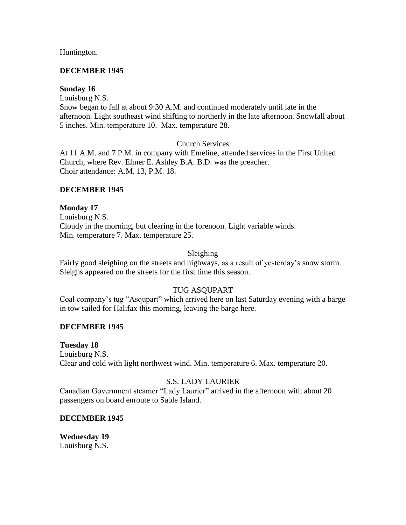Huntington.

## **DECEMBER 1945**

## **Sunday 16**

Louisburg N.S.

Snow began to fall at about 9:30 A.M. and continued moderately until late in the afternoon. Light southeast wind shifting to northerly in the late afternoon. Snowfall about 5 inches. Min. temperature 10. Max. temperature 28.

## Church Services

At 11 A.M. and 7 P.M. in company with Emeline, attended services in the First United Church, where Rev. Elmer E. Ashley B.A. B.D. was the preacher. Choir attendance: A.M. 13, P.M. 18.

## **DECEMBER 1945**

## **Monday 17**

Louisburg N.S. Cloudy in the morning, but clearing in the forenoon. Light variable winds. Min. temperature 7. Max. temperature 25.

## Sleighing

Fairly good sleighing on the streets and highways, as a result of yesterday's snow storm. Sleighs appeared on the streets for the first time this season.

# TUG ASQUPART

Coal company's tug "Asqupart" which arrived here on last Saturday evening with a barge in tow sailed for Halifax this morning, leaving the barge here.

## **DECEMBER 1945**

**Tuesday 18**

Louisburg N.S. Clear and cold with light northwest wind. Min. temperature 6. Max. temperature 20.

# S.S. LADY LAURIER

Canadian Government steamer "Lady Laurier" arrived in the afternoon with about 20 passengers on board enroute to Sable Island.

## **DECEMBER 1945**

**Wednesday 19** Louisburg N.S.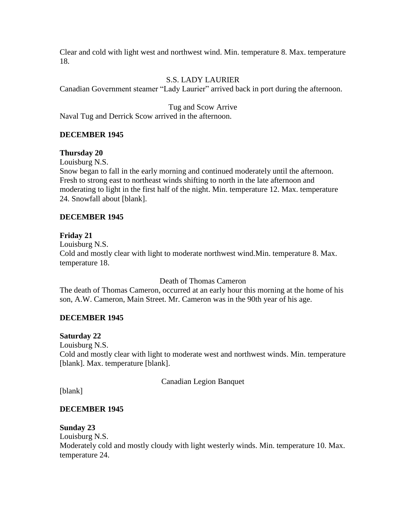Clear and cold with light west and northwest wind. Min. temperature 8. Max. temperature 18.

# S.S. LADY LAURIER

Canadian Government steamer "Lady Laurier" arrived back in port during the afternoon.

Tug and Scow Arrive Naval Tug and Derrick Scow arrived in the afternoon.

## **DECEMBER 1945**

## **Thursday 20**

Louisburg N.S.

Snow began to fall in the early morning and continued moderately until the afternoon. Fresh to strong east to northeast winds shifting to north in the late afternoon and moderating to light in the first half of the night. Min. temperature 12. Max. temperature 24. Snowfall about [blank].

## **DECEMBER 1945**

## **Friday 21**

Louisburg N.S. Cold and mostly clear with light to moderate northwest wind.Min. temperature 8. Max. temperature 18.

Death of Thomas Cameron

The death of Thomas Cameron, occurred at an early hour this morning at the home of his son, A.W. Cameron, Main Street. Mr. Cameron was in the 90th year of his age.

## **DECEMBER 1945**

## **Saturday 22**

Louisburg N.S. Cold and mostly clear with light to moderate west and northwest winds. Min. temperature [blank]. Max. temperature [blank].

Canadian Legion Banquet

[blank]

## **DECEMBER 1945**

## **Sunday 23**

Louisburg N.S. Moderately cold and mostly cloudy with light westerly winds. Min. temperature 10. Max. temperature 24.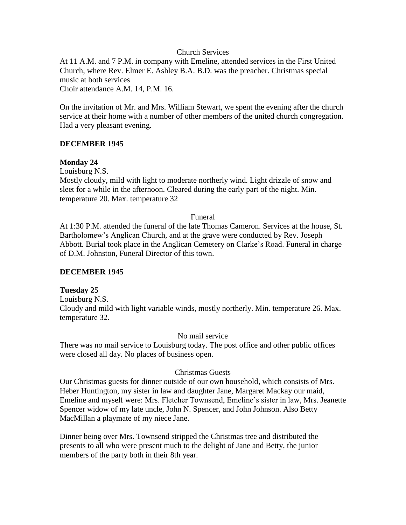### Church Services

At 11 A.M. and 7 P.M. in company with Emeline, attended services in the First United Church, where Rev. Elmer E. Ashley B.A. B.D. was the preacher. Christmas special music at both services Choir attendance A.M. 14, P.M. 16.

On the invitation of Mr. and Mrs. William Stewart, we spent the evening after the church service at their home with a number of other members of the united church congregation. Had a very pleasant evening.

## **DECEMBER 1945**

### **Monday 24**

Louisburg N.S.

Mostly cloudy, mild with light to moderate northerly wind. Light drizzle of snow and sleet for a while in the afternoon. Cleared during the early part of the night. Min. temperature 20. Max. temperature 32

#### Funeral

At 1:30 P.M. attended the funeral of the late Thomas Cameron. Services at the house, St. Bartholomew's Anglican Church, and at the grave were conducted by Rev. Joseph Abbott. Burial took place in the Anglican Cemetery on Clarke's Road. Funeral in charge of D.M. Johnston, Funeral Director of this town.

#### **DECEMBER 1945**

#### **Tuesday 25**

Louisburg N.S. Cloudy and mild with light variable winds, mostly northerly. Min. temperature 26. Max. temperature 32.

#### No mail service

There was no mail service to Louisburg today. The post office and other public offices were closed all day. No places of business open.

#### Christmas Guests

Our Christmas guests for dinner outside of our own household, which consists of Mrs. Heber Huntington, my sister in law and daughter Jane, Margaret Mackay our maid, Emeline and myself were: Mrs. Fletcher Townsend, Emeline's sister in law, Mrs. Jeanette Spencer widow of my late uncle, John N. Spencer, and John Johnson. Also Betty MacMillan a playmate of my niece Jane.

Dinner being over Mrs. Townsend stripped the Christmas tree and distributed the presents to all who were present much to the delight of Jane and Betty, the junior members of the party both in their 8th year.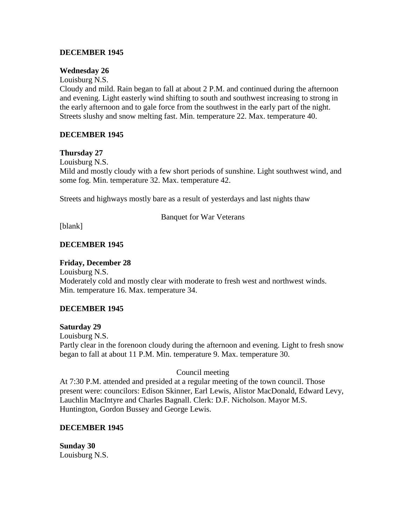## **DECEMBER 1945**

### **Wednesday 26**

Louisburg N.S.

Cloudy and mild. Rain began to fall at about 2 P.M. and continued during the afternoon and evening. Light easterly wind shifting to south and southwest increasing to strong in the early afternoon and to gale force from the southwest in the early part of the night. Streets slushy and snow melting fast. Min. temperature 22. Max. temperature 40.

## **DECEMBER 1945**

### **Thursday 27**

Louisburg N.S.

Mild and mostly cloudy with a few short periods of sunshine. Light southwest wind, and some fog. Min. temperature 32. Max. temperature 42.

Streets and highways mostly bare as a result of yesterdays and last nights thaw

Banquet for War Veterans

[blank]

## **DECEMBER 1945**

### **Friday, December 28**

Louisburg N.S. Moderately cold and mostly clear with moderate to fresh west and northwest winds. Min. temperature 16. Max. temperature 34.

## **DECEMBER 1945**

#### **Saturday 29**

Louisburg N.S. Partly clear in the forenoon cloudy during the afternoon and evening. Light to fresh snow began to fall at about 11 P.M. Min. temperature 9. Max. temperature 30.

## Council meeting

At 7:30 P.M. attended and presided at a regular meeting of the town council. Those present were: councilors: Edison Skinner, Earl Lewis, Alistor MacDonald, Edward Levy, Lauchlin MacIntyre and Charles Bagnall. Clerk: D.F. Nicholson. Mayor M.S. Huntington, Gordon Bussey and George Lewis.

#### **DECEMBER 1945**

**Sunday 30** Louisburg N.S.